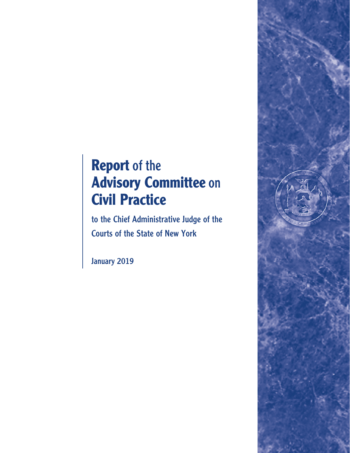# **Report** of the **Advisory Committee** on **Civil Practice**

to the Chief Administrative Judge of the Courts of the State of New York

January 2019

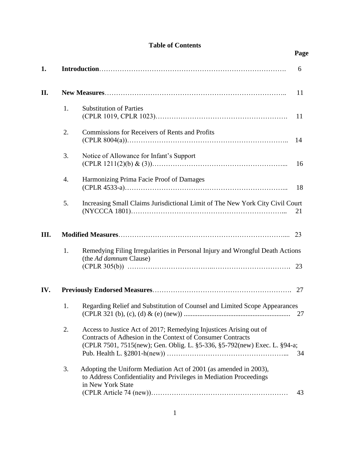# **Table of Contents**

**Page**

| 1.   |    |                                                                                                                                                                                                               | 6  |
|------|----|---------------------------------------------------------------------------------------------------------------------------------------------------------------------------------------------------------------|----|
| II.  |    |                                                                                                                                                                                                               | 11 |
|      | 1. | <b>Substitution of Parties</b>                                                                                                                                                                                | 11 |
|      | 2. | <b>Commissions for Receivers of Rents and Profits</b>                                                                                                                                                         | 14 |
|      | 3. | Notice of Allowance for Infant's Support                                                                                                                                                                      | 16 |
|      | 4. | Harmonizing Prima Facie Proof of Damages                                                                                                                                                                      | 18 |
|      | 5. | Increasing Small Claims Jurisdictional Limit of The New York City Civil Court                                                                                                                                 | 21 |
| III. |    |                                                                                                                                                                                                               |    |
|      | 1. | Remedying Filing Irregularities in Personal Injury and Wrongful Death Actions<br>(the Ad damnum Clause)                                                                                                       |    |
| IV.  |    |                                                                                                                                                                                                               |    |
|      | 1. | Regarding Relief and Substitution of Counsel and Limited Scope Appearances                                                                                                                                    |    |
|      | 2. | Access to Justice Act of 2017; Remedying Injustices Arising out of<br>Contracts of Adhesion in the Context of Consumer Contracts<br>(CPLR 7501, 7515(new); Gen. Oblig. L. §5-336, §5-792(new) Exec. L. §94-a; | 34 |
|      | 3. | Adopting the Uniform Mediation Act of 2001 (as amended in 2003),<br>to Address Confidentiality and Privileges in Mediation Proceedings<br>in New York State                                                   |    |
|      |    |                                                                                                                                                                                                               | 43 |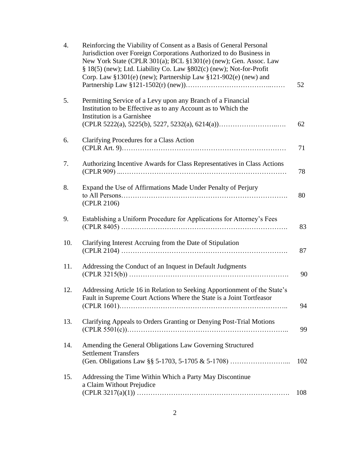| 4.  | Reinforcing the Viability of Consent as a Basis of General Personal<br>Jurisdiction over Foreign Corporations Authorized to do Business in<br>New York State (CPLR 301(a); BCL §1301(e) (new); Gen. Assoc. Law<br>§ 18(5) (new); Ltd. Liability Co. Law §802(c) (new); Not-for-Profit<br>Corp. Law $$1301(e)$ (new); Partnership Law $$121-902(e)$ (new) and | 52  |
|-----|--------------------------------------------------------------------------------------------------------------------------------------------------------------------------------------------------------------------------------------------------------------------------------------------------------------------------------------------------------------|-----|
| 5.  | Permitting Service of a Levy upon any Branch of a Financial<br>Institution to be Effective as to any Account as to Which the<br>Institution is a Garnishee                                                                                                                                                                                                   | 62  |
| 6.  | Clarifying Procedures for a Class Action                                                                                                                                                                                                                                                                                                                     | 71  |
| 7.  | Authorizing Incentive Awards for Class Representatives in Class Actions                                                                                                                                                                                                                                                                                      | 78  |
| 8.  | Expand the Use of Affirmations Made Under Penalty of Perjury<br>(CPLR 2106)                                                                                                                                                                                                                                                                                  | 80  |
| 9.  | Establishing a Uniform Procedure for Applications for Attorney's Fees                                                                                                                                                                                                                                                                                        | 83  |
| 10. | Clarifying Interest Accruing from the Date of Stipulation                                                                                                                                                                                                                                                                                                    | 87  |
| 11. | Addressing the Conduct of an Inquest in Default Judgments                                                                                                                                                                                                                                                                                                    | 90  |
| 12. | Addressing Article 16 in Relation to Seeking Apportionment of the State's<br>Fault in Supreme Court Actions Where the State is a Joint Tortfeasor                                                                                                                                                                                                            | 94  |
| 13. | Clarifying Appeals to Orders Granting or Denying Post-Trial Motions                                                                                                                                                                                                                                                                                          | 99  |
| 14. | Amending the General Obligations Law Governing Structured<br><b>Settlement Transfers</b>                                                                                                                                                                                                                                                                     | 102 |
| 15. | Addressing the Time Within Which a Party May Discontinue<br>a Claim Without Prejudice                                                                                                                                                                                                                                                                        | 108 |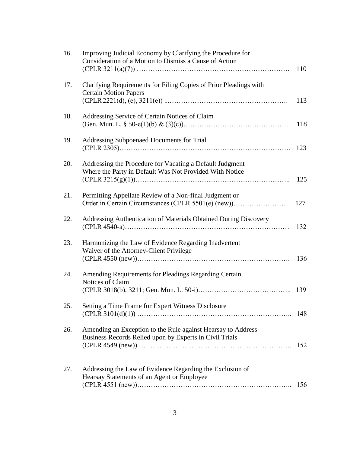| 16. | Improving Judicial Economy by Clarifying the Procedure for<br>Consideration of a Motion to Dismiss a Cause of Action    | 110 |
|-----|-------------------------------------------------------------------------------------------------------------------------|-----|
| 17. | Clarifying Requirements for Filing Copies of Prior Pleadings with<br><b>Certain Motion Papers</b>                       | 113 |
| 18. | Addressing Service of Certain Notices of Claim                                                                          | 118 |
| 19. | <b>Addressing Subpoenaed Documents for Trial</b>                                                                        | 123 |
| 20. | Addressing the Procedure for Vacating a Default Judgment<br>Where the Party in Default Was Not Provided With Notice     | 125 |
| 21. | Permitting Appellate Review of a Non-final Judgment or<br>Order in Certain Circumstances (CPLR 5501(e) (new))           | 127 |
| 22. | Addressing Authentication of Materials Obtained During Discovery                                                        | 132 |
| 23. | Harmonizing the Law of Evidence Regarding Inadvertent<br>Waiver of the Attorney-Client Privilege                        | 136 |
| 24. | Amending Requirements for Pleadings Regarding Certain<br>Notices of Claim                                               | 139 |
| 25. | Setting a Time Frame for Expert Witness Disclosure                                                                      |     |
| 26. | Amending an Exception to the Rule against Hearsay to Address<br>Business Records Relied upon by Experts in Civil Trials | 152 |
| 27. | Addressing the Law of Evidence Regarding the Exclusion of<br>Hearsay Statements of an Agent or Employee                 | 156 |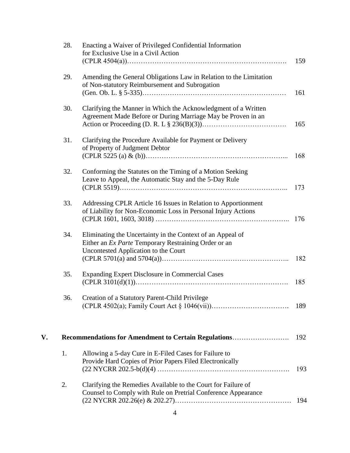|    | 28. | Enacting a Waiver of Privileged Confidential Information<br>for Exclusive Use in a Civil Action                                                                   | 159 |
|----|-----|-------------------------------------------------------------------------------------------------------------------------------------------------------------------|-----|
|    | 29. | Amending the General Obligations Law in Relation to the Limitation<br>of Non-statutory Reimbursement and Subrogation                                              | 161 |
|    | 30. | Clarifying the Manner in Which the Acknowledgment of a Written<br>Agreement Made Before or During Marriage May be Proven in an                                    | 165 |
|    | 31. | Clarifying the Procedure Available for Payment or Delivery<br>of Property of Judgment Debtor                                                                      | 168 |
|    | 32. | Conforming the Statutes on the Timing of a Motion Seeking<br>Leave to Appeal, the Automatic Stay and the 5-Day Rule                                               | 173 |
|    | 33. | Addressing CPLR Article 16 Issues in Relation to Apportionment<br>of Liability for Non-Economic Loss in Personal Injury Actions                                   |     |
|    | 34. | Eliminating the Uncertainty in the Context of an Appeal of<br>Either an <i>Ex Parte</i> Temporary Restraining Order or an<br>Uncontested Application to the Court | 182 |
|    | 35. | <b>Expanding Expert Disclosure in Commercial Cases</b>                                                                                                            | 185 |
|    | 36. | Creation of a Statutory Parent-Child Privilege                                                                                                                    | 189 |
| V. |     | Recommendations for Amendment to Certain Regulations                                                                                                              | 192 |
|    | 1.  | Allowing a 5-day Cure in E-Filed Cases for Failure to<br>Provide Hard Copies of Prior Papers Filed Electronically                                                 | 193 |
|    | 2.  | Clarifying the Remedies Available to the Court for Failure of<br>Counsel to Comply with Rule on Pretrial Conference Appearance                                    | 194 |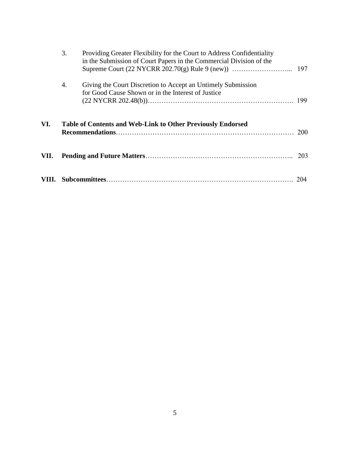|      | 3. | Providing Greater Flexibility for the Court to Address Confidentiality<br>in the Submission of Court Papers in the Commercial Division of the |     |
|------|----|-----------------------------------------------------------------------------------------------------------------------------------------------|-----|
|      | 4. | Giving the Court Discretion to Accept an Untimely Submission<br>for Good Cause Shown or in the Interest of Justice                            |     |
| VI.  |    | <b>Table of Contents and Web-Link to Other Previously Endorsed</b>                                                                            |     |
| VII. |    |                                                                                                                                               | 203 |
|      |    |                                                                                                                                               |     |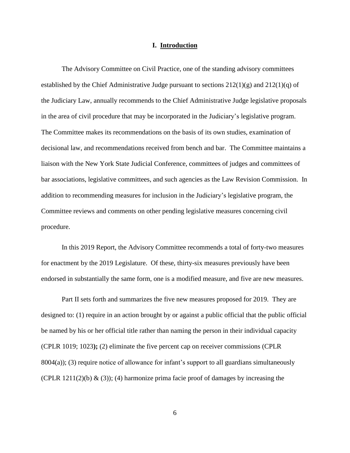#### **I. Introduction**

The Advisory Committee on Civil Practice, one of the standing advisory committees established by the Chief Administrative Judge pursuant to sections 212(1)(g) and 212(1)(q) of the Judiciary Law, annually recommends to the Chief Administrative Judge legislative proposals in the area of civil procedure that may be incorporated in the Judiciary's legislative program. The Committee makes its recommendations on the basis of its own studies, examination of decisional law, and recommendations received from bench and bar. The Committee maintains a liaison with the New York State Judicial Conference, committees of judges and committees of bar associations, legislative committees, and such agencies as the Law Revision Commission. In addition to recommending measures for inclusion in the Judiciary's legislative program, the Committee reviews and comments on other pending legislative measures concerning civil procedure.

In this 2019 Report, the Advisory Committee recommends a total of forty-two measures for enactment by the 2019 Legislature. Of these, thirty-six measures previously have been endorsed in substantially the same form, one is a modified measure, and five are new measures.

Part II sets forth and summarizes the five new measures proposed for 2019. They are designed to: (1) require in an action brought by or against a public official that the public official be named by his or her official title rather than naming the person in their individual capacity (CPLR 1019; 1023**);** (2) eliminate the five percent cap on receiver commissions (CPLR 8004(a)); (3) require notice of allowance for infant's support to all guardians simultaneously (CPLR 1211(2)(b) & (3)); (4) harmonize prima facie proof of damages by increasing the

6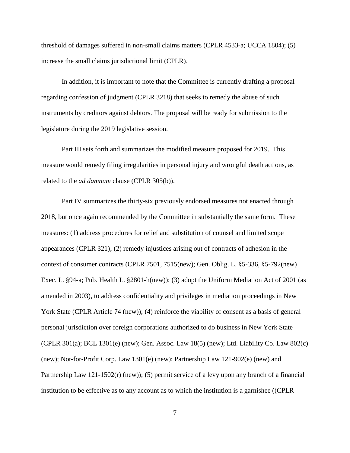threshold of damages suffered in non-small claims matters (CPLR 4533-a; UCCA 1804); (5) increase the small claims jurisdictional limit (CPLR).

In addition, it is important to note that the Committee is currently drafting a proposal regarding confession of judgment (CPLR 3218) that seeks to remedy the abuse of such instruments by creditors against debtors. The proposal will be ready for submission to the legislature during the 2019 legislative session.

Part III sets forth and summarizes the modified measure proposed for 2019. This measure would remedy filing irregularities in personal injury and wrongful death actions, as related to the *ad damnum* clause (CPLR 305(b)).

 Part IV summarizes the thirty-six previously endorsed measures not enacted through 2018, but once again recommended by the Committee in substantially the same form. These measures: (1) address procedures for relief and substitution of counsel and limited scope appearances (CPLR 321); (2) remedy injustices arising out of contracts of adhesion in the context of consumer contracts (CPLR 7501, 7515(new); Gen. Oblig. L. §5-336, §5-792(new) Exec. L. §94-a; Pub. Health L. §2801-h(new)); (3) adopt the Uniform Mediation Act of 2001 (as amended in 2003), to address confidentiality and privileges in mediation proceedings in New York State (CPLR Article 74 (new)); (4) reinforce the viability of consent as a basis of general personal jurisdiction over foreign corporations authorized to do business in New York State (CPLR 301(a); BCL 1301(e) (new); Gen. Assoc. Law 18(5) (new); Ltd. Liability Co. Law 802(c) (new); Not-for-Profit Corp. Law 1301(e) (new); Partnership Law 121-902(e) (new) and Partnership Law 121-1502(r) (new)); (5) permit service of a levy upon any branch of a financial institution to be effective as to any account as to which the institution is a garnishee ((CPLR

7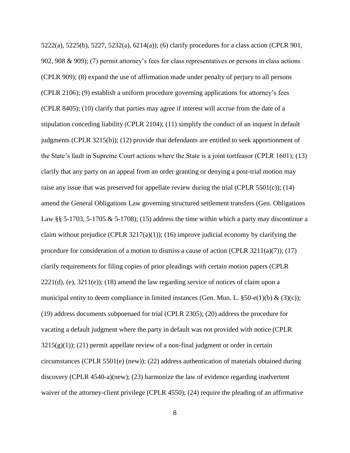5222(a), 5225(b), 5227, 5232(a), 6214(a)); (6) clarify procedures for a class action (CPLR 901, 902, 908 & 909); (7) permit attorney's fees for class representatives or persons in class actions (CPLR 909); (8) expand the use of affirmation made under penalty of perjury to all persons (CPLR 2106); (9) establish a uniform procedure governing applications for attorney's fees (CPLR 8405); (10) clarify that parties may agree if interest will accrue from the date of a stipulation conceding liability (CPLR 2104); (11) simplify the conduct of an inquest in default judgments (CPLR 3215(b)); (12) provide that defendants are entitled to seek apportionment of the State's fault in Supreme Court actions where the State is a joint tortfeasor (CPLR 1601); (13) clarify that any party on an appeal from an order granting or denying a post-trial motion may raise any issue that was preserved for appellate review during the trial (CPLR 5501 $(c)$ ); (14) amend the General Obligations Law governing structured settlement transfers (Gen. Obligations Law §§ 5-1703, 5-1705 & 5-1708); (15) address the time within which a party may discontinue a claim without prejudice (CPLR  $3217(a)(1)$ ); (16) improve judicial economy by clarifying the procedure for consideration of a motion to dismiss a cause of action (CPLR 3211(a)(7)); (17) clarify requirements for filing copies of prior pleadings with certain motion papers (CPLR  $2221(d)$ , (e),  $3211(e)$ ; (18) amend the law regarding service of notices of claim upon a municipal entity to deem compliance in limited instances (Gen. Mun. L. §50-e(1)(b) & (3)(c)); (19) address documents subpoenaed for trial (CPLR 2305); (20) address the procedure for vacating a default judgment where the party in default was not provided with notice (CPLR  $3215(g)(1)$ ; (21) permit appellate review of a non-final judgment or order in certain circumstances (CPLR 5501(e) (new)); (22) address authentication of materials obtained during discovery (CPLR 4540-a)(new); (23) harmonize the law of evidence regarding inadvertent waiver of the attorney-client privilege (CPLR 4550); (24) require the pleading of an affirmative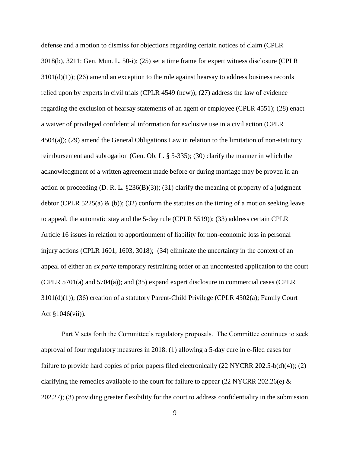defense and a motion to dismiss for objections regarding certain notices of claim (CPLR 3018(b), 3211; Gen. Mun. L. 50-i); (25) set a time frame for expert witness disclosure (CPLR  $3101(d)(1)$ ; (26) amend an exception to the rule against hearsay to address business records relied upon by experts in civil trials (CPLR 4549 (new)); (27) address the law of evidence regarding the exclusion of hearsay statements of an agent or employee (CPLR 4551); (28) enact a waiver of privileged confidential information for exclusive use in a civil action (CPLR 4504(a)); (29) amend the General Obligations Law in relation to the limitation of non-statutory reimbursement and subrogation (Gen. Ob. L. § 5-335); (30) clarify the manner in which the acknowledgment of a written agreement made before or during marriage may be proven in an action or proceeding  $(D, R, L, \S236(B)(3))$ ; (31) clarify the meaning of property of a judgment debtor (CPLR 5225(a)  $\&$  (b)); (32) conform the statutes on the timing of a motion seeking leave to appeal, the automatic stay and the 5-day rule (CPLR 5519)); (33) address certain CPLR Article 16 issues in relation to apportionment of liability for non-economic loss in personal injury actions (CPLR 1601, 1603, 3018); (34) eliminate the uncertainty in the context of an appeal of either an *ex parte* temporary restraining order or an uncontested application to the court (CPLR 5701(a) and 5704(a)); and (35) expand expert disclosure in commercial cases (CPLR 3101(d)(1)); (36) creation of a statutory Parent-Child Privilege (CPLR 4502(a); Family Court Act §1046(vii)).

Part V sets forth the Committee's regulatory proposals. The Committee continues to seek approval of four regulatory measures in 2018: (1) allowing a 5-day cure in e-filed cases for failure to provide hard copies of prior papers filed electronically (22 NYCRR 202.5-b(d)(4)); (2) clarifying the remedies available to the court for failure to appear (22 NYCRR 202.26(e)  $\&$ 202.27); (3) providing greater flexibility for the court to address confidentiality in the submission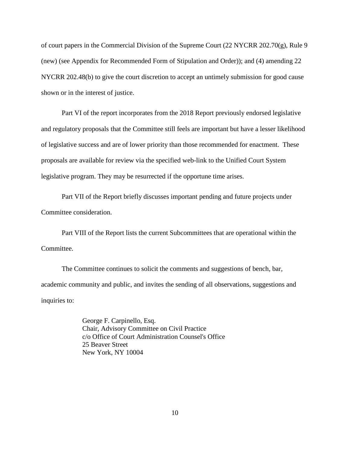of court papers in the Commercial Division of the Supreme Court (22 NYCRR 202.70(g), Rule 9 (new) (see Appendix for Recommended Form of Stipulation and Order)); and (4) amending 22 NYCRR 202.48(b) to give the court discretion to accept an untimely submission for good cause shown or in the interest of justice.

Part VI of the report incorporates from the 2018 Report previously endorsed legislative and regulatory proposals that the Committee still feels are important but have a lesser likelihood of legislative success and are of lower priority than those recommended for enactment. These proposals are available for review via the specified web-link to the Unified Court System legislative program. They may be resurrected if the opportune time arises.

Part VII of the Report briefly discusses important pending and future projects under Committee consideration.

Part VIII of the Report lists the current Subcommittees that are operational within the Committee.

The Committee continues to solicit the comments and suggestions of bench, bar, academic community and public, and invites the sending of all observations, suggestions and inquiries to:

> George F. Carpinello, Esq. Chair, Advisory Committee on Civil Practice c/o Office of Court Administration Counsel's Office 25 Beaver Street New York, NY 10004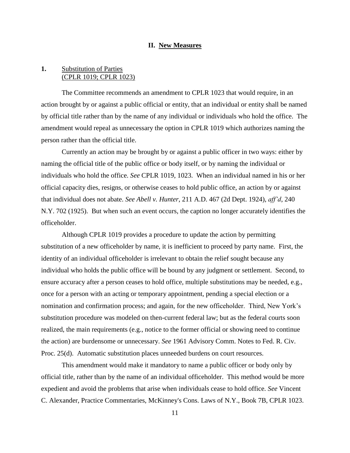#### **II. New Measures**

# **1.** Substitution of Parties (CPLR 1019; CPLR 1023)

The Committee recommends an amendment to CPLR 1023 that would require, in an action brought by or against a public official or entity, that an individual or entity shall be named by official title rather than by the name of any individual or individuals who hold the office. The amendment would repeal as unnecessary the option in CPLR 1019 which authorizes naming the person rather than the official title.

Currently an action may be brought by or against a public officer in two ways: either by naming the official title of the public office or body itself, or by naming the individual or individuals who hold the office. *See* CPLR 1019, 1023. When an individual named in his or her official capacity dies, resigns, or otherwise ceases to hold public office, an action by or against that individual does not abate. *See Abell v. Hunter*, 211 A.D. 467 (2d Dept. 1924), *aff'd*, 240 N.Y. 702 (1925). But when such an event occurs, the caption no longer accurately identifies the officeholder.

Although CPLR 1019 provides a procedure to update the action by permitting substitution of a new officeholder by name, it is inefficient to proceed by party name. First, the identity of an individual officeholder is irrelevant to obtain the relief sought because any individual who holds the public office will be bound by any judgment or settlement. Second, to ensure accuracy after a person ceases to hold office, multiple substitutions may be needed, e.g., once for a person with an acting or temporary appointment, pending a special election or a nomination and confirmation process; and again, for the new officeholder. Third, New York's substitution procedure was modeled on then-current federal law; but as the federal courts soon realized, the main requirements (e.g., notice to the former official or showing need to continue the action) are burdensome or unnecessary. *See* 1961 Advisory Comm. Notes to Fed. R. Civ. Proc. 25(d). Automatic substitution places unneeded burdens on court resources.

This amendment would make it mandatory to name a public officer or body only by official title, rather than by the name of an individual officeholder. This method would be more expedient and avoid the problems that arise when individuals cease to hold office. *See* Vincent C. Alexander, Practice Commentaries, McKinney's Cons. Laws of N.Y., Book 7B, CPLR 1023.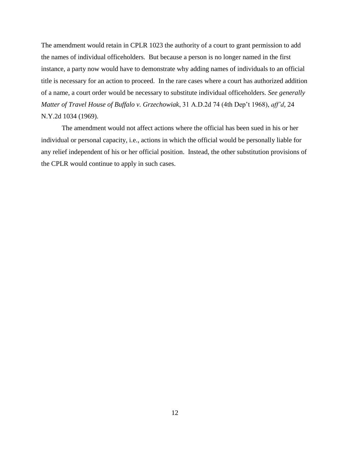The amendment would retain in CPLR 1023 the authority of a court to grant permission to add the names of individual officeholders. But because a person is no longer named in the first instance, a party now would have to demonstrate why adding names of individuals to an official title is necessary for an action to proceed. In the rare cases where a court has authorized addition of a name, a court order would be necessary to substitute individual officeholders. *See generally Matter of Travel House of Buffalo v. Grzechowiak*, 31 A.D.2d 74 (4th Dep't 1968), *aff'd*, 24 N.Y.2d 1034 (1969).

The amendment would not affect actions where the official has been sued in his or her individual or personal capacity, i.e., actions in which the official would be personally liable for any relief independent of his or her official position. Instead, the other substitution provisions of the CPLR would continue to apply in such cases.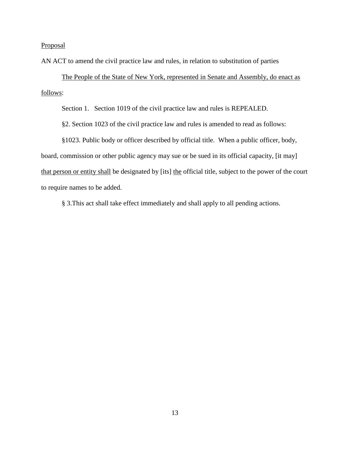AN ACT to amend the civil practice law and rules, in relation to substitution of parties

The People of the State of New York, represented in Senate and Assembly, do enact as follows:

Section 1. Section 1019 of the civil practice law and rules is REPEALED.

§2. Section 1023 of the civil practice law and rules is amended to read as follows:

§1023. Public body or officer described by official title. When a public officer, body, board, commission or other public agency may sue or be sued in its official capacity, [it may] that person or entity shall be designated by [its] the official title, subject to the power of the court to require names to be added.

§ 3.This act shall take effect immediately and shall apply to all pending actions.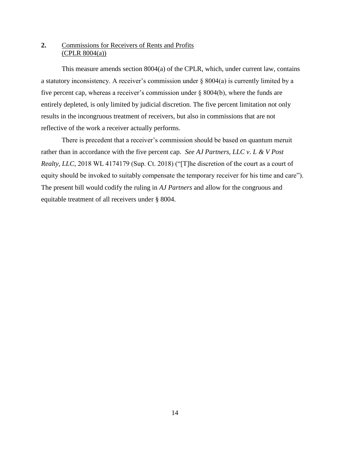# **2.** Commissions for Receivers of Rents and Profits (CPLR 8004(a))

This measure amends section 8004(a) of the CPLR, which, under current law, contains a statutory inconsistency. A receiver's commission under § 8004(a) is currently limited by a five percent cap, whereas a receiver's commission under § 8004(b), where the funds are entirely depleted, is only limited by judicial discretion. The five percent limitation not only results in the incongruous treatment of receivers, but also in commissions that are not reflective of the work a receiver actually performs.

There is precedent that a receiver's commission should be based on quantum meruit rather than in accordance with the five percent cap. *See AJ Partners, LLC v. L & V Post Realty, LLC,* 2018 WL 4174179 (Sup. Ct. 2018) ("[T]he discretion of the court as a court of equity should be invoked to suitably compensate the temporary receiver for his time and care"). The present bill would codify the ruling in *AJ Partners* and allow for the congruous and equitable treatment of all receivers under § 8004.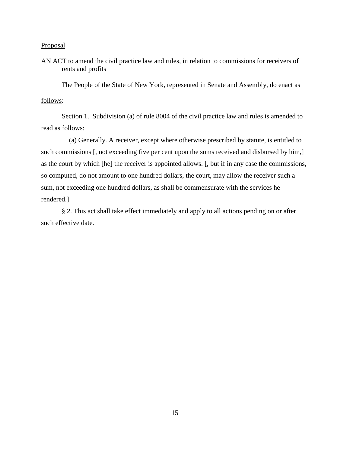AN ACT to amend the civil practice law and rules, in relation to commissions for receivers of rents and profits

The People of the State of New York, represented in Senate and Assembly, do enact as follows:

Section 1. Subdivision (a) of rule 8004 of the civil practice law and rules is amended to read as follows:

(a) Generally. A receiver, except where otherwise prescribed by statute, is entitled to such commissions [, not exceeding five per cent upon the sums received and disbursed by him,] as the court by which [he] the receiver is appointed allows. [, but if in any case the commissions, so computed, do not amount to one hundred dollars, the court, may allow the receiver such a sum, not exceeding one hundred dollars, as shall be commensurate with the services he rendered.]

§ 2. This act shall take effect immediately and apply to all actions pending on or after such effective date.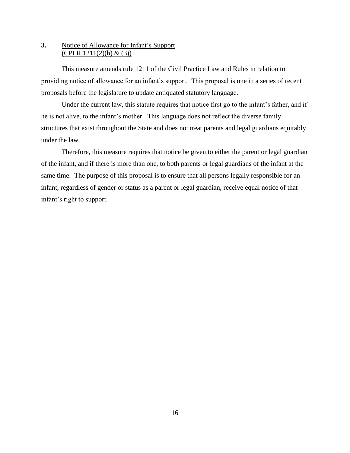# **3.** Notice of Allowance for Infant's Support (CPLR 1211(2)(b) & (3))

This measure amends rule 1211 of the Civil Practice Law and Rules in relation to providing notice of allowance for an infant's support. This proposal is one in a series of recent proposals before the legislature to update antiquated statutory language.

Under the current law, this statute requires that notice first go to the infant's father, and if he is not alive, to the infant's mother. This language does not reflect the diverse family structures that exist throughout the State and does not treat parents and legal guardians equitably under the law.

Therefore, this measure requires that notice be given to either the parent or legal guardian of the infant, and if there is more than one, to both parents or legal guardians of the infant at the same time. The purpose of this proposal is to ensure that all persons legally responsible for an infant, regardless of gender or status as a parent or legal guardian, receive equal notice of that infant's right to support.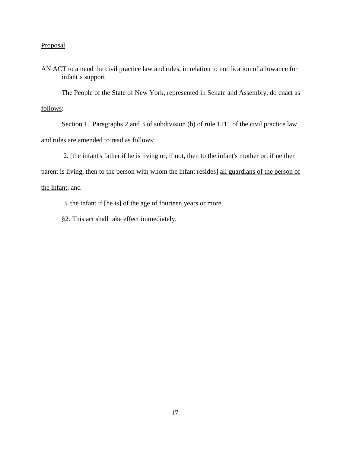AN ACT to amend the civil practice law and rules, in relation to notification of allowance for infant's support

The People of the State of New York, represented in Senate and Assembly, do enact as follows:

Section 1. Paragraphs 2 and 3 of subdivision (b) of rule 1211 of the civil practice law and rules are amended to read as follows:

2. [the infant's father if he is living or, if not, then to the infant's mother or, if neither

parent is living, then to the person with whom the infant resides] all guardians of the person of

# the infant; and

3. the infant if [he is] of the age of fourteen years or more.

§2. This act shall take effect immediately.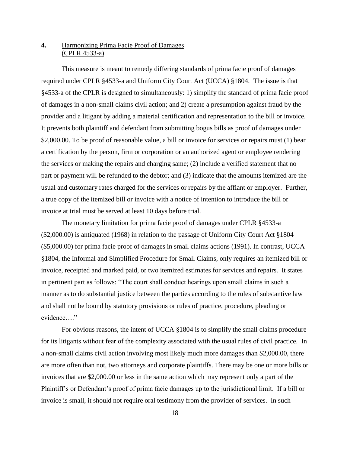### **4.** Harmonizing Prima Facie Proof of Damages (CPLR 4533-a)

This measure is meant to remedy differing standards of prima facie proof of damages required under CPLR §4533-a and Uniform City Court Act (UCCA) §1804. The issue is that §4533-a of the CPLR is designed to simultaneously: 1) simplify the standard of prima facie proof of damages in a non-small claims civil action; and 2) create a presumption against fraud by the provider and a litigant by adding a material certification and representation to the bill or invoice. It prevents both plaintiff and defendant from submitting bogus bills as proof of damages under \$2,000.00. To be proof of reasonable value, a bill or invoice for services or repairs must (1) bear a certification by the person, firm or corporation or an authorized agent or employee rendering the services or making the repairs and charging same; (2) include a verified statement that no part or payment will be refunded to the debtor; and (3) indicate that the amounts itemized are the usual and customary rates charged for the services or repairs by the affiant or employer. Further, a true copy of the itemized bill or invoice with a notice of intention to introduce the bill or invoice at trial must be served at least 10 days before trial.

The monetary limitation for prima facie proof of damages under CPLR §4533-a (\$2,000.00) is antiquated (1968) in relation to the passage of Uniform City Court Act §1804 (\$5,000.00) for prima facie proof of damages in small claims actions (1991). In contrast, UCCA §1804, the Informal and Simplified Procedure for Small Claims, only requires an itemized bill or invoice, receipted and marked paid, or two itemized estimates for services and repairs. It states in pertinent part as follows: "The court shall conduct hearings upon small claims in such a manner as to do substantial justice between the parties according to the rules of substantive law and shall not be bound by statutory provisions or rules of practice, procedure, pleading or evidence…."

For obvious reasons, the intent of UCCA §1804 is to simplify the small claims procedure for its litigants without fear of the complexity associated with the usual rules of civil practice. In a non-small claims civil action involving most likely much more damages than \$2,000.00, there are more often than not, two attorneys and corporate plaintiffs. There may be one or more bills or invoices that are \$2,000.00 or less in the same action which may represent only a part of the Plaintiff's or Defendant's proof of prima facie damages up to the jurisdictional limit. If a bill or invoice is small, it should not require oral testimony from the provider of services. In such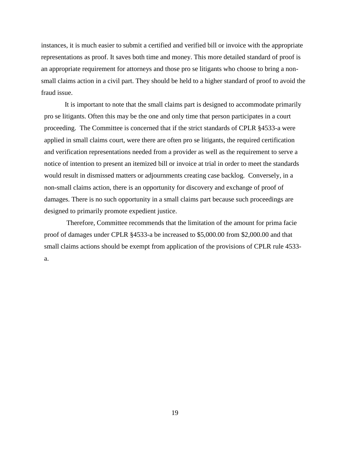instances, it is much easier to submit a certified and verified bill or invoice with the appropriate representations as proof. It saves both time and money. This more detailed standard of proof is an appropriate requirement for attorneys and those pro se litigants who choose to bring a nonsmall claims action in a civil part. They should be held to a higher standard of proof to avoid the fraud issue.

It is important to note that the small claims part is designed to accommodate primarily pro se litigants. Often this may be the one and only time that person participates in a court proceeding. The Committee is concerned that if the strict standards of CPLR §4533-a were applied in small claims court, were there are often pro se litigants, the required certification and verification representations needed from a provider as well as the requirement to serve a notice of intention to present an itemized bill or invoice at trial in order to meet the standards would result in dismissed matters or adjournments creating case backlog. Conversely, in a non-small claims action, there is an opportunity for discovery and exchange of proof of damages. There is no such opportunity in a small claims part because such proceedings are designed to primarily promote expedient justice.

Therefore, Committee recommends that the limitation of the amount for prima facie proof of damages under CPLR §4533-a be increased to \$5,000.00 from \$2,000.00 and that small claims actions should be exempt from application of the provisions of CPLR rule 4533 a.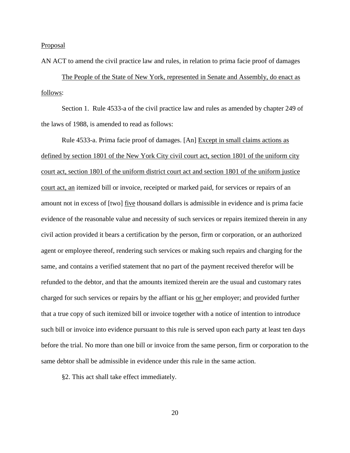AN ACT to amend the civil practice law and rules, in relation to prima facie proof of damages

The People of the State of New York, represented in Senate and Assembly, do enact as follows:

Section 1. Rule 4533-a of the civil practice law and rules as amended by chapter 249 of the laws of 1988, is amended to read as follows:

Rule 4533-a. Prima facie proof of damages. [An] Except in small claims actions as defined by section 1801 of the New York City civil court act, section 1801 of the uniform city court act, section 1801 of the uniform district court act and section 1801 of the uniform justice court act, an itemized bill or invoice, receipted or marked paid, for services or repairs of an amount not in excess of [two] five thousand dollars is admissible in evidence and is prima facie evidence of the reasonable value and necessity of such services or repairs itemized therein in any civil action provided it bears a certification by the person, firm or corporation, or an authorized agent or employee thereof, rendering such services or making such repairs and charging for the same, and contains a verified statement that no part of the payment received therefor will be refunded to the debtor, and that the amounts itemized therein are the usual and customary rates charged for such services or repairs by the affiant or his or her employer; and provided further that a true copy of such itemized bill or invoice together with a notice of intention to introduce such bill or invoice into evidence pursuant to this rule is served upon each party at least ten days before the trial. No more than one bill or invoice from the same person, firm or corporation to the same debtor shall be admissible in evidence under this rule in the same action.

§2. This act shall take effect immediately.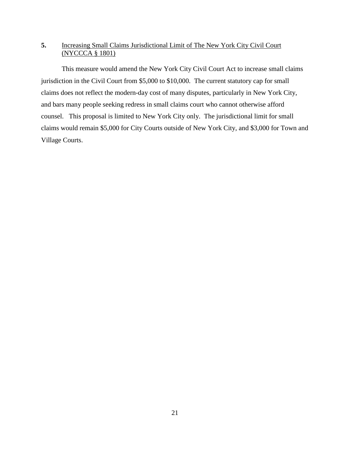# **5.** Increasing Small Claims Jurisdictional Limit of The New York City Civil Court (NYCCCA § 1801)

This measure would amend the New York City Civil Court Act to increase small claims jurisdiction in the Civil Court from \$5,000 to \$10,000. The current statutory cap for small claims does not reflect the modern-day cost of many disputes, particularly in New York City, and bars many people seeking redress in small claims court who cannot otherwise afford counsel. This proposal is limited to New York City only. The jurisdictional limit for small claims would remain \$5,000 for City Courts outside of New York City, and \$3,000 for Town and Village Courts.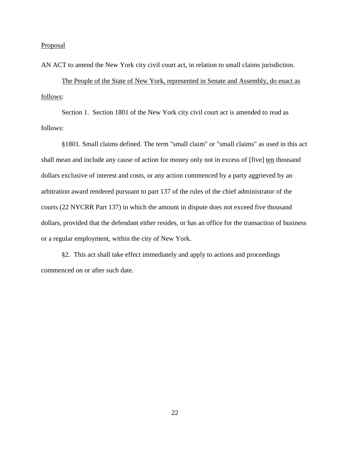AN ACT to amend the New York city civil court act, in relation to small claims jurisdiction.

The People of the State of New York, represented in Senate and Assembly, do enact as follows:

Section 1. Section 1801 of the New York city civil court act is amended to read as follows:

§1801. Small claims defined. The term "small claim" or "small claims" as used in this act shall mean and include any cause of action for money only not in excess of [five] ten thousand dollars exclusive of interest and costs, or any action commenced by a party aggrieved by an arbitration award rendered pursuant to part 137 of the rules of the chief administrator of the courts (22 NYCRR Part 137) in which the amount in dispute does not exceed five thousand dollars, provided that the defendant either resides, or has an office for the transaction of business or a regular employment, within the city of New York.

§2. This act shall take effect immediately and apply to actions and proceedings commenced on or after such date.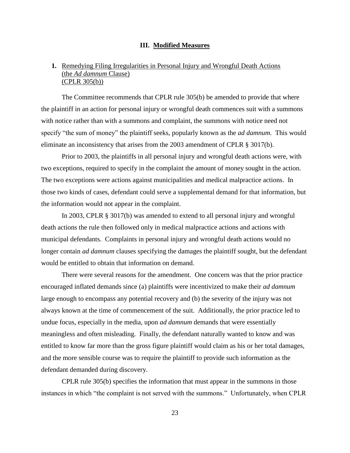#### **III. Modified Measures**

#### **1.** Remedying Filing Irregularities in Personal Injury and Wrongful Death Actions (the *Ad damnum* Clause) (CPLR 305(b))

The Committee recommends that CPLR rule 305(b) be amended to provide that where the plaintiff in an action for personal injury or wrongful death commences suit with a summons with notice rather than with a summons and complaint, the summons with notice need not specify "the sum of money" the plaintiff seeks, popularly known as the *ad damnum*. This would eliminate an inconsistency that arises from the 2003 amendment of CPLR § 3017(b).

Prior to 2003, the plaintiffs in all personal injury and wrongful death actions were, with two exceptions, required to specify in the complaint the amount of money sought in the action. The two exceptions were actions against municipalities and medical malpractice actions. In those two kinds of cases, defendant could serve a supplemental demand for that information, but the information would not appear in the complaint.

In 2003, CPLR § 3017(b) was amended to extend to all personal injury and wrongful death actions the rule then followed only in medical malpractice actions and actions with municipal defendants. Complaints in personal injury and wrongful death actions would no longer contain *ad damnum* clauses specifying the damages the plaintiff sought, but the defendant would be entitled to obtain that information on demand.

There were several reasons for the amendment. One concern was that the prior practice encouraged inflated demands since (a) plaintiffs were incentivized to make their *ad damnum* large enough to encompass any potential recovery and (b) the severity of the injury was not always known at the time of commencement of the suit. Additionally, the prior practice led to undue focus, especially in the media, upon *ad damnum* demands that were essentially meaningless and often misleading. Finally, the defendant naturally wanted to know and was entitled to know far more than the gross figure plaintiff would claim as his or her total damages, and the more sensible course was to require the plaintiff to provide such information as the defendant demanded during discovery.

CPLR rule 305(b) specifies the information that must appear in the summons in those instances in which "the complaint is not served with the summons." Unfortunately, when CPLR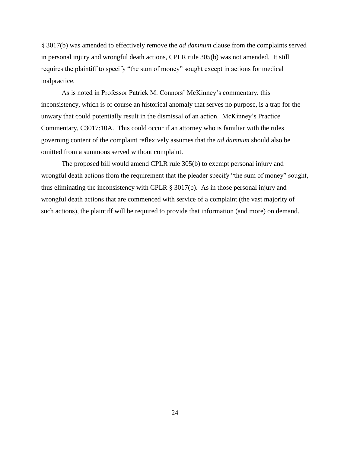§ 3017(b) was amended to effectively remove the *ad damnum* clause from the complaints served in personal injury and wrongful death actions, CPLR rule 305(b) was not amended. It still requires the plaintiff to specify "the sum of money" sought except in actions for medical malpractice.

As is noted in Professor Patrick M. Connors' McKinney's commentary, this inconsistency, which is of course an historical anomaly that serves no purpose, is a trap for the unwary that could potentially result in the dismissal of an action. McKinney's Practice Commentary, C3017:10A. This could occur if an attorney who is familiar with the rules governing content of the complaint reflexively assumes that the *ad damnum* should also be omitted from a summons served without complaint.

The proposed bill would amend CPLR rule 305(b) to exempt personal injury and wrongful death actions from the requirement that the pleader specify "the sum of money" sought, thus eliminating the inconsistency with CPLR § 3017(b). As in those personal injury and wrongful death actions that are commenced with service of a complaint (the vast majority of such actions), the plaintiff will be required to provide that information (and more) on demand.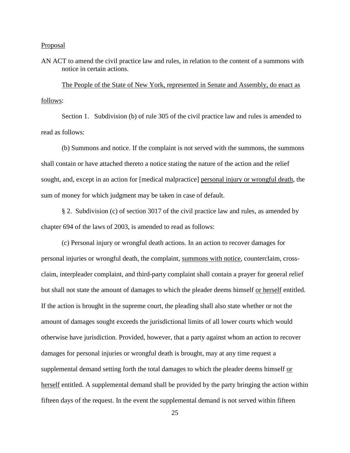AN ACT to amend the civil practice law and rules, in relation to the content of a summons with notice in certain actions.

The People of the State of New York, represented in Senate and Assembly, do enact as follows:

Section 1. Subdivision (b) of rule 305 of the civil practice law and rules is amended to read as follows:

(b) Summons and notice. If the complaint is not served with the summons, the summons shall contain or have attached thereto a notice stating the nature of the action and the relief sought, and, except in an action for [medical malpractice] personal injury or wrongful death, the sum of money for which judgment may be taken in case of default.

§ 2. [Subdivision \(c\) of section 3017 of the civil practice law and rules,](http://www.westlaw.com/Link/Document/FullText?findType=L&pubNum=1000059&cite=NYCPS3017&originatingDoc=I5D383B3168AC11E8A222E1B6FFFFF491&refType=LQ&originationContext=document&vr=3.0&rs=cblt1.0&transitionType=DocumentItem&contextData=(sc.Default)) as amended by chapter 694 of the laws of 2003, is amended to read as follows:

(c) Personal injury or wrongful death actions. In an action to recover damages for personal injuries or wrongful death, the complaint, summons with notice, counterclaim, crossclaim, interpleader complaint, and third-party complaint shall contain a prayer for general relief but shall not state the amount of damages to which the pleader deems himself or herself entitled. If the action is brought in the supreme court, the pleading shall also state whether or not the amount of damages sought exceeds the jurisdictional limits of all lower courts which would otherwise have jurisdiction. Provided, however, that a party against whom an action to recover damages for personal injuries or wrongful death is brought, may at any time request a supplemental demand setting forth the total damages to which the pleader deems himself or herself entitled. A supplemental demand shall be provided by the party bringing the action within fifteen days of the request. In the event the supplemental demand is not served within fifteen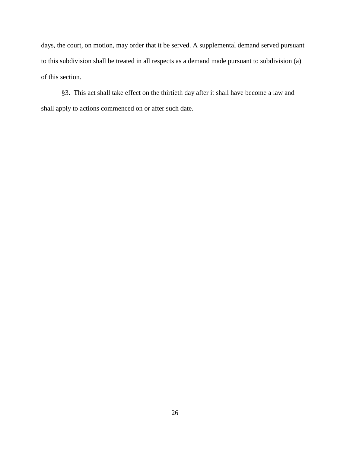days, the court, on motion, may order that it be served. A supplemental demand served pursuant to this subdivision shall be treated in all respects as a demand made pursuant to subdivision (a) of this section.

§3. This act shall take effect on the thirtieth day after it shall have become a law and shall apply to actions commenced on or after such date.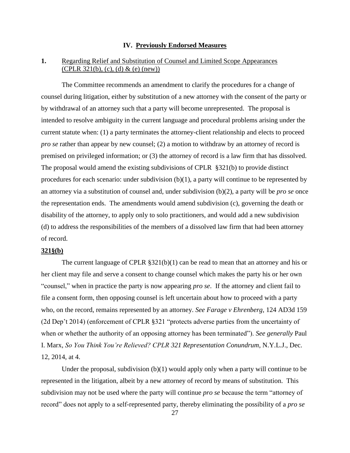#### **IV. Previously Endorsed Measures**

# **1.** Regarding Relief and Substitution of Counsel and Limited Scope Appearances (CPLR 321(b), (c), (d)  $&$  (e) (new))

The Committee recommends an amendment to clarify the procedures for a change of counsel during litigation, either by substitution of a new attorney with the consent of the party or by withdrawal of an attorney such that a party will become unrepresented. The proposal is intended to resolve ambiguity in the current language and procedural problems arising under the current statute when: (1) a party terminates the attorney-client relationship and elects to proceed *pro se* rather than appear by new counsel; (2) a motion to withdraw by an attorney of record is premised on privileged information; or (3) the attorney of record is a law firm that has dissolved. The proposal would amend the existing subdivisions of CPLR §321(b) to provide distinct procedures for each scenario: under subdivision  $(b)(1)$ , a party will continue to be represented by an attorney via a substitution of counsel and, under subdivision (b)(2), a party will be *pro se* once the representation ends. The amendments would amend subdivision (c), governing the death or disability of the attorney, to apply only to solo practitioners, and would add a new subdivision (d) to address the responsibilities of the members of a dissolved law firm that had been attorney of record.

#### **321§(b)**

The current language of CPLR  $\S 321(b)(1)$  can be read to mean that an attorney and his or her client may file and serve a consent to change counsel which makes the party his or her own "counsel," when in practice the party is now appearing *pro se*. If the attorney and client fail to file a consent form, then opposing counsel is left uncertain about how to proceed with a party who, on the record, remains represented by an attorney. *See Farage v Ehrenberg*, 124 AD3d 159 (2d Dep't 2014) (enforcement of CPLR §321 "protects adverse parties from the uncertainty of when or whether the authority of an opposing attorney has been terminated"). *See generally* Paul I. Marx, *So You Think You're Relieved? CPLR 321 Representation Conundrum*, N.Y.L.J., Dec. 12, 2014, at 4.

Under the proposal, subdivision  $(b)(1)$  would apply only when a party will continue to be represented in the litigation, albeit by a new attorney of record by means of substitution. This subdivision may not be used where the party will continue *pro se* because the term "attorney of record" does not apply to a self-represented party, thereby eliminating the possibility of a *pro se*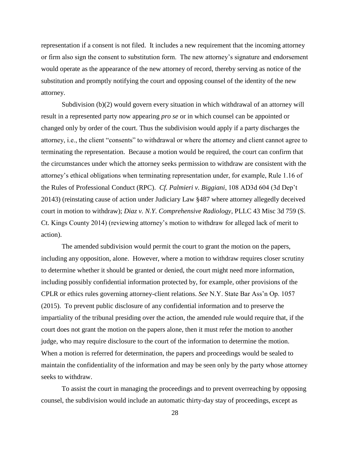representation if a consent is not filed. It includes a new requirement that the incoming attorney or firm also sign the consent to substitution form. The new attorney's signature and endorsement would operate as the appearance of the new attorney of record, thereby serving as notice of the substitution and promptly notifying the court and opposing counsel of the identity of the new attorney.

Subdivision (b)(2) would govern every situation in which withdrawal of an attorney will result in a represented party now appearing *pro se* or in which counsel can be appointed or changed only by order of the court. Thus the subdivision would apply if a party discharges the attorney, i.e., the client "consents" to withdrawal or where the attorney and client cannot agree to terminating the representation. Because a motion would be required, the court can confirm that the circumstances under which the attorney seeks permission to withdraw are consistent with the attorney's ethical obligations when terminating representation under, for example, Rule 1.16 of the Rules of Professional Conduct (RPC). *Cf. Palmieri v. Biggiani*, 108 AD3d 604 (3d Dep't 20143) (reinstating cause of action under Judiciary Law §487 where attorney allegedly deceived court in motion to withdraw); *Diaz v. N.Y. Comprehensive Radiology*, PLLC 43 Misc 3d 759 (S. Ct. Kings County 2014) (reviewing attorney's motion to withdraw for alleged lack of merit to action).

The amended subdivision would permit the court to grant the motion on the papers, including any opposition, alone. However, where a motion to withdraw requires closer scrutiny to determine whether it should be granted or denied, the court might need more information, including possibly confidential information protected by, for example, other provisions of the CPLR or ethics rules governing attorney-client relations. *See* N.Y. State Bar Ass'n Op. 1057 (2015). To prevent public disclosure of any confidential information and to preserve the impartiality of the tribunal presiding over the action, the amended rule would require that, if the court does not grant the motion on the papers alone, then it must refer the motion to another judge, who may require disclosure to the court of the information to determine the motion. When a motion is referred for determination, the papers and proceedings would be sealed to maintain the confidentiality of the information and may be seen only by the party whose attorney seeks to withdraw.

To assist the court in managing the proceedings and to prevent overreaching by opposing counsel, the subdivision would include an automatic thirty-day stay of proceedings, except as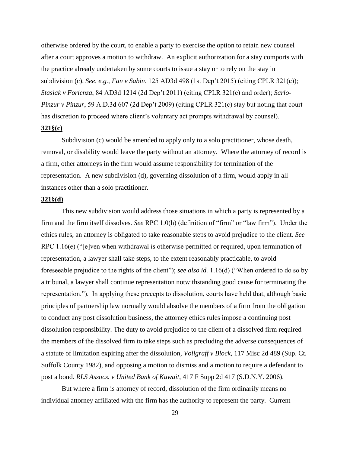otherwise ordered by the court, to enable a party to exercise the option to retain new counsel after a court approves a motion to withdraw. An explicit authorization for a stay comports with the practice already undertaken by some courts to issue a stay or to rely on the stay in subdivision (c). *See, e.g.*, *Fan v Sabin*, 125 AD3d 498 (1st Dep't 2015) (citing CPLR 321(c)); *Stasiak v Forlenza*, 84 AD3d 1214 (2d Dep't 2011) (citing CPLR 321(c) and order); *Sarlo-Pinzur v Pinzur*, 59 A.D.3d 607 (2d Dep't 2009) (citing CPLR 321(c) stay but noting that court has discretion to proceed where client's voluntary act prompts withdrawal by counsel). **321§(c)**

Subdivision (c) would be amended to apply only to a solo practitioner, whose death, removal, or disability would leave the party without an attorney. Where the attorney of record is a firm, other attorneys in the firm would assume responsibility for termination of the representation. A new subdivision (d), governing dissolution of a firm, would apply in all instances other than a solo practitioner.

#### **321§(d)**

This new subdivision would address those situations in which a party is represented by a firm and the firm itself dissolves. *See* RPC 1.0(h) (definition of "firm" or "law firm"). Under the ethics rules, an attorney is obligated to take reasonable steps to avoid prejudice to the client. *See* RPC 1.16(e) ("[e]ven when withdrawal is otherwise permitted or required, upon termination of representation, a lawyer shall take steps, to the extent reasonably practicable, to avoid foreseeable prejudice to the rights of the client"); *see also id.* 1.16(d) ("When ordered to do so by a tribunal, a lawyer shall continue representation notwithstanding good cause for terminating the representation."). In applying these precepts to dissolution, courts have held that, although basic principles of partnership law normally would absolve the members of a firm from the obligation to conduct any post dissolution business, the attorney ethics rules impose a continuing post dissolution responsibility. The duty to avoid prejudice to the client of a dissolved firm required the members of the dissolved firm to take steps such as precluding the adverse consequences of a statute of limitation expiring after the dissolution, *Vollgraff v Block*, 117 Misc 2d 489 (Sup. Ct. Suffolk County 1982), and opposing a motion to dismiss and a motion to require a defendant to post a bond. *RLS Assocs. v United Bank of Kuwait*, 417 F Supp 2d 417 (S.D.N.Y. 2006).

But where a firm is attorney of record, dissolution of the firm ordinarily means no individual attorney affiliated with the firm has the authority to represent the party. Current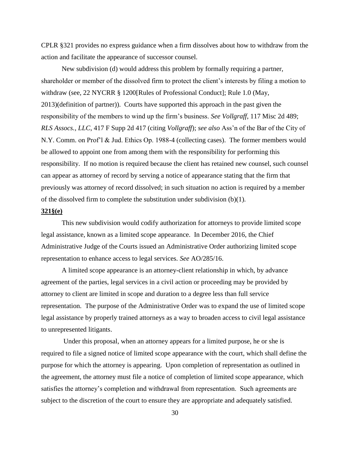CPLR §321 provides no express guidance when a firm dissolves about how to withdraw from the action and facilitate the appearance of successor counsel.

New subdivision (d) would address this problem by formally requiring a partner, shareholder or member of the dissolved firm to protect the client's interests by filing a motion to withdraw (see, 22 NYCRR § 1200[Rules of Professional Conduct]; Rule 1.0 (May, 2013)(definition of partner)). Courts have supported this approach in the past given the responsibility of the members to wind up the firm's business. *See Vollgraff*, 117 Misc 2d 489; *RLS Assocs., LLC*, 417 F Supp 2d 417 (citing *Vollgraff*); *see also* Ass'n of the Bar of the City of N.Y. Comm. on Prof'l & Jud. Ethics Op. 1988-4 (collecting cases). The former members would be allowed to appoint one from among them with the responsibility for performing this responsibility. If no motion is required because the client has retained new counsel, such counsel can appear as attorney of record by serving a notice of appearance stating that the firm that previously was attorney of record dissolved; in such situation no action is required by a member of the dissolved firm to complete the substitution under subdivision (b)(1).

#### **321§(e)**

This new subdivision would codify authorization for attorneys to provide limited scope legal assistance, known as a limited scope appearance. In December 2016, the Chief Administrative Judge of the Courts issued an Administrative Order authorizing limited scope representation to enhance access to legal services. *See* AO/285/16.

A limited scope appearance is an attorney-client relationship in which, by advance agreement of the parties, legal services in a civil action or proceeding may be provided by attorney to client are limited in scope and duration to a degree less than full service representation. The purpose of the Administrative Order was to expand the use of limited scope legal assistance by properly trained attorneys as a way to broaden access to civil legal assistance to unrepresented litigants.

Under this proposal, when an attorney appears for a limited purpose, he or she is required to file a signed notice of limited scope appearance with the court, which shall define the purpose for which the attorney is appearing. Upon completion of representation as outlined in the agreement, the attorney must file a notice of completion of limited scope appearance, which satisfies the attorney's completion and withdrawal from representation. Such agreements are subject to the discretion of the court to ensure they are appropriate and adequately satisfied.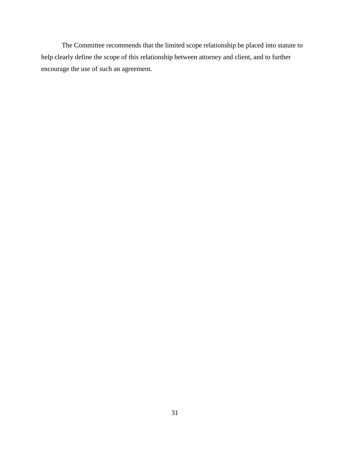The Committee recommends that the limited scope relationship be placed into statute to help clearly define the scope of this relationship between attorney and client, and to further encourage the use of such an agreement.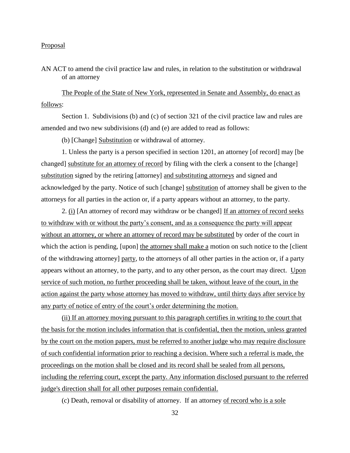AN ACT to amend the civil practice law and rules, in relation to the substitution or withdrawal of an attorney

The People of the State of New York, represented in Senate and Assembly, do enact as follows:

Section 1. Subdivisions (b) and (c) of section 321 of the civil practice law and rules are amended and two new subdivisions (d) and (e) are added to read as follows:

(b) [Change] Substitution or withdrawal of attorney.

 1. Unless the party is a person specified in section 1201, an attorney [of record] may [be changed] substitute for an attorney of record by filing with the clerk a consent to the [change] substitution signed by the retiring [attorney] and substituting attorneys and signed and acknowledged by the party. Notice of such [change] substitution of attorney shall be given to the attorneys for all parties in the action or, if a party appears without an attorney, to the party.

2. (i) [An attorney of record may withdraw or be changed] If an attorney of record seeks to withdraw with or without the party's consent, and as a consequence the party will appear without an attorney, or where an attorney of record may be substituted by order of the court in which the action is pending, [upon] the attorney shall make a motion on such notice to the [client of the withdrawing attorney] party, to the attorneys of all other parties in the action or, if a party appears without an attorney, to the party, and to any other person, as the court may direct. Upon service of such motion, no further proceeding shall be taken, without leave of the court, in the action against the party whose attorney has moved to withdraw, until thirty days after service by any party of notice of entry of the court's order determining the motion.

(ii) If an attorney moving pursuant to this paragraph certifies in writing to the court that the basis for the motion includes information that is confidential, then the motion, unless granted by the court on the motion papers, must be referred to another judge who may require disclosure of such confidential information prior to reaching a decision. Where such a referral is made, the proceedings on the motion shall be closed and its record shall be sealed from all persons, including the referring court, except the party. Any information disclosed pursuant to the referred judge's direction shall for all other purposes remain confidential.

(c) Death, removal or disability of attorney. If an attorney of record who is a sole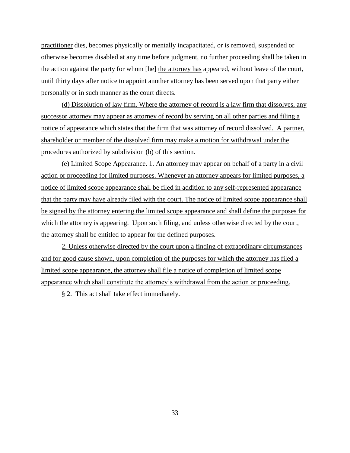practitioner dies, becomes physically or mentally incapacitated, or is removed, suspended or otherwise becomes disabled at any time before judgment, no further proceeding shall be taken in the action against the party for whom [he] the attorney has appeared, without leave of the court, until thirty days after notice to appoint another attorney has been served upon that party either personally or in such manner as the court directs.

(d) Dissolution of law firm. Where the attorney of record is a law firm that dissolves, any successor attorney may appear as attorney of record by serving on all other parties and filing a notice of appearance which states that the firm that was attorney of record dissolved. A partner, shareholder or member of the dissolved firm may make a motion for withdrawal under the procedures authorized by subdivision (b) of this section.

(e) Limited Scope Appearance. 1. An attorney may appear on behalf of a party in a civil action or proceeding for limited purposes. Whenever an attorney appears for limited purposes, a notice of limited scope appearance shall be filed in addition to any self-represented appearance that the party may have already filed with the court. The notice of limited scope appearance shall be signed by the attorney entering the limited scope appearance and shall define the purposes for which the attorney is appearing. Upon such filing, and unless otherwise directed by the court, the attorney shall be entitled to appear for the defined purposes.

2. Unless otherwise directed by the court upon a finding of extraordinary circumstances and for good cause shown, upon completion of the purposes for which the attorney has filed a limited scope appearance, the attorney shall file a notice of completion of limited scope appearance which shall constitute the attorney's withdrawal from the action or proceeding.

§ 2. This act shall take effect immediately.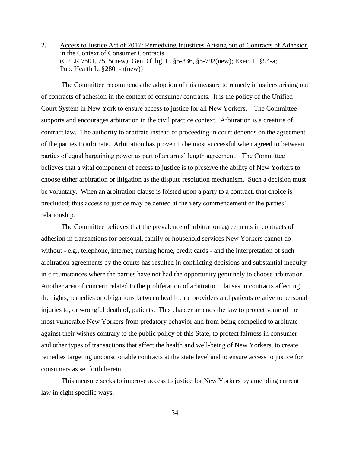**2.** Access to Justice Act of 2017: Remedying Injustices Arising out of Contracts of Adhesion in the Context of Consumer Contracts (CPLR 7501, 7515(new); Gen. Oblig. L. §5-336, §5-792(new); Exec. L. §94-a; Pub. Health L. §2801-h(new))

The Committee recommends the adoption of this measure to remedy injustices arising out of contracts of adhesion in the context of consumer contracts. It is the policy of the Unified Court System in New York to ensure access to justice for all New Yorkers. The Committee supports and encourages arbitration in the civil practice context. Arbitration is a creature of contract law. The authority to arbitrate instead of proceeding in court depends on the agreement of the parties to arbitrate. Arbitration has proven to be most successful when agreed to between parties of equal bargaining power as part of an arms' length agreement. The Committee believes that a vital component of access to justice is to preserve the ability of New Yorkers to choose either arbitration or litigation as the dispute resolution mechanism. Such a decision must be voluntary. When an arbitration clause is foisted upon a party to a contract, that choice is precluded; thus access to justice may be denied at the very commencement of the parties' relationship.

The Committee believes that the prevalence of arbitration agreements in contracts of adhesion in transactions for personal, family or household services New Yorkers cannot do without - e.g., telephone, internet, nursing home, credit cards - and the interpretation of such arbitration agreements by the courts has resulted in conflicting decisions and substantial inequity in circumstances where the parties have not had the opportunity genuinely to choose arbitration. Another area of concern related to the proliferation of arbitration clauses in contracts affecting the rights, remedies or obligations between health care providers and patients relative to personal injuries to, or wrongful death of, patients. This chapter amends the law to protect some of the most vulnerable New Yorkers from predatory behavior and from being compelled to arbitrate against their wishes contrary to the public policy of this State, to protect fairness in consumer and other types of transactions that affect the health and well-being of New Yorkers, to create remedies targeting unconscionable contracts at the state level and to ensure access to justice for consumers as set forth herein.

This measure seeks to improve access to justice for New Yorkers by amending current law in eight specific ways.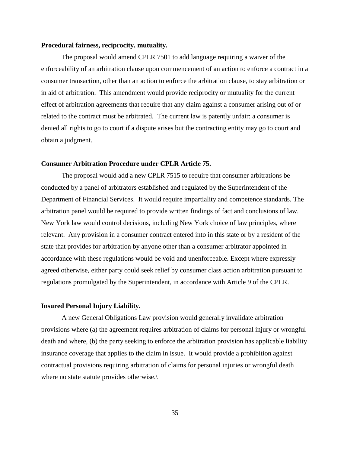#### **Procedural fairness, reciprocity, mutuality.**

The proposal would amend CPLR 7501 to add language requiring a waiver of the enforceability of an arbitration clause upon commencement of an action to enforce a contract in a consumer transaction, other than an action to enforce the arbitration clause, to stay arbitration or in aid of arbitration. This amendment would provide reciprocity or mutuality for the current effect of arbitration agreements that require that any claim against a consumer arising out of or related to the contract must be arbitrated. The current law is patently unfair: a consumer is denied all rights to go to court if a dispute arises but the contracting entity may go to court and obtain a judgment.

#### **Consumer Arbitration Procedure under CPLR Article 75.**

The proposal would add a new CPLR 7515 to require that consumer arbitrations be conducted by a panel of arbitrators established and regulated by the Superintendent of the Department of Financial Services. It would require impartiality and competence standards. The arbitration panel would be required to provide written findings of fact and conclusions of law. New York law would control decisions, including New York choice of law principles, where relevant. Any provision in a consumer contract entered into in this state or by a resident of the state that provides for arbitration by anyone other than a consumer arbitrator appointed in accordance with these regulations would be void and unenforceable. Except where expressly agreed otherwise, either party could seek relief by consumer class action arbitration pursuant to regulations promulgated by the Superintendent, in accordance with Article 9 of the CPLR.

#### **Insured Personal Injury Liability.**

A new General Obligations Law provision would generally invalidate arbitration provisions where (a) the agreement requires arbitration of claims for personal injury or wrongful death and where, (b) the party seeking to enforce the arbitration provision has applicable liability insurance coverage that applies to the claim in issue. It would provide a prohibition against contractual provisions requiring arbitration of claims for personal injuries or wrongful death where no state statute provides otherwise.\

35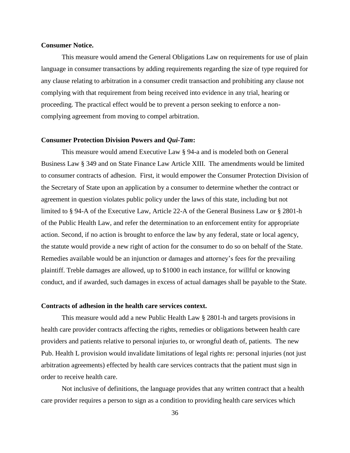#### **Consumer Notice.**

This measure would amend the General Obligations Law on requirements for use of plain language in consumer transactions by adding requirements regarding the size of type required for any clause relating to arbitration in a consumer credit transaction and prohibiting any clause not complying with that requirement from being received into evidence in any trial, hearing or proceeding. The practical effect would be to prevent a person seeking to enforce a noncomplying agreement from moving to compel arbitration.

#### **Consumer Protection Division Powers and** *Qui-Tam***:**

This measure would amend Executive Law § 94-a and is modeled both on General Business Law § 349 and on State Finance Law Article XIII. The amendments would be limited to consumer contracts of adhesion. First, it would empower the Consumer Protection Division of the Secretary of State upon an application by a consumer to determine whether the contract or agreement in question violates public policy under the laws of this state, including but not limited to § 94-A of the Executive Law, Article 22-A of the General Business Law or § 2801-h of the Public Health Law, and refer the determination to an enforcement entity for appropriate action. Second, if no action is brought to enforce the law by any federal, state or local agency, the statute would provide a new right of action for the consumer to do so on behalf of the State. Remedies available would be an injunction or damages and attorney's fees for the prevailing plaintiff. Treble damages are allowed, up to \$1000 in each instance, for willful or knowing conduct, and if awarded, such damages in excess of actual damages shall be payable to the State.

#### **Contracts of adhesion in the health care services context.**

This measure would add a new Public Health Law § 2801-h and targets provisions in health care provider contracts affecting the rights, remedies or obligations between health care providers and patients relative to personal injuries to, or wrongful death of, patients. The new Pub. Health L provision would invalidate limitations of legal rights re: personal injuries (not just arbitration agreements) effected by health care services contracts that the patient must sign in order to receive health care.

Not inclusive of definitions, the language provides that any written contract that a health care provider requires a person to sign as a condition to providing health care services which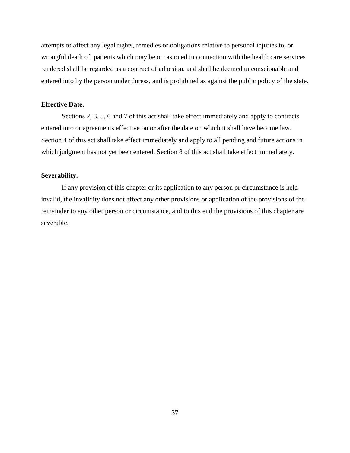attempts to affect any legal rights, remedies or obligations relative to personal injuries to, or wrongful death of, patients which may be occasioned in connection with the health care services rendered shall be regarded as a contract of adhesion, and shall be deemed unconscionable and entered into by the person under duress, and is prohibited as against the public policy of the state.

# **Effective Date.**

Sections 2, 3, 5, 6 and 7 of this act shall take effect immediately and apply to contracts entered into or agreements effective on or after the date on which it shall have become law. Section 4 of this act shall take effect immediately and apply to all pending and future actions in which judgment has not yet been entered. Section 8 of this act shall take effect immediately.

#### **Severability.**

If any provision of this chapter or its application to any person or circumstance is held invalid, the invalidity does not affect any other provisions or application of the provisions of the remainder to any other person or circumstance, and to this end the provisions of this chapter are severable.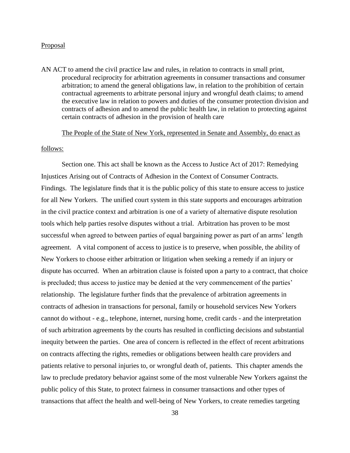#### Proposal

AN ACT to amend the civil practice law and rules, in relation to contracts in small print, procedural reciprocity for arbitration agreements in consumer transactions and consumer arbitration; to amend the general obligations law, in relation to the prohibition of certain contractual agreements to arbitrate personal injury and wrongful death claims; to amend the executive law in relation to powers and duties of the consumer protection division and contracts of adhesion and to amend the public health law, in relation to protecting against certain contracts of adhesion in the provision of health care

The People of the State of New York, represented in Senate and Assembly, do enact as follows:

Section one. This act shall be known as the Access to Justice Act of 2017: Remedying Injustices Arising out of Contracts of Adhesion in the Context of Consumer Contracts. Findings. The legislature finds that it is the public policy of this state to ensure access to justice for all New Yorkers. The unified court system in this state supports and encourages arbitration in the civil practice context and arbitration is one of a variety of alternative dispute resolution tools which help parties resolve disputes without a trial. Arbitration has proven to be most successful when agreed to between parties of equal bargaining power as part of an arms' length agreement. A vital component of access to justice is to preserve, when possible, the ability of New Yorkers to choose either arbitration or litigation when seeking a remedy if an injury or dispute has occurred. When an arbitration clause is foisted upon a party to a contract, that choice is precluded; thus access to justice may be denied at the very commencement of the parties' relationship. The legislature further finds that the prevalence of arbitration agreements in contracts of adhesion in transactions for personal, family or household services New Yorkers cannot do without - e.g., telephone, internet, nursing home, credit cards - and the interpretation of such arbitration agreements by the courts has resulted in conflicting decisions and substantial inequity between the parties. One area of concern is reflected in the effect of recent arbitrations on contracts affecting the rights, remedies or obligations between health care providers and patients relative to personal injuries to, or wrongful death of, patients. This chapter amends the law to preclude predatory behavior against some of the most vulnerable New Yorkers against the public policy of this State, to protect fairness in consumer transactions and other types of transactions that affect the health and well-being of New Yorkers, to create remedies targeting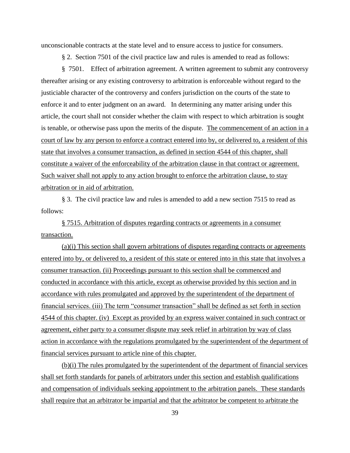unconscionable contracts at the state level and to ensure access to justice for consumers.

§ 2. Section 7501 of the civil practice law and rules is amended to read as follows:

§ 7501. Effect of arbitration agreement. A written agreement to submit any controversy thereafter arising or any existing controversy to arbitration is enforceable without regard to the justiciable character of the controversy and confers jurisdiction on the courts of the state to enforce it and to enter judgment on an award. In determining any matter arising under this article, the court shall not consider whether the claim with respect to which arbitration is sought is tenable, or otherwise pass upon the merits of the dispute. The commencement of an action in a court of law by any person to enforce a contract entered into by, or delivered to, a resident of this state that involves a consumer transaction, as defined in section 4544 of this chapter, shall constitute a waiver of the enforceability of the arbitration clause in that contract or agreement. Such waiver shall not apply to any action brought to enforce the arbitration clause, to stay arbitration or in aid of arbitration.

§ 3. The civil practice law and rules is amended to add a new section 7515 to read as follows:

§ 7515. Arbitration of disputes regarding contracts or agreements in a consumer transaction.

(a)(i) This section shall govern arbitrations of disputes regarding contracts or agreements entered into by, or delivered to, a resident of this state or entered into in this state that involves a consumer transaction. (ii) Proceedings pursuant to this section shall be commenced and conducted in accordance with this article, except as otherwise provided by this section and in accordance with rules promulgated and approved by the superintendent of the department of financial services. (iii) The term "consumer transaction" shall be defined as set forth in section 4544 of this chapter. (iv) Except as provided by an express waiver contained in such contract or agreement, either party to a consumer dispute may seek relief in arbitration by way of class action in accordance with the regulations promulgated by the superintendent of the department of financial services pursuant to article nine of this chapter.

(b)(i) The rules promulgated by the superintendent of the department of financial services shall set forth standards for panels of arbitrators under this section and establish qualifications and compensation of individuals seeking appointment to the arbitration panels. These standards shall require that an arbitrator be impartial and that the arbitrator be competent to arbitrate the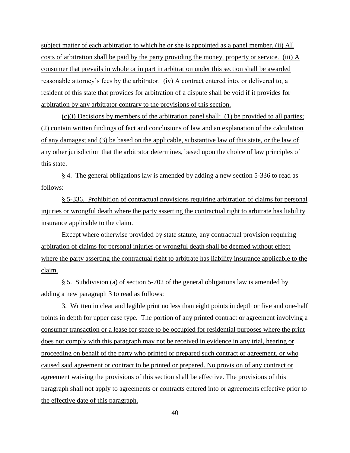subject matter of each arbitration to which he or she is appointed as a panel member. (ii) All costs of arbitration shall be paid by the party providing the money, property or service. (iii) A consumer that prevails in whole or in part in arbitration under this section shall be awarded reasonable attorney's fees by the arbitrator. (iv) A contract entered into, or delivered to, a resident of this state that provides for arbitration of a dispute shall be void if it provides for arbitration by any arbitrator contrary to the provisions of this section.

 $(c)(i)$  Decisions by members of the arbitration panel shall: (1) be provided to all parties; (2) contain written findings of fact and conclusions of law and an explanation of the calculation of any damages; and (3) be based on the applicable, substantive law of this state, or the law of any other jurisdiction that the arbitrator determines, based upon the choice of law principles of this state.

§ 4. The general obligations law is amended by adding a new section 5-336 to read as follows:

§ 5-336. Prohibition of contractual provisions requiring arbitration of claims for personal injuries or wrongful death where the party asserting the contractual right to arbitrate has liability insurance applicable to the claim.

Except where otherwise provided by state statute, any contractual provision requiring arbitration of claims for personal injuries or wrongful death shall be deemed without effect where the party asserting the contractual right to arbitrate has liability insurance applicable to the claim.

§ 5. Subdivision (a) of section 5-702 of the general obligations law is amended by adding a new paragraph 3 to read as follows:

3. Written in clear and legible print no less than eight points in depth or five and one-half points in depth for upper case type. The portion of any printed contract or agreement involving a consumer transaction or a lease for space to be occupied for residential purposes where the print does not comply with this paragraph may not be received in evidence in any trial, hearing or proceeding on behalf of the party who printed or prepared such contract or agreement, or who caused said agreement or contract to be printed or prepared. No provision of any contract or agreement waiving the provisions of this section shall be effective. The provisions of this paragraph shall not apply to agreements or contracts entered into or agreements effective prior to the effective date of this paragraph.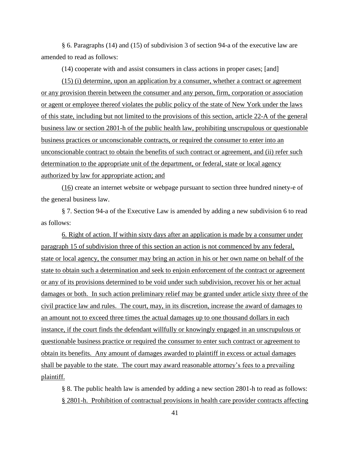§ 6. Paragraphs (14) and (15) of subdivision 3 of section 94-a of the executive law are amended to read as follows:

(14) cooperate with and assist consumers in class actions in proper cases; [and]

(15) (i) determine, upon an application by a consumer, whether a contract or agreement or any provision therein between the consumer and any person, firm, corporation or association or agent or employee thereof violates the public policy of the state of New York under the laws of this state, including but not limited to the provisions of this section, article 22-A of the general business law or section 2801-h of the public health law, prohibiting unscrupulous or questionable business practices or unconscionable contracts, or required the consumer to enter into an unconscionable contract to obtain the benefits of such contract or agreement, and (ii) refer such determination to the appropriate unit of the department, or federal, state or local agency authorized by law for appropriate action; and

(16) create an internet website or webpage pursuant to section three hundred ninety-e of the general business law.

§ 7. Section 94-a of the Executive Law is amended by adding a new subdivision 6 to read as follows:

 6. Right of action. If within sixty days after an application is made by a consumer under paragraph 15 of subdivision three of this section an action is not commenced by any federal, state or local agency, the consumer may bring an action in his or her own name on behalf of the state to obtain such a determination and seek to enjoin enforcement of the contract or agreement or any of its provisions determined to be void under such subdivision, recover his or her actual damages or both. In such action preliminary relief may be granted under article sixty three of the civil practice law and rules. The court, may, in its discretion, increase the award of damages to an amount not to exceed three times the actual damages up to one thousand dollars in each instance, if the court finds the defendant willfully or knowingly engaged in an unscrupulous or questionable business practice or required the consumer to enter such contract or agreement to obtain its benefits. Any amount of damages awarded to plaintiff in excess or actual damages shall be payable to the state. The court may award reasonable attorney's fees to a prevailing plaintiff.

§ 8. The public health law is amended by adding a new section 2801-h to read as follows: § 2801-h. Prohibition of contractual provisions in health care provider contracts affecting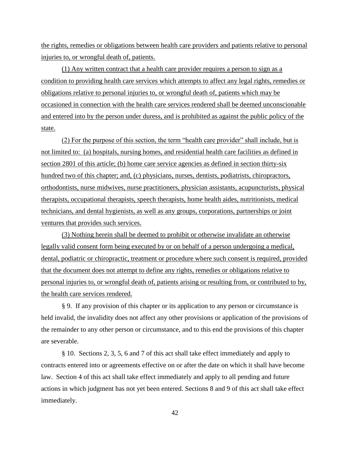the rights, remedies or obligations between health care providers and patients relative to personal injuries to, or wrongful death of, patients.

(1) Any written contract that a health care provider requires a person to sign as a condition to providing health care services which attempts to affect any legal rights, remedies or obligations relative to personal injuries to, or wrongful death of, patients which may be occasioned in connection with the health care services rendered shall be deemed unconscionable and entered into by the person under duress, and is prohibited as against the public policy of the state.

(2) For the purpose of this section, the term "health care provider" shall include, but is not limited to: (a) hospitals, nursing homes, and residential health care facilities as defined in section 2801 of this article; (b) home care service agencies as defined in section thirty-six hundred two of this chapter; and, (c) physicians, nurses, dentists, podiatrists, chiropractors, orthodontists, nurse midwives, nurse practitioners, physician assistants, acupuncturists, physical therapists, occupational therapists, speech therapists, home health aides, nutritionists, medical technicians, and dental hygienists, as well as any groups, corporations, partnerships or joint ventures that provides such services.

(3) Nothing herein shall be deemed to prohibit or otherwise invalidate an otherwise legally valid consent form being executed by or on behalf of a person undergoing a medical, dental, podiatric or chiropractic, treatment or procedure where such consent is required, provided that the document does not attempt to define any rights, remedies or obligations relative to personal injuries to, or wrongful death of, patients arising or resulting from, or contributed to by, the health care services rendered.

§ 9. If any provision of this chapter or its application to any person or circumstance is held invalid, the invalidity does not affect any other provisions or application of the provisions of the remainder to any other person or circumstance, and to this end the provisions of this chapter are severable.

§ 10. Sections 2, 3, 5, 6 and 7 of this act shall take effect immediately and apply to contracts entered into or agreements effective on or after the date on which it shall have become law. Section 4 of this act shall take effect immediately and apply to all pending and future actions in which judgment has not yet been entered. Sections 8 and 9 of this act shall take effect immediately.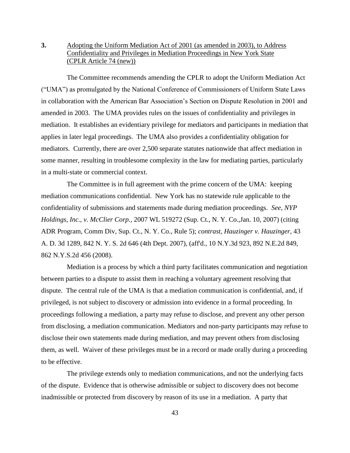# **3.** Adopting the Uniform Mediation Act of 2001 (as amended in 2003), to Address Confidentiality and Privileges in Mediation Proceedings in New York State (CPLR Article 74 (new))

The Committee recommends amending the CPLR to adopt the Uniform Mediation Act ("UMA") as promulgated by the National Conference of Commissioners of Uniform State Laws in collaboration with the American Bar Association's Section on Dispute Resolution in 2001 and amended in 2003. The UMA provides rules on the issues of confidentiality and privileges in mediation. It establishes an evidentiary privilege for mediators and participants in mediation that applies in later legal proceedings. The UMA also provides a confidentiality obligation for mediators. Currently, there are over 2,500 separate statutes nationwide that affect mediation in some manner, resulting in troublesome complexity in the law for mediating parties, particularly in a multi-state or commercial context.

The Committee is in full agreement with the prime concern of the UMA: keeping mediation communications confidential. New York has no statewide rule applicable to the confidentiality of submissions and statements made during mediation proceedings. *See, NYP Holdings, Inc., v. McClier Corp.*, 2007 WL 519272 (Sup. Ct., N. Y. Co.,Jan. 10, 2007) (citing ADR Program, Comm Div, Sup. Ct., N. Y. Co., Rule 5); *contrast, Hauzinger v. Hauzinger*, 43 A. D. 3d 1289, 842 N. Y. S. 2d 646 (4th Dept. 2007), (aff'd., 10 N.Y.3d 923, 892 N.E.2d 849, 862 N.Y.S.2d 456 (2008).

Mediation is a process by which a third party facilitates communication and negotiation between parties to a dispute to assist them in reaching a voluntary agreement resolving that dispute. The central rule of the UMA is that a mediation communication is confidential, and, if privileged, is not subject to discovery or admission into evidence in a formal proceeding. In proceedings following a mediation, a party may refuse to disclose, and prevent any other person from disclosing, a mediation communication. Mediators and non-party participants may refuse to disclose their own statements made during mediation, and may prevent others from disclosing them, as well. Waiver of these privileges must be in a record or made orally during a proceeding to be effective.

The privilege extends only to mediation communications, and not the underlying facts of the dispute. Evidence that is otherwise admissible or subject to discovery does not become inadmissible or protected from discovery by reason of its use in a mediation. A party that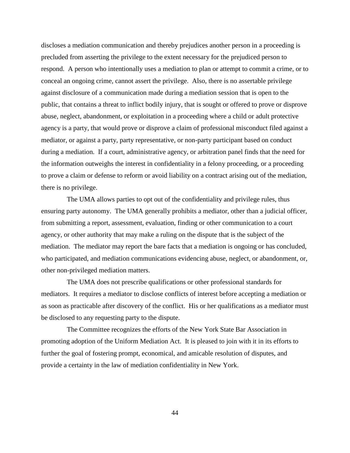discloses a mediation communication and thereby prejudices another person in a proceeding is precluded from asserting the privilege to the extent necessary for the prejudiced person to respond. A person who intentionally uses a mediation to plan or attempt to commit a crime, or to conceal an ongoing crime, cannot assert the privilege. Also, there is no assertable privilege against disclosure of a communication made during a mediation session that is open to the public, that contains a threat to inflict bodily injury, that is sought or offered to prove or disprove abuse, neglect, abandonment, or exploitation in a proceeding where a child or adult protective agency is a party, that would prove or disprove a claim of professional misconduct filed against a mediator, or against a party, party representative, or non-party participant based on conduct during a mediation. If a court, administrative agency, or arbitration panel finds that the need for the information outweighs the interest in confidentiality in a felony proceeding, or a proceeding to prove a claim or defense to reform or avoid liability on a contract arising out of the mediation, there is no privilege.

The UMA allows parties to opt out of the confidentiality and privilege rules, thus ensuring party autonomy. The UMA generally prohibits a mediator, other than a judicial officer, from submitting a report, assessment, evaluation, finding or other communication to a court agency, or other authority that may make a ruling on the dispute that is the subject of the mediation. The mediator may report the bare facts that a mediation is ongoing or has concluded, who participated, and mediation communications evidencing abuse, neglect, or abandonment, or, other non-privileged mediation matters.

The UMA does not prescribe qualifications or other professional standards for mediators. It requires a mediator to disclose conflicts of interest before accepting a mediation or as soon as practicable after discovery of the conflict. His or her qualifications as a mediator must be disclosed to any requesting party to the dispute.

The Committee recognizes the efforts of the New York State Bar Association in promoting adoption of the Uniform Mediation Act. It is pleased to join with it in its efforts to further the goal of fostering prompt, economical, and amicable resolution of disputes, and provide a certainty in the law of mediation confidentiality in New York.

44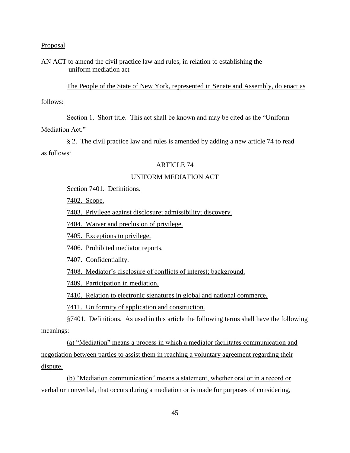#### **Proposal**

AN ACT to amend the civil practice law and rules, in relation to establishing the uniform mediation act

The People of the State of New York, represented in Senate and Assembly, do enact as

## follows:

Section 1. Short title. This act shall be known and may be cited as the "Uniform Mediation Act."

§ 2. The civil practice law and rules is amended by adding a new article 74 to read as follows:

## ARTICLE 74

## UNIFORM MEDIATION ACT

Section 7401. Definitions.

7402. Scope.

7403. Privilege against disclosure; admissibility; discovery.

7404. Waiver and preclusion of privilege.

7405. Exceptions to privilege.

7406. Prohibited mediator reports.

7407. Confidentiality.

7408. Mediator's disclosure of conflicts of interest; background.

7409. Participation in mediation.

7410. Relation to electronic signatures in global and national commerce.

7411. Uniformity of application and construction.

§7401. Definitions. As used in this article the following terms shall have the following meanings:

(a) "Mediation" means a process in which a mediator facilitates communication and negotiation between parties to assist them in reaching a voluntary agreement regarding their dispute.

(b) "Mediation communication" means a statement, whether oral or in a record or verbal or nonverbal, that occurs during a mediation or is made for purposes of considering,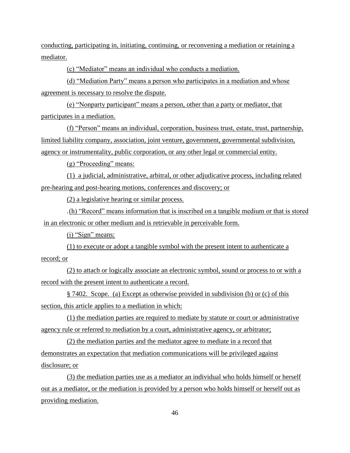conducting, participating in, initiating, continuing, or reconvening a mediation or retaining a mediator.

(c) "Mediator" means an individual who conducts a mediation.

(d) "Mediation Party" means a person who participates in a mediation and whose agreement is necessary to resolve the dispute.

(e) "Nonparty participant" means a person, other than a party or mediator, that participates in a mediation.

(f) "Person" means an individual, corporation, business trust, estate, trust, partnership, limited liability company, association, joint venture, government, governmental subdivision, agency or instrumentality, public corporation, or any other legal or commercial entity.

(g) "Proceeding" means:

(1) a judicial, administrative, arbitral, or other adjudicative process, including related pre-hearing and post-hearing motions, conferences and discovery; or

(2) a legislative hearing or similar process.

.(h) "Record" means information that is inscribed on a tangible medium or that is stored in an electronic or other medium and is retrievable in perceivable form.

(i) "Sign" means:

(1) to execute or adopt a tangible symbol with the present intent to authenticate a record; or

(2) to attach or logically associate an electronic symbol, sound or process to or with a record with the present intent to authenticate a record.

§ 7402. Scope. (a) Except as otherwise provided in subdivision (b) or (c) of this section, this article applies to a mediation in which:

(1) the mediation parties are required to mediate by statute or court or administrative agency rule or referred to mediation by a court, administrative agency, or arbitrator;

(2) the mediation parties and the mediator agree to mediate in a record that demonstrates an expectation that mediation communications will be privileged against disclosure; or

(3) the mediation parties use as a mediator an individual who holds himself or herself out as a mediator, or the mediation is provided by a person who holds himself or herself out as providing mediation.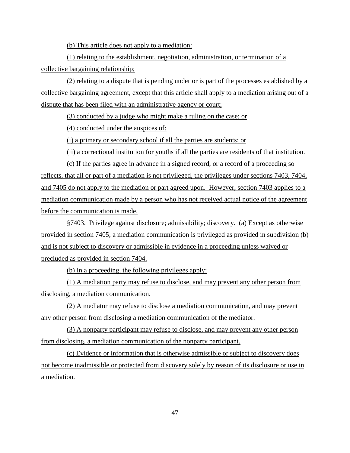(b) This article does not apply to a mediation:

(1) relating to the establishment, negotiation, administration, or termination of a collective bargaining relationship;

(2) relating to a dispute that is pending under or is part of the processes established by a collective bargaining agreement, except that this article shall apply to a mediation arising out of a dispute that has been filed with an administrative agency or court;

(3) conducted by a judge who might make a ruling on the case; or

(4) conducted under the auspices of:

(i) a primary or secondary school if all the parties are students; or

(ii) a correctional institution for youths if all the parties are residents of that institution.

(c) If the parties agree in advance in a signed record, or a record of a proceeding so reflects, that all or part of a mediation is not privileged, the privileges under sections 7403, 7404, and 7405 do not apply to the mediation or part agreed upon. However, section 7403 applies to a mediation communication made by a person who has not received actual notice of the agreement before the communication is made.

§7403. Privilege against disclosure; admissibility; discovery. (a) Except as otherwise provided in section 7405, a mediation communication is privileged as provided in subdivision (b) and is not subject to discovery or admissible in evidence in a proceeding unless waived or precluded as provided in section 7404.

(b) In a proceeding, the following privileges apply:

(1) A mediation party may refuse to disclose, and may prevent any other person from disclosing, a mediation communication.

(2) A mediator may refuse to disclose a mediation communication, and may prevent any other person from disclosing a mediation communication of the mediator.

(3) A nonparty participant may refuse to disclose, and may prevent any other person from disclosing, a mediation communication of the nonparty participant.

(c) Evidence or information that is otherwise admissible or subject to discovery does not become inadmissible or protected from discovery solely by reason of its disclosure or use in a mediation.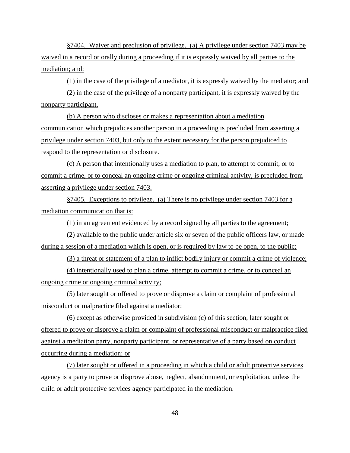§7404. Waiver and preclusion of privilege. (a) A privilege under section 7403 may be waived in a record or orally during a proceeding if it is expressly waived by all parties to the mediation; and:

(1) in the case of the privilege of a mediator, it is expressly waived by the mediator; and

(2) in the case of the privilege of a nonparty participant, it is expressly waived by the nonparty participant.

(b) A person who discloses or makes a representation about a mediation communication which prejudices another person in a proceeding is precluded from asserting a privilege under section 7403, but only to the extent necessary for the person prejudiced to respond to the representation or disclosure.

(c) A person that intentionally uses a mediation to plan, to attempt to commit, or to commit a crime, or to conceal an ongoing crime or ongoing criminal activity, is precluded from asserting a privilege under section 7403.

§7405. Exceptions to privilege. (a) There is no privilege under section 7403 for a mediation communication that is:

(1) in an agreement evidenced by a record signed by all parties to the agreement;

(2) available to the public under article six or seven of the public officers law, or made during a session of a mediation which is open, or is required by law to be open, to the public;

(3) a threat or statement of a plan to inflict bodily injury or commit a crime of violence;

(4) intentionally used to plan a crime, attempt to commit a crime, or to conceal an ongoing crime or ongoing criminal activity;

(5) later sought or offered to prove or disprove a claim or complaint of professional misconduct or malpractice filed against a mediator;

(6) except as otherwise provided in subdivision (c) of this section, later sought or offered to prove or disprove a claim or complaint of professional misconduct or malpractice filed against a mediation party, nonparty participant, or representative of a party based on conduct occurring during a mediation; or

(7) later sought or offered in a proceeding in which a child or adult protective services agency is a party to prove or disprove abuse, neglect, abandonment, or exploitation, unless the child or adult protective services agency participated in the mediation.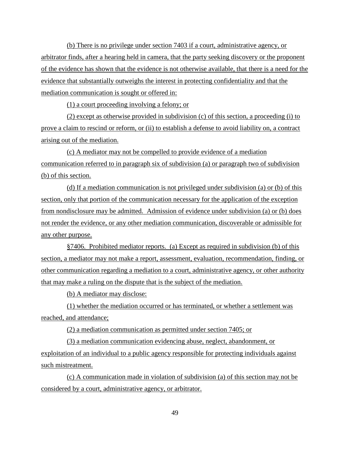(b) There is no privilege under section 7403 if a court, administrative agency, or arbitrator finds, after a hearing held in camera, that the party seeking discovery or the proponent of the evidence has shown that the evidence is not otherwise available, that there is a need for the evidence that substantially outweighs the interest in protecting confidentiality and that the mediation communication is sought or offered in:

(1) a court proceeding involving a felony; or

(2) except as otherwise provided in subdivision (c) of this section, a proceeding (i) to prove a claim to rescind or reform, or (ii) to establish a defense to avoid liability on, a contract arising out of the mediation.

(c) A mediator may not be compelled to provide evidence of a mediation communication referred to in paragraph six of subdivision (a) or paragraph two of subdivision (b) of this section.

(d) If a mediation communication is not privileged under subdivision (a) or (b) of this section, only that portion of the communication necessary for the application of the exception from nondisclosure may be admitted. Admission of evidence under subdivision (a) or (b) does not render the evidence, or any other mediation communication, discoverable or admissible for any other purpose.

§7406. Prohibited mediator reports. (a) Except as required in subdivision (b) of this section, a mediator may not make a report, assessment, evaluation, recommendation, finding, or other communication regarding a mediation to a court, administrative agency, or other authority that may make a ruling on the dispute that is the subject of the mediation.

(b) A mediator may disclose:

(1) whether the mediation occurred or has terminated, or whether a settlement was reached, and attendance;

(2) a mediation communication as permitted under section 7405; or

(3) a mediation communication evidencing abuse, neglect, abandonment, or exploitation of an individual to a public agency responsible for protecting individuals against such mistreatment.

(c) A communication made in violation of subdivision (a) of this section may not be considered by a court, administrative agency, or arbitrator.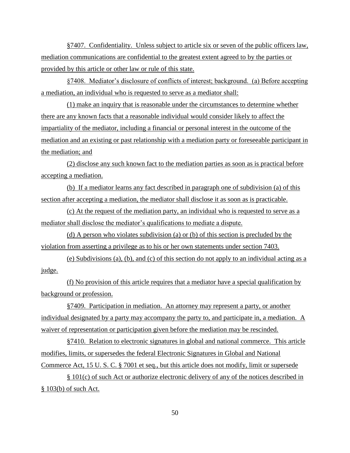§7407. Confidentiality. Unless subject to article six or seven of the public officers law, mediation communications are confidential to the greatest extent agreed to by the parties or provided by this article or other law or rule of this state.

§7408. Mediator's disclosure of conflicts of interest; background. (a) Before accepting a mediation, an individual who is requested to serve as a mediator shall:

(1) make an inquiry that is reasonable under the circumstances to determine whether there are any known facts that a reasonable individual would consider likely to affect the impartiality of the mediator, including a financial or personal interest in the outcome of the mediation and an existing or past relationship with a mediation party or foreseeable participant in the mediation; and

(2) disclose any such known fact to the mediation parties as soon as is practical before accepting a mediation.

(b) If a mediator learns any fact described in paragraph one of subdivision (a) of this section after accepting a mediation, the mediator shall disclose it as soon as is practicable.

(c) At the request of the mediation party, an individual who is requested to serve as a mediator shall disclose the mediator's qualifications to mediate a dispute.

(d) A person who violates subdivision (a) or (b) of this section is precluded by the violation from asserting a privilege as to his or her own statements under section 7403.

(e) Subdivisions (a), (b), and (c) of this section do not apply to an individual acting as a judge.

(f) No provision of this article requires that a mediator have a special qualification by background or profession.

§7409. Participation in mediation. An attorney may represent a party, or another individual designated by a party may accompany the party to, and participate in, a mediation. A waiver of representation or participation given before the mediation may be rescinded.

§7410. Relation to electronic signatures in global and national commerce. This article modifies, limits, or supersedes the federal Electronic Signatures in Global and National Commerce Act, 15 U. S. C. § 7001 et seq., but this article does not modify, limit or supersede

§ 101(c) of such Act or authorize electronic delivery of any of the notices described in § 103(b) of such Act.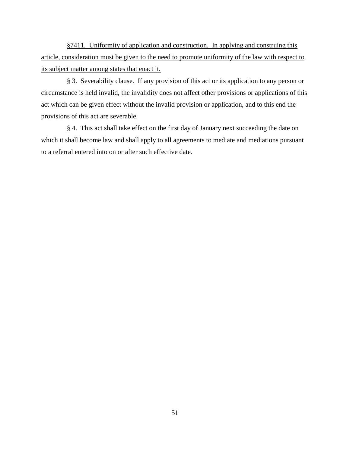§7411. Uniformity of application and construction. In applying and construing this article, consideration must be given to the need to promote uniformity of the law with respect to its subject matter among states that enact it.

§ 3. Severability clause. If any provision of this act or its application to any person or circumstance is held invalid, the invalidity does not affect other provisions or applications of this act which can be given effect without the invalid provision or application, and to this end the provisions of this act are severable.

§ 4. This act shall take effect on the first day of January next succeeding the date on which it shall become law and shall apply to all agreements to mediate and mediations pursuant to a referral entered into on or after such effective date.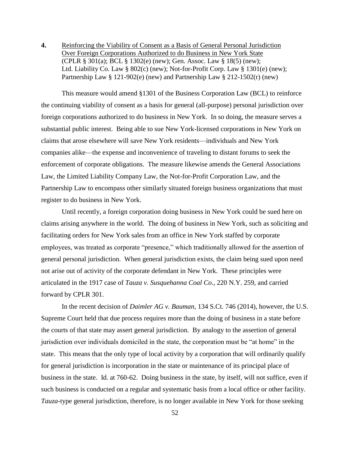**4.** Reinforcing the Viability of Consent as a Basis of General Personal Jurisdiction Over Foreign Corporations Authorized to do Business in New York State (CPLR § 301(a); BCL § 1302(e) (new); Gen. Assoc. Law § 18(5) (new); Ltd. Liability Co. Law § 802(c) (new); Not-for-Profit Corp. Law § 1301(e) (new); Partnership Law § 121-902(e) (new) and Partnership Law § 212-1502(r) (new)

This measure would amend §1301 of the Business Corporation Law (BCL) to reinforce the continuing viability of consent as a basis for general (all-purpose) personal jurisdiction over foreign corporations authorized to do business in New York. In so doing, the measure serves a substantial public interest. Being able to sue New York-licensed corporations in New York on claims that arose elsewhere will save New York residents—individuals and New York companies alike—the expense and inconvenience of traveling to distant forums to seek the enforcement of corporate obligations. The measure likewise amends the General Associations Law, the Limited Liability Company Law, the Not-for-Profit Corporation Law, and the Partnership Law to encompass other similarly situated foreign business organizations that must register to do business in New York.

Until recently, a foreign corporation doing business in New York could be sued here on claims arising anywhere in the world. The doing of business in New York, such as soliciting and facilitating orders for New York sales from an office in New York staffed by corporate employees, was treated as corporate "presence," which traditionally allowed for the assertion of general personal jurisdiction. When general jurisdiction exists, the claim being sued upon need not arise out of activity of the corporate defendant in New York. These principles were articulated in the 1917 case of *Tauza v. Susquehanna Coal Co*., 220 N.Y. 259, and carried forward by CPLR 301.

In the recent decision of *Daimler AG v. Bauman*, 134 S.Ct. 746 (2014), however, the U.S. Supreme Court held that due process requires more than the doing of business in a state before the courts of that state may assert general jurisdiction. By analogy to the assertion of general jurisdiction over individuals domiciled in the state, the corporation must be "at home" in the state. This means that the only type of local activity by a corporation that will ordinarily qualify for general jurisdiction is incorporation in the state or maintenance of its principal place of business in the state. Id. at 760-62. Doing business in the state, by itself, will not suffice, even if such business is conducted on a regular and systematic basis from a local office or other facility. *Tauza*-type general jurisdiction, therefore, is no longer available in New York for those seeking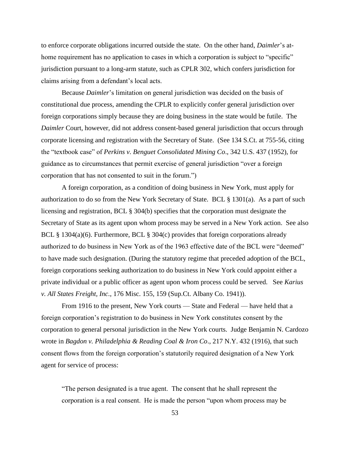to enforce corporate obligations incurred outside the state. On the other hand, *Daimler*'s athome requirement has no application to cases in which a corporation is subject to "specific" jurisdiction pursuant to a long-arm statute, such as CPLR 302, which confers jurisdiction for claims arising from a defendant's local acts.

Because *Daimler*'s limitation on general jurisdiction was decided on the basis of constitutional due process, amending the CPLR to explicitly confer general jurisdiction over foreign corporations simply because they are doing business in the state would be futile. The *Daimler* Court, however, did not address consent-based general jurisdiction that occurs through corporate licensing and registration with the Secretary of State. (See 134 S.Ct. at 755-56, citing the "textbook case" of *Perkins v. Benguet Consolidated Mining Co*., 342 U.S. 437 (1952), for guidance as to circumstances that permit exercise of general jurisdiction "over a foreign corporation that has not consented to suit in the forum.")

A foreign corporation, as a condition of doing business in New York, must apply for authorization to do so from the New York Secretary of State. BCL § 1301(a). As a part of such licensing and registration, BCL § 304(b) specifies that the corporation must designate the Secretary of State as its agent upon whom process may be served in a New York action. See also BCL § 1304(a)(6). Furthermore, BCL § 304(c) provides that foreign corporations already authorized to do business in New York as of the 1963 effective date of the BCL were "deemed" to have made such designation. (During the statutory regime that preceded adoption of the BCL, foreign corporations seeking authorization to do business in New York could appoint either a private individual or a public officer as agent upon whom process could be served. See *Karius v. All States Freight, Inc*., 176 Misc. 155, 159 (Sup.Ct. Albany Co. 1941)).

From 1916 to the present, New York courts — State and Federal — have held that a foreign corporation's registration to do business in New York constitutes consent by the corporation to general personal jurisdiction in the New York courts. Judge Benjamin N. Cardozo wrote in *Bagdon v. Philadelphia & Reading Coal & Iron Co*., 217 N.Y. 432 (1916), that such consent flows from the foreign corporation's statutorily required designation of a New York agent for service of process:

"The person designated is a true agent. The consent that he shall represent the corporation is a real consent. He is made the person "upon whom process may be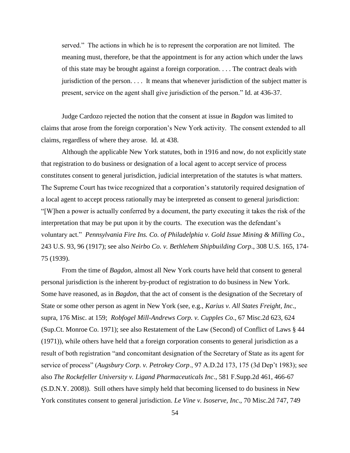served." The actions in which he is to represent the corporation are not limited. The meaning must, therefore, be that the appointment is for any action which under the laws of this state may be brought against a foreign corporation. . . . The contract deals with jurisdiction of the person. . . . It means that whenever jurisdiction of the subject matter is present, service on the agent shall give jurisdiction of the person." Id. at 436-37.

Judge Cardozo rejected the notion that the consent at issue in *Bagdon* was limited to claims that arose from the foreign corporation's New York activity. The consent extended to all claims, regardless of where they arose. Id. at 438.

Although the applicable New York statutes, both in 1916 and now, do not explicitly state that registration to do business or designation of a local agent to accept service of process constitutes consent to general jurisdiction, judicial interpretation of the statutes is what matters. The Supreme Court has twice recognized that a corporation's statutorily required designation of a local agent to accept process rationally may be interpreted as consent to general jurisdiction: "[W]hen a power is actually conferred by a document, the party executing it takes the risk of the interpretation that may be put upon it by the courts. The execution was the defendant's voluntary act." *Pennsylvania Fire Ins. Co. of Philadelphia v. Gold Issue Mining & Milling Co*., 243 U.S. 93, 96 (1917); see also *Neirbo Co. v. Bethlehem Shipbuilding Corp*., 308 U.S. 165, 174- 75 (1939).

From the time of *Bagdon*, almost all New York courts have held that consent to general personal jurisdiction is the inherent by-product of registration to do business in New York. Some have reasoned, as in *Bagdon*, that the act of consent is the designation of the Secretary of State or some other person as agent in New York (see, e.g., *Karius v. All States Freight, Inc*., supra, 176 Misc. at 159; *Robfogel Mill-Andrews Corp. v. Cupples Co*., 67 Misc.2d 623, 624 (Sup.Ct. Monroe Co. 1971); see also Restatement of the Law (Second) of Conflict of Laws § 44 (1971)), while others have held that a foreign corporation consents to general jurisdiction as a result of both registration "and concomitant designation of the Secretary of State as its agent for service of process" (*Augsbury Corp. v. Petrokey Corp*., 97 A.D.2d 173, 175 (3d Dep't 1983); see also *The Rockefeller University v. Ligand Pharmaceuticals Inc*., 581 F.Supp.2d 461, 466-67 (S.D.N.Y. 2008)). Still others have simply held that becoming licensed to do business in New York constitutes consent to general jurisdiction. *Le Vine v. Isoserve, Inc*., 70 Misc.2d 747, 749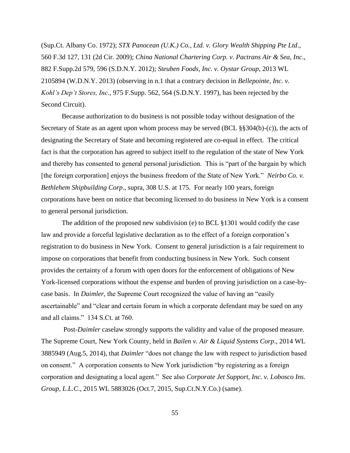(Sup.Ct. Albany Co. 1972); *STX Panocean (U.K.) Co., Ltd. v. Glory Wealth Shipping Pte Ltd*., 560 F.3d 127, 131 (2d Cir. 2009); *China National Chartering Corp. v. Pactrans Air & Sea, Inc*., 882 F.Supp.2d 579, 596 (S.D.N.Y. 2012); *Steuben Foods, Inc. v. Oystar Group*, 2013 WL 2105894 (W.D.N.Y. 2013) (observing in n.1 that a contrary decision in *Bellepointe, Inc. v. Kohl's Dep't Stores, Inc*., 975 F.Supp. 562, 564 (S.D.N.Y. 1997), has been rejected by the Second Circuit).

Because authorization to do business is not possible today without designation of the Secretary of State as an agent upon whom process may be served (BCL §§304(b)-(c)), the acts of designating the Secretary of State and becoming registered are co-equal in effect. The critical fact is that the corporation has agreed to subject itself to the regulation of the state of New York and thereby has consented to general personal jurisdiction. This is "part of the bargain by which [the foreign corporation] enjoys the business freedom of the State of New York." *Neirbo Co. v. Bethlehem Shipbuilding Corp*., supra, 308 U.S. at 175. For nearly 100 years, foreign corporations have been on notice that becoming licensed to do business in New York is a consent to general personal jurisdiction.

The addition of the proposed new subdivision (e) to BCL §1301 would codify the case law and provide a forceful legislative declaration as to the effect of a foreign corporation's registration to do business in New York. Consent to general jurisdiction is a fair requirement to impose on corporations that benefit from conducting business in New York. Such consent provides the certainty of a forum with open doors for the enforcement of obligations of New York-licensed corporations without the expense and burden of proving jurisdiction on a case-bycase basis. In *Daimler*, the Supreme Court recognized the value of having an "easily ascertainable" and "clear and certain forum in which a corporate defendant may be sued on any and all claims." 134 S.Ct. at 760.

Post-*Daimler* caselaw strongly supports the validity and value of the proposed measure. The Supreme Court, New York County, held in *Bailen v. Air & Liquid Systems Corp*., 2014 WL 3885949 (Aug.5, 2014), that *Daimler* "does not change the law with respect to jurisdiction based on consent." A corporation consents to New York jurisdiction "by registering as a foreign corporation and designating a local agent." See also *Corporate Jet Support, Inc. v. Lobosco Ins. Group, L.L.C*., 2015 WL 5883026 (Oct.7, 2015, Sup.Ct.N.Y.Co.) (same).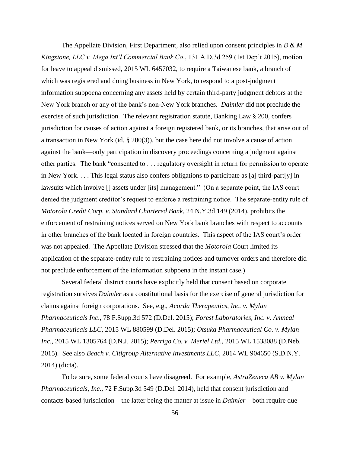The Appellate Division, First Department, also relied upon consent principles in *B & M Kingstone, LLC v. Mega Int'l Commercial Bank Co*., 131 A.D.3d 259 (1st Dep't 2015), motion for leave to appeal dismissed, 2015 WL 6457032, to require a Taiwanese bank, a branch of which was registered and doing business in New York, to respond to a post-judgment information subpoena concerning any assets held by certain third-party judgment debtors at the New York branch or any of the bank's non-New York branches. *Daimler* did not preclude the exercise of such jurisdiction. The relevant registration statute, Banking Law § 200, confers jurisdiction for causes of action against a foreign registered bank, or its branches, that arise out of a transaction in New York (id. § 200(3)), but the case here did not involve a cause of action against the bank—only participation in discovery proceedings concerning a judgment against other parties. The bank "consented to . . . regulatory oversight in return for permission to operate in New York. . . . This legal status also confers obligations to participate as [a] third-part[y] in lawsuits which involve [] assets under [its] management." (On a separate point, the IAS court denied the judgment creditor's request to enforce a restraining notice. The separate-entity rule of *Motorola Credit Corp. v. Standard Chartered Bank*, 24 N.Y.3d 149 (2014), prohibits the enforcement of restraining notices served on New York bank branches with respect to accounts in other branches of the bank located in foreign countries. This aspect of the IAS court's order was not appealed. The Appellate Division stressed that the *Motorola* Court limited its application of the separate-entity rule to restraining notices and turnover orders and therefore did not preclude enforcement of the information subpoena in the instant case.)

Several federal district courts have explicitly held that consent based on corporate registration survives *Daimler* as a constitutional basis for the exercise of general jurisdiction for claims against foreign corporations. See, e.g., *Acorda Therapeutics, Inc. v. Mylan Pharmaceuticals Inc*., 78 F.Supp.3d 572 (D.Del. 2015); *Forest Laboratories, Inc. v. Amneal Pharmaceuticals LLC,* 2015 WL 880599 (D.Del. 2015); *Otsuka Pharmaceutical Co. v. Mylan Inc*., 2015 WL 1305764 (D.N.J. 2015); *Perrigo Co. v. Meriel Ltd*., 2015 WL 1538088 (D.Neb. 2015). See also *Beach v. Citigroup Alternative Investments LLC*, 2014 WL 904650 (S.D.N.Y. 2014) (dicta).

To be sure, some federal courts have disagreed. For example, *AstraZeneca AB v. Mylan Pharmaceuticals, Inc*., 72 F.Supp.3d 549 (D.Del. 2014), held that consent jurisdiction and contacts-based jurisdiction—the latter being the matter at issue in *Daimler*—both require due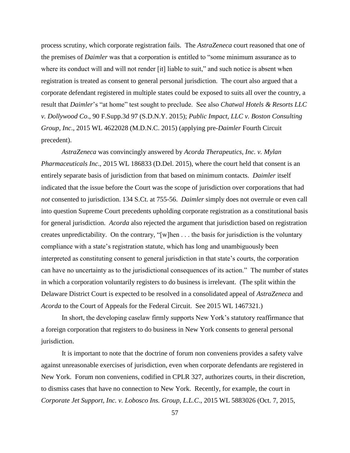process scrutiny, which corporate registration fails. The *AstraZeneca* court reasoned that one of the premises of *Daimler* was that a corporation is entitled to "some minimum assurance as to where its conduct will and will not render [it] liable to suit," and such notice is absent when registration is treated as consent to general personal jurisdiction. The court also argued that a corporate defendant registered in multiple states could be exposed to suits all over the country, a result that *Daimler*'s "at home" test sought to preclude. See also *Chatwal Hotels & Resorts LLC v. Dollywood Co*., 90 F.Supp.3d 97 (S.D.N.Y. 2015); *Public Impact, LLC v. Boston Consulting Group, Inc*., 2015 WL 4622028 (M.D.N.C. 2015) (applying pre-*Daimler* Fourth Circuit precedent).

*AstraZeneca* was convincingly answered by *Acorda Therapeutics, Inc. v. Mylan Pharmaceuticals Inc*., 2015 WL 186833 (D.Del. 2015), where the court held that consent is an entirely separate basis of jurisdiction from that based on minimum contacts. *Daimler* itself indicated that the issue before the Court was the scope of jurisdiction over corporations that had *not* consented to jurisdiction. 134 S.Ct. at 755-56. *Daimler* simply does not overrule or even call into question Supreme Court precedents upholding corporate registration as a constitutional basis for general jurisdiction. *Acorda* also rejected the argument that jurisdiction based on registration creates unpredictability. On the contrary, "[w]hen . . . the basis for jurisdiction is the voluntary compliance with a state's registration statute, which has long and unambiguously been interpreted as constituting consent to general jurisdiction in that state's courts, the corporation can have no uncertainty as to the jurisdictional consequences of its action." The number of states in which a corporation voluntarily registers to do business is irrelevant. (The split within the Delaware District Court is expected to be resolved in a consolidated appeal of *AstraZeneca* and *Acorda* to the Court of Appeals for the Federal Circuit. See 2015 WL 1467321.)

In short, the developing caselaw firmly supports New York's statutory reaffirmance that a foreign corporation that registers to do business in New York consents to general personal jurisdiction.

It is important to note that the doctrine of forum non conveniens provides a safety valve against unreasonable exercises of jurisdiction, even when corporate defendants are registered in New York. Forum non conveniens, codified in CPLR 327, authorizes courts, in their discretion, to dismiss cases that have no connection to New York. Recently, for example, the court in *Corporate Jet Support, Inc. v. Lobosco Ins. Group, L.L.C*., 2015 WL 5883026 (Oct. 7, 2015,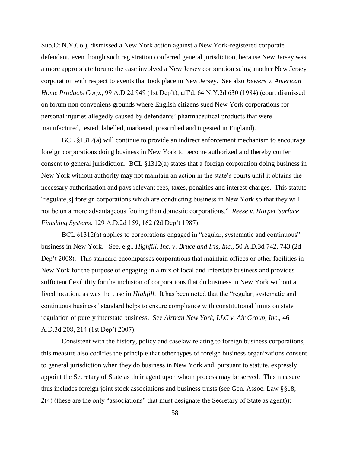Sup.Ct.N.Y.Co.), dismissed a New York action against a New York-registered corporate defendant, even though such registration conferred general jurisdiction, because New Jersey was a more appropriate forum: the case involved a New Jersey corporation suing another New Jersey corporation with respect to events that took place in New Jersey. See also *Bewers v. American Home Products Corp*., 99 A.D.2d 949 (1st Dep't), aff'd, 64 N.Y.2d 630 (1984) (court dismissed on forum non conveniens grounds where English citizens sued New York corporations for personal injuries allegedly caused by defendants' pharmaceutical products that were manufactured, tested, labelled, marketed, prescribed and ingested in England).

BCL §1312(a) will continue to provide an indirect enforcement mechanism to encourage foreign corporations doing business in New York to become authorized and thereby confer consent to general jurisdiction. BCL §1312(a) states that a foreign corporation doing business in New York without authority may not maintain an action in the state's courts until it obtains the necessary authorization and pays relevant fees, taxes, penalties and interest charges. This statute "regulate[s] foreign corporations which are conducting business in New York so that they will not be on a more advantageous footing than domestic corporations." *Reese v. Harper Surface Finishing Systems*, 129 A.D.2d 159, 162 (2d Dep't 1987).

BCL §1312(a) applies to corporations engaged in "regular, systematic and continuous" business in New York. See, e.g., *Highfill, Inc. v. Bruce and Iris, Inc*., 50 A.D.3d 742, 743 (2d Dep't 2008). This standard encompasses corporations that maintain offices or other facilities in New York for the purpose of engaging in a mix of local and interstate business and provides sufficient flexibility for the inclusion of corporations that do business in New York without a fixed location, as was the case in *Highfill*. It has been noted that the "regular, systematic and continuous business" standard helps to ensure compliance with constitutional limits on state regulation of purely interstate business. See *Airtran New York, LLC v. Air Group, Inc*., 46 A.D.3d 208, 214 (1st Dep't 2007).

Consistent with the history, policy and caselaw relating to foreign business corporations, this measure also codifies the principle that other types of foreign business organizations consent to general jurisdiction when they do business in New York and, pursuant to statute, expressly appoint the Secretary of State as their agent upon whom process may be served. This measure thus includes foreign joint stock associations and business trusts (see Gen. Assoc. Law §§18; 2(4) (these are the only "associations" that must designate the Secretary of State as agent));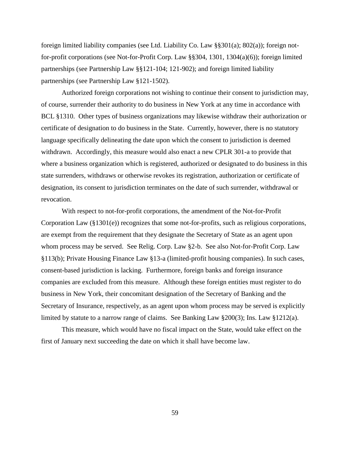foreign limited liability companies (see Ltd. Liability Co. Law §§301(a); 802(a)); foreign notfor-profit corporations (see Not-for-Profit Corp. Law §§304, 1301, 1304(a)(6)); foreign limited partnerships (see Partnership Law §§121-104; 121-902); and foreign limited liability partnerships (see Partnership Law §121-1502).

Authorized foreign corporations not wishing to continue their consent to jurisdiction may, of course, surrender their authority to do business in New York at any time in accordance with BCL §1310. Other types of business organizations may likewise withdraw their authorization or certificate of designation to do business in the State. Currently, however, there is no statutory language specifically delineating the date upon which the consent to jurisdiction is deemed withdrawn. Accordingly, this measure would also enact a new CPLR 301-a to provide that where a business organization which is registered, authorized or designated to do business in this state surrenders, withdraws or otherwise revokes its registration, authorization or certificate of designation, its consent to jurisdiction terminates on the date of such surrender, withdrawal or revocation.

With respect to not-for-profit corporations, the amendment of the Not-for-Profit Corporation Law (§1301(e)) recognizes that some not-for-profits, such as religious corporations, are exempt from the requirement that they designate the Secretary of State as an agent upon whom process may be served. See Relig. Corp. Law §2-b. See also Not-for-Profit Corp. Law §113(b); Private Housing Finance Law §13-a (limited-profit housing companies). In such cases, consent-based jurisdiction is lacking. Furthermore, foreign banks and foreign insurance companies are excluded from this measure. Although these foreign entities must register to do business in New York, their concomitant designation of the Secretary of Banking and the Secretary of Insurance, respectively, as an agent upon whom process may be served is explicitly limited by statute to a narrow range of claims. See Banking Law §200(3); Ins. Law §1212(a).

This measure, which would have no fiscal impact on the State, would take effect on the first of January next succeeding the date on which it shall have become law.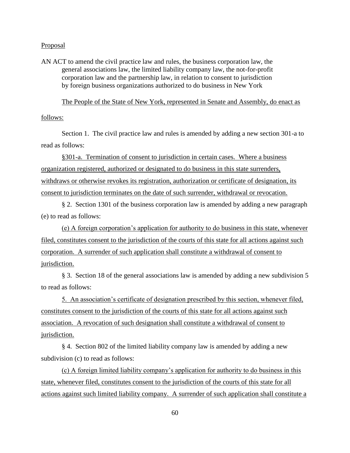#### Proposal

AN ACT to amend the civil practice law and rules, the business corporation law, the general associations law, the limited liability company law, the not-for-profit corporation law and the partnership law, in relation to consent to jurisdiction by foreign business organizations authorized to do business in New York

The People of the State of New York, represented in Senate and Assembly, do enact as

## follows:

Section 1. The civil practice law and rules is amended by adding a new section 301-a to read as follows:

§301-a. Termination of consent to jurisdiction in certain cases. Where a business organization registered, authorized or designated to do business in this state surrenders, withdraws or otherwise revokes its registration, authorization or certificate of designation, its consent to jurisdiction terminates on the date of such surrender, withdrawal or revocation.

§ 2. Section 1301 of the business corporation law is amended by adding a new paragraph (e) to read as follows:

(e) A foreign corporation's application for authority to do business in this state, whenever filed, constitutes consent to the jurisdiction of the courts of this state for all actions against such corporation. A surrender of such application shall constitute a withdrawal of consent to jurisdiction.

§ 3. Section 18 of the general associations law is amended by adding a new subdivision 5 to read as follows:

5. An association's certificate of designation prescribed by this section, whenever filed, constitutes consent to the jurisdiction of the courts of this state for all actions against such association. A revocation of such designation shall constitute a withdrawal of consent to jurisdiction.

§ 4. Section 802 of the limited liability company law is amended by adding a new subdivision (c) to read as follows:

(c) A foreign limited liability company's application for authority to do business in this state, whenever filed, constitutes consent to the jurisdiction of the courts of this state for all actions against such limited liability company. A surrender of such application shall constitute a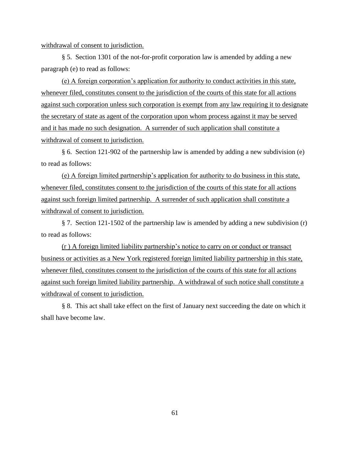withdrawal of consent to jurisdiction.

§ 5. Section 1301 of the not-for-profit corporation law is amended by adding a new paragraph (e) to read as follows:

(e) A foreign corporation's application for authority to conduct activities in this state, whenever filed, constitutes consent to the jurisdiction of the courts of this state for all actions against such corporation unless such corporation is exempt from any law requiring it to designate the secretary of state as agent of the corporation upon whom process against it may be served and it has made no such designation. A surrender of such application shall constitute a withdrawal of consent to jurisdiction.

§ 6. Section 121-902 of the partnership law is amended by adding a new subdivision (e) to read as follows:

(e) A foreign limited partnership's application for authority to do business in this state, whenever filed, constitutes consent to the jurisdiction of the courts of this state for all actions against such foreign limited partnership. A surrender of such application shall constitute a withdrawal of consent to jurisdiction.

§ 7. Section 121-1502 of the partnership law is amended by adding a new subdivision (r) to read as follows:

(r ) A foreign limited liability partnership's notice to carry on or conduct or transact business or activities as a New York registered foreign limited liability partnership in this state, whenever filed, constitutes consent to the jurisdiction of the courts of this state for all actions against such foreign limited liability partnership. A withdrawal of such notice shall constitute a withdrawal of consent to jurisdiction.

§ 8. This act shall take effect on the first of January next succeeding the date on which it shall have become law.

61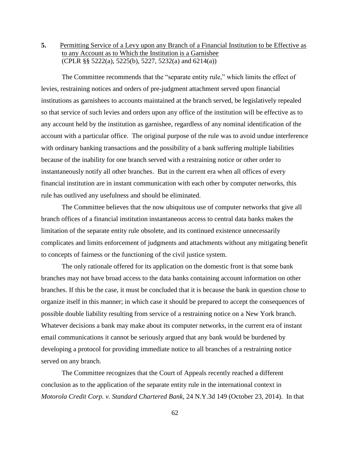**5.** Permitting Service of a Levy upon any Branch of a Financial Institution to be Effective as to any Account as to Which the Institution is a Garnishee (CPLR §§ 5222(a), 5225(b), 5227, 5232(a) and 6214(a))

The Committee recommends that the "separate entity rule," which limits the effect of levies, restraining notices and orders of pre-judgment attachment served upon financial institutions as garnishees to accounts maintained at the branch served, be legislatively repealed so that service of such levies and orders upon any office of the institution will be effective as to any account held by the institution as garnishee, regardless of any nominal identification of the account with a particular office. The original purpose of the rule was to avoid undue interference with ordinary banking transactions and the possibility of a bank suffering multiple liabilities because of the inability for one branch served with a restraining notice or other order to instantaneously notify all other branches. But in the current era when all offices of every financial institution are in instant communication with each other by computer networks, this rule has outlived any usefulness and should be eliminated.

The Committee believes that the now ubiquitous use of computer networks that give all branch offices of a financial institution instantaneous access to central data banks makes the limitation of the separate entity rule obsolete, and its continued existence unnecessarily complicates and limits enforcement of judgments and attachments without any mitigating benefit to concepts of fairness or the functioning of the civil justice system.

The only rationale offered for its application on the domestic front is that some bank branches may not have broad access to the data banks containing account information on other branches. If this be the case, it must be concluded that it is because the bank in question chose to organize itself in this manner; in which case it should be prepared to accept the consequences of possible double liability resulting from service of a restraining notice on a New York branch. Whatever decisions a bank may make about its computer networks, in the current era of instant email communications it cannot be seriously argued that any bank would be burdened by developing a protocol for providing immediate notice to all branches of a restraining notice served on any branch.

The Committee recognizes that the Court of Appeals recently reached a different conclusion as to the application of the separate entity rule in the international context in *Motorola Credit Corp. v. Standard Chartered Bank,* 24 N.Y.3d 149 (October 23, 2014). In that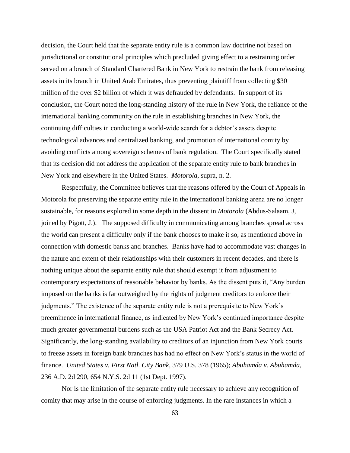decision, the Court held that the separate entity rule is a common law doctrine not based on jurisdictional or constitutional principles which precluded giving effect to a restraining order served on a branch of Standard Chartered Bank in New York to restrain the bank from releasing assets in its branch in United Arab Emirates, thus preventing plaintiff from collecting \$30 million of the over \$2 billion of which it was defrauded by defendants. In support of its conclusion, the Court noted the long-standing history of the rule in New York, the reliance of the international banking community on the rule in establishing branches in New York, the continuing difficulties in conducting a world-wide search for a debtor's assets despite technological advances and centralized banking, and promotion of international comity by avoiding conflicts among sovereign schemes of bank regulation. The Court specifically stated that its decision did not address the application of the separate entity rule to bank branches in New York and elsewhere in the United States. *Motorola*, supra, n. 2.

Respectfully, the Committee believes that the reasons offered by the Court of Appeals in Motorola for preserving the separate entity rule in the international banking arena are no longer sustainable, for reasons explored in some depth in the dissent in *Motorola* (Abdus-Salaam, J, joined by Pigott, J.). The supposed difficulty in communicating among branches spread across the world can present a difficulty only if the bank chooses to make it so, as mentioned above in connection with domestic banks and branches. Banks have had to accommodate vast changes in the nature and extent of their relationships with their customers in recent decades, and there is nothing unique about the separate entity rule that should exempt it from adjustment to contemporary expectations of reasonable behavior by banks. As the dissent puts it, "Any burden imposed on the banks is far outweighed by the rights of judgment creditors to enforce their judgments." The existence of the separate entity rule is not a prerequisite to New York's preeminence in international finance, as indicated by New York's continued importance despite much greater governmental burdens such as the USA Patriot Act and the Bank Secrecy Act. Significantly, the long-standing availability to creditors of an injunction from New York courts to freeze assets in foreign bank branches has had no effect on New York's status in the world of finance. *United States v. First Natl. City Bank*, 379 U.S. 378 (1965); *Abuhamda v. Abuhamda*, 236 A.D. 2d 290, 654 N.Y.S. 2d 11 (1st Dept. 1997).

Nor is the limitation of the separate entity rule necessary to achieve any recognition of comity that may arise in the course of enforcing judgments. In the rare instances in which a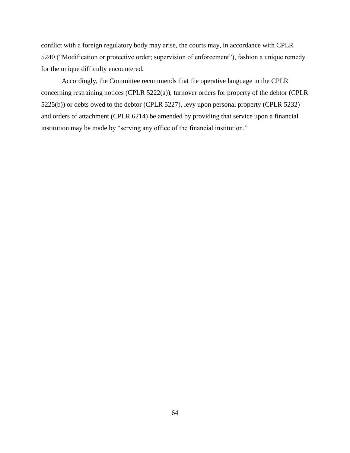conflict with a foreign regulatory body may arise, the courts may, in accordance with CPLR 5240 ("Modification or protective order; supervision of enforcement"), fashion a unique remedy for the unique difficulty encountered.

Accordingly, the Committee recommends that the operative language in the CPLR concerning restraining notices (CPLR 5222(a)), turnover orders for property of the debtor (CPLR 5225(b)) or debts owed to the debtor (CPLR 5227), levy upon personal property (CPLR 5232) and orders of attachment (CPLR 6214) be amended by providing that service upon a financial institution may be made by "serving any office of the financial institution."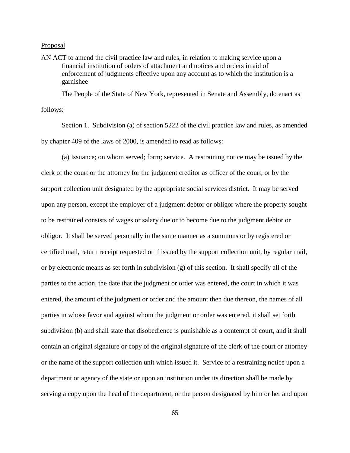#### Proposal

AN ACT to amend the civil practice law and rules, in relation to making service upon a financial institution of orders of attachment and notices and orders in aid of enforcement of judgments effective upon any account as to which the institution is a garnishee

The People of the State of New York, represented in Senate and Assembly, do enact as follows:

Section 1. Subdivision (a) of section 5222 of the civil practice law and rules, as amended by chapter 409 of the laws of 2000, is amended to read as follows:

(a) Issuance; on whom served; form; service. A restraining notice may be issued by the clerk of the court or the attorney for the judgment creditor as officer of the court, or by the support collection unit designated by the appropriate social services district. It may be served upon any person, except the employer of a judgment debtor or obligor where the property sought to be restrained consists of wages or salary due or to become due to the judgment debtor or obligor. It shall be served personally in the same manner as a summons or by registered or certified mail, return receipt requested or if issued by the support collection unit, by regular mail, or by electronic means as set forth in subdivision  $(g)$  of this section. It shall specify all of the parties to the action, the date that the judgment or order was entered, the court in which it was entered, the amount of the judgment or order and the amount then due thereon, the names of all parties in whose favor and against whom the judgment or order was entered, it shall set forth subdivision (b) and shall state that disobedience is punishable as a contempt of court, and it shall contain an original signature or copy of the original signature of the clerk of the court or attorney or the name of the support collection unit which issued it. Service of a restraining notice upon a department or agency of the state or upon an institution under its direction shall be made by serving a copy upon the head of the department, or the person designated by him or her and upon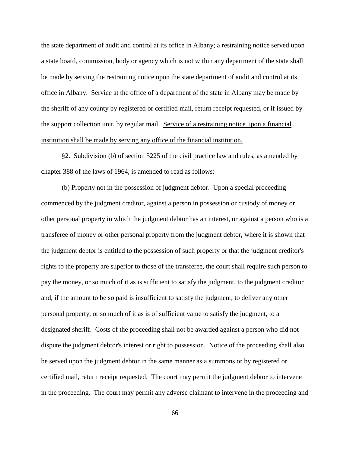the state department of audit and control at its office in Albany; a restraining notice served upon a state board, commission, body or agency which is not within any department of the state shall be made by serving the restraining notice upon the state department of audit and control at its office in Albany. Service at the office of a department of the state in Albany may be made by the sheriff of any county by registered or certified mail, return receipt requested, or if issued by the support collection unit, by regular mail. Service of a restraining notice upon a financial institution shall be made by serving any office of the financial institution.

§2. Subdivision (b) of section 5225 of the civil practice law and rules, as amended by chapter 388 of the laws of 1964, is amended to read as follows:

(b) Property not in the possession of judgment debtor. Upon a special proceeding commenced by the judgment creditor, against a person in possession or custody of money or other personal property in which the judgment debtor has an interest, or against a person who is a transferee of money or other personal property from the judgment debtor, where it is shown that the judgment debtor is entitled to the possession of such property or that the judgment creditor's rights to the property are superior to those of the transferee, the court shall require such person to pay the money, or so much of it as is sufficient to satisfy the judgment, to the judgment creditor and, if the amount to be so paid is insufficient to satisfy the judgment, to deliver any other personal property, or so much of it as is of sufficient value to satisfy the judgment, to a designated sheriff. Costs of the proceeding shall not be awarded against a person who did not dispute the judgment debtor's interest or right to possession. Notice of the proceeding shall also be served upon the judgment debtor in the same manner as a summons or by registered or certified mail, return receipt requested. The court may permit the judgment debtor to intervene in the proceeding. The court may permit any adverse claimant to intervene in the proceeding and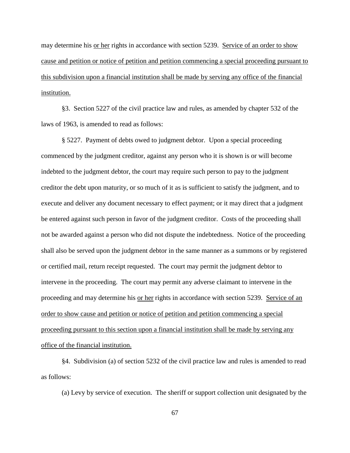may determine his or her rights in accordance with section 5239. Service of an order to show cause and petition or notice of petition and petition commencing a special proceeding pursuant to this subdivision upon a financial institution shall be made by serving any office of the financial institution.

§3. Section 5227 of the civil practice law and rules, as amended by chapter 532 of the laws of 1963, is amended to read as follows:

§ 5227. Payment of debts owed to judgment debtor. Upon a special proceeding commenced by the judgment creditor, against any person who it is shown is or will become indebted to the judgment debtor, the court may require such person to pay to the judgment creditor the debt upon maturity, or so much of it as is sufficient to satisfy the judgment, and to execute and deliver any document necessary to effect payment; or it may direct that a judgment be entered against such person in favor of the judgment creditor. Costs of the proceeding shall not be awarded against a person who did not dispute the indebtedness. Notice of the proceeding shall also be served upon the judgment debtor in the same manner as a summons or by registered or certified mail, return receipt requested. The court may permit the judgment debtor to intervene in the proceeding. The court may permit any adverse claimant to intervene in the proceeding and may determine his or her rights in accordance with section 5239. Service of an order to show cause and petition or notice of petition and petition commencing a special proceeding pursuant to this section upon a financial institution shall be made by serving any office of the financial institution.

§4. Subdivision (a) of section 5232 of the civil practice law and rules is amended to read as follows:

(a) Levy by service of execution. The sheriff or support collection unit designated by the

67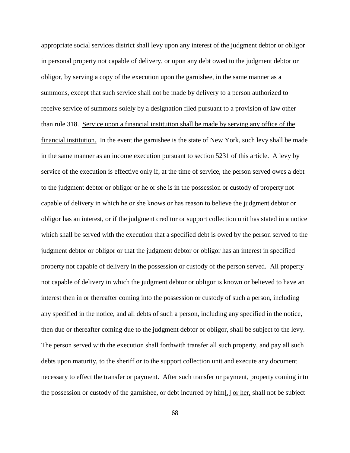appropriate social services district shall levy upon any interest of the judgment debtor or obligor in personal property not capable of delivery, or upon any debt owed to the judgment debtor or obligor, by serving a copy of the execution upon the garnishee, in the same manner as a summons, except that such service shall not be made by delivery to a person authorized to receive service of summons solely by a designation filed pursuant to a provision of law other than rule 318. Service upon a financial institution shall be made by serving any office of the financial institution. In the event the garnishee is the state of New York, such levy shall be made in the same manner as an income execution pursuant to section 5231 of this article. A levy by service of the execution is effective only if, at the time of service, the person served owes a debt to the judgment debtor or obligor or he or she is in the possession or custody of property not capable of delivery in which he or she knows or has reason to believe the judgment debtor or obligor has an interest, or if the judgment creditor or support collection unit has stated in a notice which shall be served with the execution that a specified debt is owed by the person served to the judgment debtor or obligor or that the judgment debtor or obligor has an interest in specified property not capable of delivery in the possession or custody of the person served. All property not capable of delivery in which the judgment debtor or obligor is known or believed to have an interest then in or thereafter coming into the possession or custody of such a person, including any specified in the notice, and all debts of such a person, including any specified in the notice, then due or thereafter coming due to the judgment debtor or obligor, shall be subject to the levy. The person served with the execution shall forthwith transfer all such property, and pay all such debts upon maturity, to the sheriff or to the support collection unit and execute any document necessary to effect the transfer or payment. After such transfer or payment, property coming into the possession or custody of the garnishee, or debt incurred by him[,] or her, shall not be subject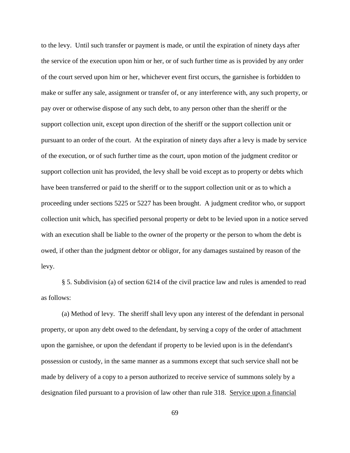to the levy. Until such transfer or payment is made, or until the expiration of ninety days after the service of the execution upon him or her, or of such further time as is provided by any order of the court served upon him or her, whichever event first occurs, the garnishee is forbidden to make or suffer any sale, assignment or transfer of, or any interference with, any such property, or pay over or otherwise dispose of any such debt, to any person other than the sheriff or the support collection unit, except upon direction of the sheriff or the support collection unit or pursuant to an order of the court. At the expiration of ninety days after a levy is made by service of the execution, or of such further time as the court, upon motion of the judgment creditor or support collection unit has provided, the levy shall be void except as to property or debts which have been transferred or paid to the sheriff or to the support collection unit or as to which a proceeding under sections 5225 or 5227 has been brought. A judgment creditor who, or support collection unit which, has specified personal property or debt to be levied upon in a notice served with an execution shall be liable to the owner of the property or the person to whom the debt is owed, if other than the judgment debtor or obligor, for any damages sustained by reason of the levy.

§ 5. Subdivision (a) of section 6214 of the civil practice law and rules is amended to read as follows:

(a) Method of levy. The sheriff shall levy upon any interest of the defendant in personal property, or upon any debt owed to the defendant, by serving a copy of the order of attachment upon the garnishee, or upon the defendant if property to be levied upon is in the defendant's possession or custody, in the same manner as a summons except that such service shall not be made by delivery of a copy to a person authorized to receive service of summons solely by a designation filed pursuant to a provision of law other than rule 318. Service upon a financial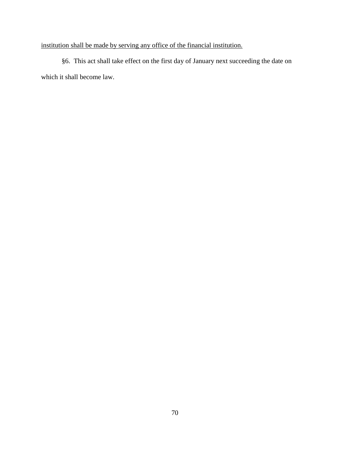# institution shall be made by serving any office of the financial institution.

§6. This act shall take effect on the first day of January next succeeding the date on which it shall become law.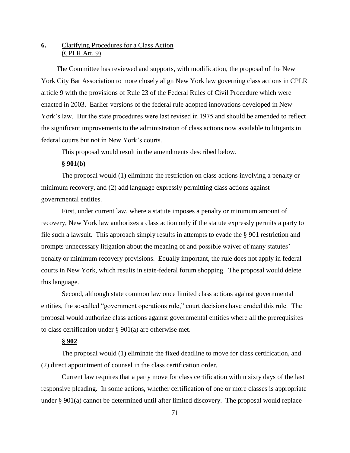# **6.** Clarifying Procedures for a Class Action (CPLR Art. 9)

The Committee has reviewed and supports, with modification, the proposal of the New York City Bar Association to more closely align New York law governing class actions in CPLR article 9 with the provisions of Rule 23 of the Federal Rules of Civil Procedure which were enacted in 2003. Earlier versions of the federal rule adopted innovations developed in New York's law. But the state procedures were last revised in 1975 and should be amended to reflect the significant improvements to the administration of class actions now available to litigants in federal courts but not in New York's courts.

This proposal would result in the amendments described below.

# **§ 901(b)**

The proposal would (1) eliminate the restriction on class actions involving a penalty or minimum recovery, and (2) add language expressly permitting class actions against governmental entities.

First, under current law, where a statute imposes a penalty or minimum amount of recovery, New York law authorizes a class action only if the statute expressly permits a party to file such a lawsuit. This approach simply results in attempts to evade the § 901 restriction and prompts unnecessary litigation about the meaning of and possible waiver of many statutes' penalty or minimum recovery provisions. Equally important, the rule does not apply in federal courts in New York, which results in state-federal forum shopping. The proposal would delete this language.

Second, although state common law once limited class actions against governmental entities, the so-called "government operations rule," court decisions have eroded this rule. The proposal would authorize class actions against governmental entities where all the prerequisites to class certification under § 901(a) are otherwise met.

# **§ 902**

The proposal would (1) eliminate the fixed deadline to move for class certification, and (2) direct appointment of counsel in the class certification order.

Current law requires that a party move for class certification within sixty days of the last responsive pleading. In some actions, whether certification of one or more classes is appropriate under § 901(a) cannot be determined until after limited discovery. The proposal would replace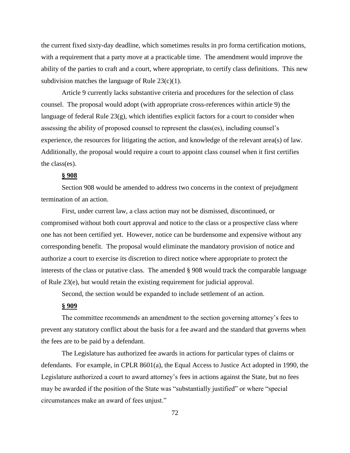the current fixed sixty-day deadline, which sometimes results in pro forma certification motions, with a requirement that a party move at a practicable time. The amendment would improve the ability of the parties to craft and a court, where appropriate, to certify class definitions. This new subdivision matches the language of Rule  $23(c)(1)$ .

Article 9 currently lacks substantive criteria and procedures for the selection of class counsel. The proposal would adopt (with appropriate cross-references within article 9) the language of federal Rule  $23(g)$ , which identifies explicit factors for a court to consider when assessing the ability of proposed counsel to represent the class(es), including counsel's experience, the resources for litigating the action, and knowledge of the relevant area(s) of law. Additionally, the proposal would require a court to appoint class counsel when it first certifies the class(es).

### **§ 908**

Section 908 would be amended to address two concerns in the context of prejudgment termination of an action.

First, under current law, a class action may not be dismissed, discontinued, or compromised without both court approval and notice to the class or a prospective class where one has not been certified yet. However, notice can be burdensome and expensive without any corresponding benefit. The proposal would eliminate the mandatory provision of notice and authorize a court to exercise its discretion to direct notice where appropriate to protect the interests of the class or putative class. The amended § 908 would track the comparable language of Rule 23(e), but would retain the existing requirement for judicial approval.

Second, the section would be expanded to include settlement of an action.

## **§ 909**

The committee recommends an amendment to the section governing attorney's fees to prevent any statutory conflict about the basis for a fee award and the standard that governs when the fees are to be paid by a defendant.

The Legislature has authorized fee awards in actions for particular types of claims or defendants. For example, in CPLR 8601(a), the Equal Access to Justice Act adopted in 1990, the Legislature authorized a court to award attorney's fees in actions against the State, but no fees may be awarded if the position of the State was "substantially justified" or where "special circumstances make an award of fees unjust."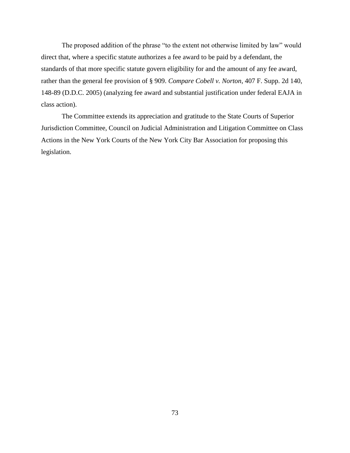The proposed addition of the phrase "to the extent not otherwise limited by law" would direct that, where a specific statute authorizes a fee award to be paid by a defendant, the standards of that more specific statute govern eligibility for and the amount of any fee award, rather than the general fee provision of § 909. *Compare Cobell v. Norton*, 407 F. Supp. 2d 140, 148-89 (D.D.C. 2005) (analyzing fee award and substantial justification under federal EAJA in class action).

The Committee extends its appreciation and gratitude to the State Courts of Superior Jurisdiction Committee, Council on Judicial Administration and Litigation Committee on Class Actions in the New York Courts of the New York City Bar Association for proposing this legislation.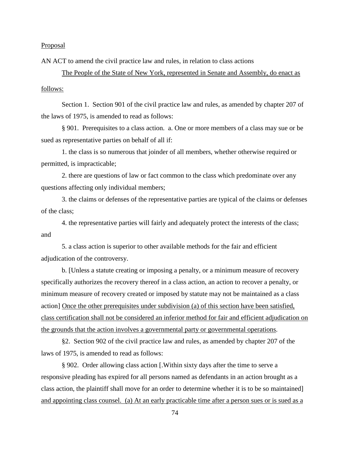AN ACT to amend the civil practice law and rules, in relation to class actions

The People of the State of New York, represented in Senate and Assembly, do enact as follows:

Section 1. Section 901 of the civil practice law and rules, as amended by chapter 207 of the laws of 1975, is amended to read as follows:

§ 901. Prerequisites to a class action. a. One or more members of a class may sue or be sued as representative parties on behalf of all if:

1. the class is so numerous that joinder of all members, whether otherwise required or permitted, is impracticable;

2. there are questions of law or fact common to the class which predominate over any questions affecting only individual members;

3. the claims or defenses of the representative parties are typical of the claims or defenses of the class;

4. the representative parties will fairly and adequately protect the interests of the class; and

5. a class action is superior to other available methods for the fair and efficient adjudication of the controversy.

b. [Unless a statute creating or imposing a penalty, or a minimum measure of recovery specifically authorizes the recovery thereof in a class action, an action to recover a penalty, or minimum measure of recovery created or imposed by statute may not be maintained as a class action] Once the other prerequisites under subdivision (a) of this section have been satisfied, class certification shall not be considered an inferior method for fair and efficient adjudication on the grounds that the action involves a governmental party or governmental operations.

§2. Section 902 of the civil practice law and rules, as amended by chapter 207 of the laws of 1975, is amended to read as follows:

§ 902. Order allowing class action [.Within sixty days after the time to serve a responsive pleading has expired for all persons named as defendants in an action brought as a class action, the plaintiff shall move for an order to determine whether it is to be so maintained] and appointing class counsel. (a) At an early practicable time after a person sues or is sued as a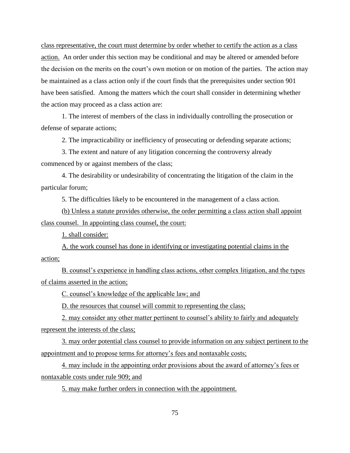class representative, the court must determine by order whether to certify the action as a class action. An order under this section may be conditional and may be altered or amended before the decision on the merits on the court's own motion or on motion of the parties. The action may be maintained as a class action only if the court finds that the prerequisites under section 901 have been satisfied. Among the matters which the court shall consider in determining whether the action may proceed as a class action are:

1. The interest of members of the class in individually controlling the prosecution or defense of separate actions;

2. The impracticability or inefficiency of prosecuting or defending separate actions;

3. The extent and nature of any litigation concerning the controversy already commenced by or against members of the class;

4. The desirability or undesirability of concentrating the litigation of the claim in the particular forum;

5. The difficulties likely to be encountered in the management of a class action.

(b) Unless a statute provides otherwise, the order permitting a class action shall appoint class counsel. In appointing class counsel, the court:

1. shall consider:

A. the work counsel has done in identifying or investigating potential claims in the action;

B. counsel's experience in handling class actions, other complex litigation, and the types of claims asserted in the action;

C. counsel's knowledge of the applicable law; and

D. the resources that counsel will commit to representing the class;

2. may consider any other matter pertinent to counsel's ability to fairly and adequately represent the interests of the class;

3. may order potential class counsel to provide information on any subject pertinent to the appointment and to propose terms for attorney's fees and nontaxable costs;

4. may include in the appointing order provisions about the award of attorney's fees or nontaxable costs under rule 909; and

5. may make further orders in connection with the appointment.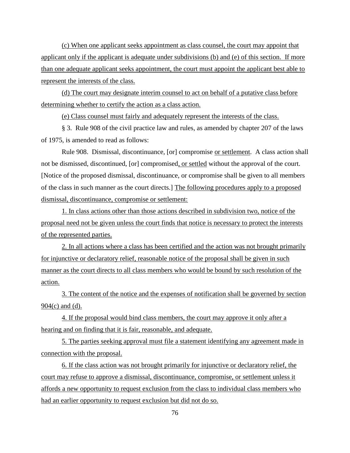(c) When one applicant seeks appointment as class counsel, the court may appoint that applicant only if the applicant is adequate under subdivisions (b) and (e) of this section. If more than one adequate applicant seeks appointment, the court must appoint the applicant best able to represent the interests of the class.

(d) The court may designate interim counsel to act on behalf of a putative class before determining whether to certify the action as a class action.

(e) Class counsel must fairly and adequately represent the interests of the class.

§ 3. Rule 908 of the civil practice law and rules, as amended by chapter 207 of the laws of 1975, is amended to read as follows:

Rule 908. Dismissal, discontinuance, [or] compromise or settlement. A class action shall not be dismissed, discontinued, [or] compromised, or settled without the approval of the court. [Notice of the proposed dismissal, discontinuance, or compromise shall be given to all members of the class in such manner as the court directs.] The following procedures apply to a proposed dismissal, discontinuance, compromise or settlement:

1. In class actions other than those actions described in subdivision two, notice of the proposal need not be given unless the court finds that notice is necessary to protect the interests of the represented parties.

2. In all actions where a class has been certified and the action was not brought primarily for injunctive or declaratory relief, reasonable notice of the proposal shall be given in such manner as the court directs to all class members who would be bound by such resolution of the action.

3. The content of the notice and the expenses of notification shall be governed by section 904(c) and (d).

4. If the proposal would bind class members, the court may approve it only after a hearing and on finding that it is fair, reasonable, and adequate.

5. The parties seeking approval must file a statement identifying any agreement made in connection with the proposal.

6. If the class action was not brought primarily for injunctive or declaratory relief, the court may refuse to approve a dismissal, discontinuance, compromise, or settlement unless it affords a new opportunity to request exclusion from the class to individual class members who had an earlier opportunity to request exclusion but did not do so.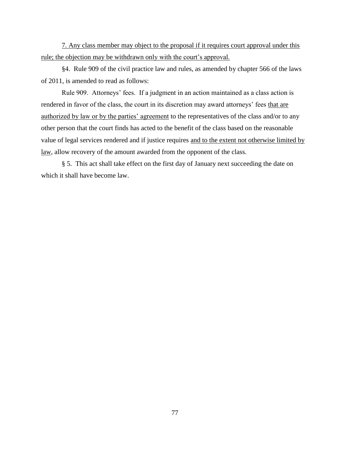7. Any class member may object to the proposal if it requires court approval under this rule; the objection may be withdrawn only with the court's approval.

§4. Rule 909 of the civil practice law and rules, as amended by chapter 566 of the laws of 2011, is amended to read as follows:

Rule 909. Attorneys' fees. If a judgment in an action maintained as a class action is rendered in favor of the class, the court in its discretion may award attorneys' fees that are authorized by law or by the parties' agreement to the representatives of the class and/or to any other person that the court finds has acted to the benefit of the class based on the reasonable value of legal services rendered and if justice requires and to the extent not otherwise limited by law, allow recovery of the amount awarded from the opponent of the class.

§ 5. This act shall take effect on the first day of January next succeeding the date on which it shall have become law.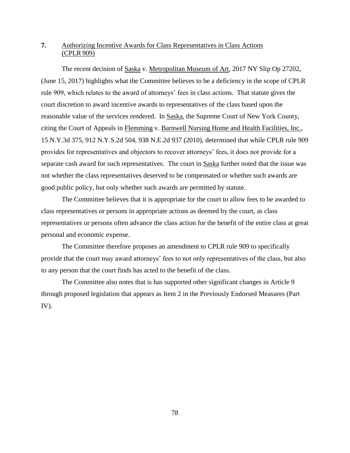# **7.** Authorizing Incentive Awards for Class Representatives in Class Actions (CPLR 909)

The recent decision of Saska v. Metropolitan Museum of Art, 2017 NY Slip Op 27202, (June 15, 2017) highlights what the Committee believes to be a deficiency in the scope of CPLR rule 909, which relates to the award of attorneys' fees in class actions. That statute gives the court discretion to award incentive awards to representatives of the class based upon the reasonable value of the services rendered. In Saska, the Supreme Court of New York County, citing the Court of Appeals in Flemming v. Barnwell Nursing Home and Health Facilities, Inc., 15 N.Y.3d 375, 912 N.Y.S.2d 504, 938 N.E.2d 937 (2010), determined that while CPLR rule 909 provides for representatives and objectors to recover attorneys' fees, it does not provide for a separate cash award for such representatives. The court in Saska further noted that the issue was not whether the class representatives deserved to be compensated or whether such awards are good public policy, but only whether such awards are permitted by statute.

The Committee believes that it is appropriate for the court to allow fees to be awarded to class representatives or persons in appropriate actions as deemed by the court, as class representatives or persons often advance the class action for the benefit of the entire class at great personal and economic expense.

The Committee therefore proposes an amendment to CPLR rule 909 to specifically provide that the court may award attorneys' fees to not only representatives of the class, but also to any person that the court finds has acted to the benefit of the class.

The Committee also notes that is has supported other significant changes in Article 9 through proposed legislation that appears as Item 2 in the Previously Endorsed Measures (Part IV).

78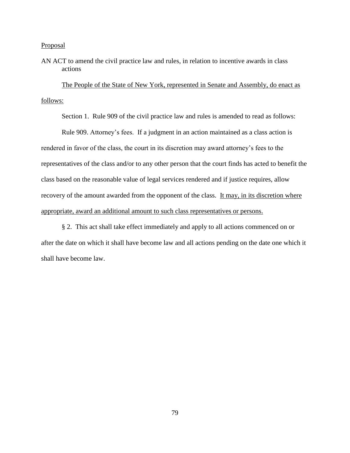AN ACT to amend the civil practice law and rules, in relation to incentive awards in class actions

The People of the State of New York, represented in Senate and Assembly, do enact as follows:

Section 1. Rule 909 of the civil practice law and rules is amended to read as follows:

Rule 909. Attorney's fees. If a judgment in an action maintained as a class action is rendered in favor of the class, the court in its discretion may award attorney's fees to the representatives of the class and/or to any other person that the court finds has acted to benefit the class based on the reasonable value of legal services rendered and if justice requires, allow recovery of the amount awarded from the opponent of the class. It may, in its discretion where appropriate, award an additional amount to such class representatives or persons.

§ 2. This act shall take effect immediately and apply to all actions commenced on or after the date on which it shall have become law and all actions pending on the date one which it shall have become law.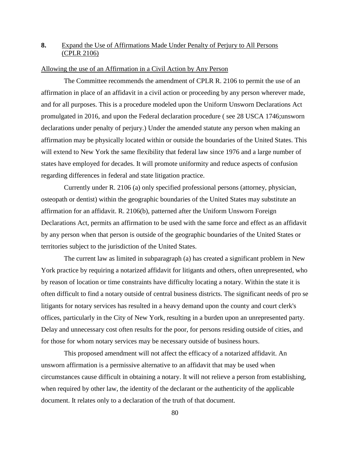# **8.** Expand the Use of Affirmations Made Under Penalty of Perjury to All Persons (CPLR 2106)

## Allowing the use of an Affirmation in a Civil Action by Any Person

The Committee recommends the amendment of CPLR R. 2106 to permit the use of an affirmation in place of an affidavit in a civil action or proceeding by any person wherever made, and for all purposes. This is a procedure modeled upon the Uniform Unsworn Declarations Act promulgated in 2016, and upon the Federal declaration procedure ( see 28 USCA 1746;unsworn declarations under penalty of perjury.) Under the amended statute any person when making an affirmation may be physically located within or outside the boundaries of the United States. This will extend to New York the same flexibility that federal law since 1976 and a large number of states have employed for decades. It will promote uniformity and reduce aspects of confusion regarding differences in federal and state litigation practice.

Currently under R. 2106 (a) only specified professional persons (attorney, physician, osteopath or dentist) within the geographic boundaries of the United States may substitute an affirmation for an affidavit. R. 2106(b), patterned after the Uniform Unsworn Foreign Declarations Act, permits an affirmation to be used with the same force and effect as an affidavit by any person when that person is outside of the geographic boundaries of the United States or territories subject to the jurisdiction of the United States.

The current law as limited in subparagraph (a) has created a significant problem in New York practice by requiring a notarized affidavit for litigants and others, often unrepresented, who by reason of location or time constraints have difficulty locating a notary. Within the state it is often difficult to find a notary outside of central business districts. The significant needs of pro se litigants for notary services has resulted in a heavy demand upon the county and court clerk's offices, particularly in the City of New York, resulting in a burden upon an unrepresented party. Delay and unnecessary cost often results for the poor, for persons residing outside of cities, and for those for whom notary services may be necessary outside of business hours.

This proposed amendment will not affect the efficacy of a notarized affidavit. An unsworn affirmation is a permissive alternative to an affidavit that may be used when circumstances cause difficult in obtaining a notary. It will not relieve a person from establishing, when required by other law, the identity of the declarant or the authenticity of the applicable document. It relates only to a declaration of the truth of that document.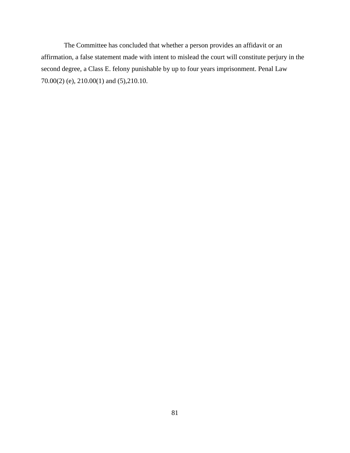The Committee has concluded that whether a person provides an affidavit or an affirmation, a false statement made with intent to mislead the court will constitute perjury in the second degree, a Class E. felony punishable by up to four years imprisonment. Penal Law 70.00(2) (e), 210.00(1) and (5),210.10.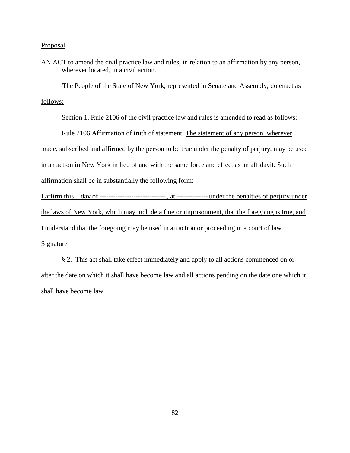AN ACT to amend the civil practice law and rules, in relation to an affirmation by any person, wherever located, in a civil action.

The People of the State of New York, represented in Senate and Assembly, do enact as follows:

Section 1. Rule 2106 of the civil practice law and rules is amended to read as follows:

Rule 2106.Affirmation of truth of statement. The statement of any person .wherever

made, subscribed and affirmed by the person to be true under the penalty of perjury, may be used

in an action in New York in lieu of and with the same force and effect as an affidavit. Such

affirmation shall be in substantially the following form:

I affirm this—day of ----------------------------- , at --------------under the penalties of perjury under the laws of New York, which may include a fine or imprisonment, that the foregoing is true, and I understand that the foregoing may be used in an action or proceeding in a court of law. Signature

§ 2. This act shall take effect immediately and apply to all actions commenced on or after the date on which it shall have become law and all actions pending on the date one which it shall have become law.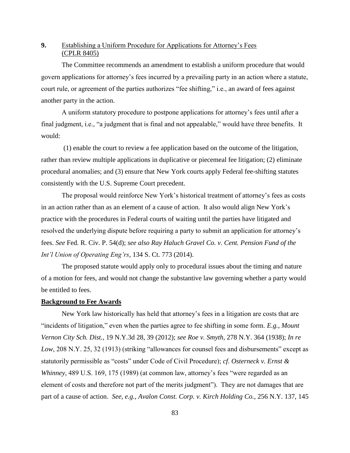# **9.** Establishing a Uniform Procedure for Applications for Attorney's Fees (CPLR 8405)

The Committee recommends an amendment to establish a uniform procedure that would govern applications for attorney's fees incurred by a prevailing party in an action where a statute, court rule, or agreement of the parties authorizes "fee shifting," i.e., an award of fees against another party in the action.

A uniform statutory procedure to postpone applications for attorney's fees until after a final judgment, i.e., "a judgment that is final and not appealable," would have three benefits. It would:

(1) enable the court to review a fee application based on the outcome of the litigation, rather than review multiple applications in duplicative or piecemeal fee litigation; (2) eliminate procedural anomalies; and (3) ensure that New York courts apply Federal fee-shifting statutes consistently with the U.S. Supreme Court precedent.

The proposal would reinforce New York's historical treatment of attorney's fees as costs in an action rather than as an element of a cause of action. It also would align New York's practice with the procedures in Federal courts of waiting until the parties have litigated and resolved the underlying dispute before requiring a party to submit an application for attorney's fees. *See* Fed. R. Civ. P. 54(d); *see also Ray Haluch Gravel Co. v. Cent. Pension Fund of the Int'l Union of Operating Eng'rs*, 134 S. Ct. 773 (2014).

The proposed statute would apply only to procedural issues about the timing and nature of a motion for fees, and would not change the substantive law governing whether a party would be entitled to fees.

#### **Background to Fee Awards**

New York law historically has held that attorney's fees in a litigation are costs that are "incidents of litigation," even when the parties agree to fee shifting in some form. *E.g.*, *Mount Vernon City Sch. Dist.*, 19 N.Y.3d 28, 39 (2012); *see Roe v. Smyth*, 278 N.Y. 364 (1938); *In re Low*, 208 N.Y. 25, 32 (1913) (striking "allowances for counsel fees and disbursements" except as statutorily permissible as "costs" under Code of Civil Procedure); *cf. Osterneck v. Ernst & Whinney*, 489 U.S. 169, 175 (1989) (at common law, attorney's fees "were regarded as an element of costs and therefore not part of the merits judgment"). They are not damages that are part of a cause of action. *See, e.g.*, *Avalon Const. Corp. v. Kirch Holding Co.*, 256 N.Y. 137, 145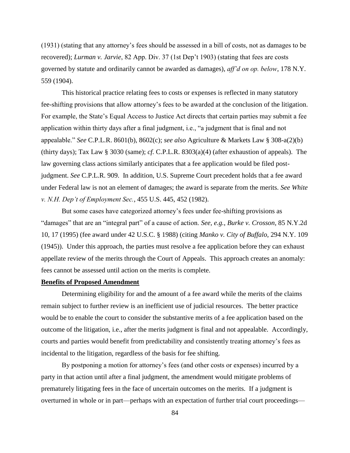(1931) (stating that any attorney's fees should be assessed in a bill of costs, not as damages to be recovered); *Lurman v. Jarvie*, 82 App. Div. 37 (1st Dep't 1903) (stating that fees are costs governed by statute and ordinarily cannot be awarded as damages), *aff'd on op. below*, 178 N.Y. 559 (1904).

This historical practice relating fees to costs or expenses is reflected in many statutory fee-shifting provisions that allow attorney's fees to be awarded at the conclusion of the litigation. For example, the State's Equal Access to Justice Act directs that certain parties may submit a fee application within thirty days after a final judgment, i.e., "a judgment that is final and not appealable." *See* C.P.L.R. 8601(b), 8602(c); *see also* Agriculture & Markets Law § 308-a(2)(b) (thirty days); Tax Law § 3030 (same); *cf.* C.P.L.R. 8303(a)(4) (after exhaustion of appeals). The law governing class actions similarly anticipates that a fee application would be filed postjudgment. *See* C.P.L.R. 909. In addition, U.S. Supreme Court precedent holds that a fee award under Federal law is not an element of damages; the award is separate from the merits. *See White v. N.H. Dep't of Employment Sec.*, 455 U.S. 445, 452 (1982).

But some cases have categorized attorney's fees under fee-shifting provisions as "damages" that are an "integral part" of a cause of action. *See, e.g.*, *Burke v. Crosson*, 85 N.Y.2d 10, 17 (1995) (fee award under 42 U.S.C. § 1988) (citing *Manko v. City of Buffalo*, 294 N.Y. 109 (1945)). Under this approach, the parties must resolve a fee application before they can exhaust appellate review of the merits through the Court of Appeals. This approach creates an anomaly: fees cannot be assessed until action on the merits is complete.

## **Benefits of Proposed Amendment**

Determining eligibility for and the amount of a fee award while the merits of the claims remain subject to further review is an inefficient use of judicial resources. The better practice would be to enable the court to consider the substantive merits of a fee application based on the outcome of the litigation, i.e., after the merits judgment is final and not appealable. Accordingly, courts and parties would benefit from predictability and consistently treating attorney's fees as incidental to the litigation, regardless of the basis for fee shifting.

By postponing a motion for attorney's fees (and other costs or expenses) incurred by a party in that action until after a final judgment, the amendment would mitigate problems of prematurely litigating fees in the face of uncertain outcomes on the merits. If a judgment is overturned in whole or in part—perhaps with an expectation of further trial court proceedings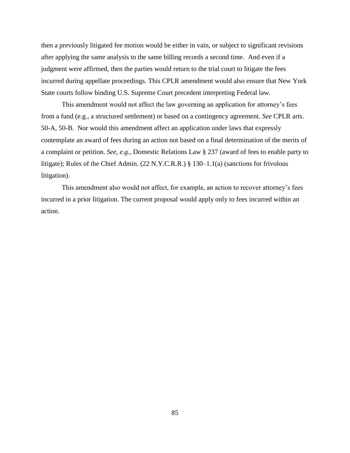then a previously litigated fee motion would be either in vain, or subject to significant revisions after applying the same analysis to the same billing records a second time. And even if a judgment were affirmed, then the parties would return to the trial court to litigate the fees incurred during appellate proceedings. This CPLR amendment would also ensure that New York State courts follow binding U.S. Supreme Court precedent interpreting Federal law.

This amendment would not affect the law governing an application for attorney's fees from a fund (e.g., a structured settlement) or based on a contingency agreement. *See* CPLR arts. 50-A, 50-B. Nor would this amendment affect an application under laws that expressly contemplate an award of fees during an action not based on a final determination of the merits of a complaint or petition. *See, e.g.*, Domestic Relations Law § 237 (award of fees to enable party to litigate); Rules of the Chief Admin. (22 N.Y.C.R.R.) § 130–1.1(a) (sanctions for frivolous litigation).

This amendment also would not affect, for example, an action to recover attorney's fees incurred in a prior litigation. The current proposal would apply only to fees incurred within an action.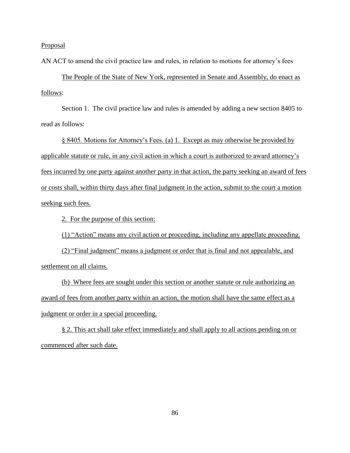AN ACT to amend the civil practice law and rules, in relation to motions for attorney's fees

The People of the State of New York, represented in Senate and Assembly, do enact as follows:

Section 1. The civil practice law and rules is amended by adding a new section 8405 to read as follows:

§ 8405. Motions for Attorney's Fees. (a) 1. Except as may otherwise be provided by applicable statute or rule, in any civil action in which a court is authorized to award attorney's fees incurred by one party against another party in that action, the party seeking an award of fees or costs shall, within thirty days after final judgment in the action, submit to the court a motion seeking such fees.

2. For the purpose of this section:

(1) "Action" means any civil action or proceeding, including any appellate proceeding.

(2) "Final judgment" means a judgment or order that is final and not appealable, and settlement on all claims.

(b) Where fees are sought under this section or another statute or rule authorizing an award of fees from another party within an action, the motion shall have the same effect as a judgment or order in a special proceeding.

§ 2. This act shall take effect immediately and shall apply to all actions pending on or commenced after such date.

86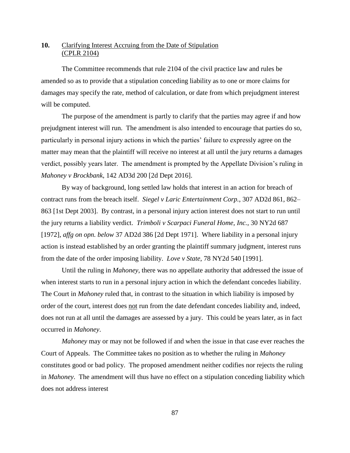## **10.** Clarifying Interest Accruing from the Date of Stipulation (CPLR 2104)

The Committee recommends that rule 2104 of the civil practice law and rules be amended so as to provide that a stipulation conceding liability as to one or more claims for damages may specify the rate, method of calculation, or date from which prejudgment interest will be computed.

The purpose of the amendment is partly to clarify that the parties may agree if and how prejudgment interest will run. The amendment is also intended to encourage that parties do so, particularly in personal injury actions in which the parties' failure to expressly agree on the matter may mean that the plaintiff will receive no interest at all until the jury returns a damages verdict, possibly years later. The amendment is prompted by the Appellate Division's ruling in *Mahoney v Brockbank*, 142 AD3d 200 [2d Dept 2016].

By way of background, long settled law holds that interest in an action for breach of contract runs from the breach itself. *Siegel v Laric Entertainment Corp.*, 307 AD2d 861, 862– 863 [1st Dept 2003]. By contrast, in a personal injury action interest does not start to run until the jury returns a liability verdict. *Trimboli v Scarpaci Funeral Home, Inc.*, 30 NY2d 687 [1972], *affg on opn. below* 37 AD2d 386 [2d Dept 1971]. Where liability in a personal injury action is instead established by an order granting the plaintiff summary judgment, interest runs from the date of the order imposing liability. *Love v State*, 78 NY2d 540 [1991].

Until the ruling in *Mahoney*, there was no appellate authority that addressed the issue of when interest starts to run in a personal injury action in which the defendant concedes liability. The Court in *Mahoney* ruled that, in contrast to the situation in which liability is imposed by order of the court, interest does not run from the date defendant concedes liability and, indeed, does not run at all until the damages are assessed by a jury. This could be years later, as in fact occurred in *Mahoney*.

*Mahoney* may or may not be followed if and when the issue in that case ever reaches the Court of Appeals. The Committee takes no position as to whether the ruling in *Mahoney* constitutes good or bad policy. The proposed amendment neither codifies nor rejects the ruling in *Mahoney*. The amendment will thus have no effect on a stipulation conceding liability which does not address interest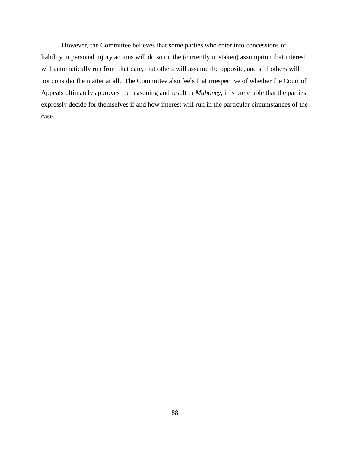However, the Committee believes that some parties who enter into concessions of liability in personal injury actions will do so on the (currently mistaken) assumption that interest will automatically run from that date, that others will assume the opposite, and still others will not consider the matter at all. The Committee also feels that irrespective of whether the Court of Appeals ultimately approves the reasoning and result in *Mahoney*, it is preferable that the parties expressly decide for themselves if and how interest will run in the particular circumstances of the case.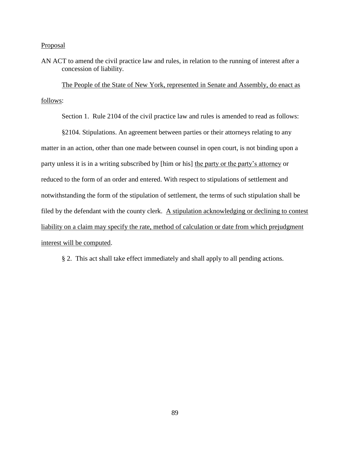AN ACT to amend the civil practice law and rules, in relation to the running of interest after a concession of liability.

The People of the State of New York, represented in Senate and Assembly, do enact as follows:

Section 1. Rule 2104 of the civil practice law and rules is amended to read as follows:

§2104. Stipulations. An agreement between parties or their attorneys relating to any matter in an action, other than one made between counsel in open court, is not binding upon a party unless it is in a writing subscribed by [him or his] the party or the party's attorney or reduced to the form of an order and entered. With respect to stipulations of settlement and notwithstanding the form of the stipulation of settlement, the terms of such stipulation shall be filed by the defendant with the county clerk. A stipulation acknowledging or declining to contest liability on a claim may specify the rate, method of calculation or date from which prejudgment interest will be computed.

§ 2. This act shall take effect immediately and shall apply to all pending actions.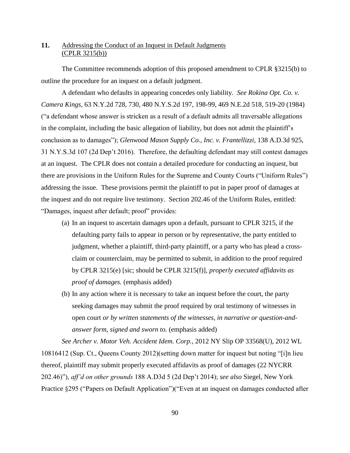## **11.** Addressing the Conduct of an Inquest in Default Judgments (CPLR 3215(b))

The Committee recommends adoption of this proposed amendment to CPLR §3215(b) to outline the procedure for an inquest on a default judgment.

A defendant who defaults in appearing concedes only liability. *See Rokina Opt. Co. v. Camera Kings,* 63 N.Y.2d 728, 730, 480 N.Y.S.2d 197, 198-99, 469 N.E.2d 518, 519-20 (1984) ("a defendant whose answer is stricken as a result of a default admits all traversable allegations in the complaint, including the basic allegation of liability, but does not admit the plaintiff's conclusion as to damages"); *Glenwood Mason Supply Co., Inc. v. Frantellizzi,* 138 A.D.3d 925, 31 N.Y.S.3d 107 (2d Dep't 2016). Therefore, the defaulting defendant may still contest damages at an inquest. The CPLR does not contain a detailed procedure for conducting an inquest, but there are provisions in the Uniform Rules for the Supreme and County Courts ("Uniform Rules") addressing the issue. These provisions permit the plaintiff to put in paper proof of damages at the inquest and do not require live testimony. Section 202.46 of the Uniform Rules, entitled: "Damages, inquest after default; proof" provides:

- (a) In an inquest to ascertain damages upon a default, pursuant to CPLR 3215, if the defaulting party fails to appear in person or by representative, the party entitled to judgment, whether a plaintiff, third-party plaintiff, or a party who has plead a crossclaim or counterclaim, may be permitted to submit, in addition to the proof required by CPLR 3215(e) [sic; should be CPLR 3215(f)], *properly executed affidavits as proof of damages.* (emphasis added)
- (b) In any action where it is necessary to take an inquest before the court, the party seeking damages may submit the proof required by oral testimony of witnesses in open court *or by written statements of the witnesses, in narrative or question-andanswer form, signed and sworn to.* (emphasis added)

*See Archer v. Motor Veh. Accident Idem. Corp.,* 2012 NY Slip OP 33568(U), 2012 WL 10816412 (Sup. Ct., Queens County 2012)(setting down matter for inquest but noting "[i]n lieu thereof, plaintiff may submit properly executed affidavits as proof of damages (22 NYCRR 202.46)"), *aff'd on other grounds* 188 A.D3d 5 (2d Dep't 2014); *see also* Siegel, New York Practice §295 ("Papers on Default Application")("Even at an inquest on damages conducted after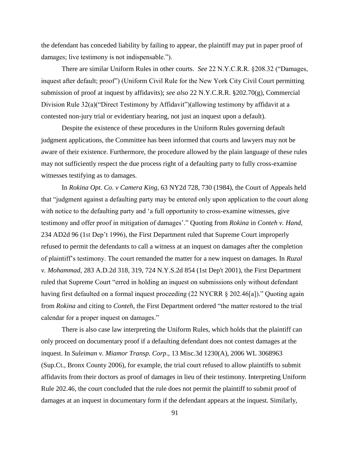the defendant has conceded liability by failing to appear, the plaintiff may put in paper proof of damages; live testimony is not indispensable.").

There are similar Uniform Rules in other courts. *See* 22 N.Y.C.R.R. §208.32 ("Damages, inquest after default; proof") (Uniform Civil Rule for the New York City Civil Court permitting submission of proof at inquest by affidavits); *see also* 22 N.Y.C.R.R. §202.70(g), Commercial Division Rule 32(a)("Direct Testimony by Affidavit")(allowing testimony by affidavit at a contested non-jury trial or evidentiary hearing, not just an inquest upon a default).

Despite the existence of these procedures in the Uniform Rules governing default judgment applications, the Committee has been informed that courts and lawyers may not be aware of their existence. Furthermore, the procedure allowed by the plain language of these rules may not sufficiently respect the due process right of a defaulting party to fully cross-examine witnesses testifying as to damages.

In *Rokina Opt. Co. v Camera King*, 63 NY2d 728, 730 (1984), the Court of Appeals held that "judgment against a defaulting party may be entered only upon application to the court along with notice to the defaulting party and 'a full opportunity to cross-examine witnesses, give testimony and offer proof in mitigation of damages'." Quoting from *Rokina* in *Conteh v. Hand*, 234 AD2d 96 (1st Dep't 1996), the First Department ruled that Supreme Court improperly refused to permit the defendants to call a witness at an inquest on damages after the completion of plaintiff's testimony. The court remanded the matter for a new inquest on damages. In *Ruzal v. Mohammad,* 283 A.D.2d 318, 319, 724 N.Y.S.2d 854 (1st Dep't 2001), the First Department ruled that Supreme Court "erred in holding an inquest on submissions only without defendant having first defaulted on a formal inquest proceeding (22 NYCRR § 202.46[a])." Quoting again from *Rokina* and citing to *Conteh,* the First Department ordered "the matter restored to the trial calendar for a proper inquest on damages."

There is also case law interpreting the Uniform Rules, which holds that the plaintiff can only proceed on documentary proof if a defaulting defendant does not contest damages at the inquest. In *Suleiman v. Miamor Transp. Corp*., 13 Misc.3d 1230(A), 2006 WL 3068963 (Sup.Ct., Bronx County 2006), for example, the trial court refused to allow plaintiffs to submit affidavits from their doctors as proof of damages in lieu of their testimony. Interpreting Uniform Rule 202.46, the court concluded that the rule does not permit the plaintiff to submit proof of damages at an inquest in documentary form if the defendant appears at the inquest. Similarly,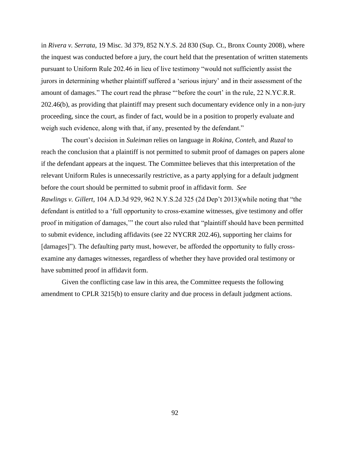in *Rivera v. Serrata*, 19 Misc. 3d 379, 852 N.Y.S. 2d 830 (Sup. Ct., Bronx County 2008), where the inquest was conducted before a jury, the court held that the presentation of written statements pursuant to Uniform Rule 202.46 in lieu of live testimony "would not sufficiently assist the jurors in determining whether plaintiff suffered a 'serious injury' and in their assessment of the amount of damages." The court read the phrase "'before the court' in the rule, 22 N.YC.R.R. 202.46(b), as providing that plaintiff may present such documentary evidence only in a non-jury proceeding, since the court, as finder of fact, would be in a position to properly evaluate and weigh such evidence, along with that, if any, presented by the defendant."

The court's decision in *Suleiman* relies on language in *Rokina, Conteh*, and *Ruzal* to reach the conclusion that a plaintiff is not permitted to submit proof of damages on papers alone if the defendant appears at the inquest. The Committee believes that this interpretation of the relevant Uniform Rules is unnecessarily restrictive, as a party applying for a default judgment before the court should be permitted to submit proof in affidavit form. *See Rawlings v. Gillert*, 104 A.D.3d 929, 962 N.Y.S.2d 325 (2d Dep't 2013)(while noting that "the defendant is entitled to a 'full opportunity to cross-examine witnesses, give testimony and offer proof in mitigation of damages,'" the court also ruled that "plaintiff should have been permitted to submit evidence, including affidavits (see 22 NYCRR 202.46), supporting her claims for [damages]"). The defaulting party must, however, be afforded the opportunity to fully crossexamine any damages witnesses, regardless of whether they have provided oral testimony or have submitted proof in affidavit form.

Given the conflicting case law in this area, the Committee requests the following amendment to CPLR 3215(b) to ensure clarity and due process in default judgment actions.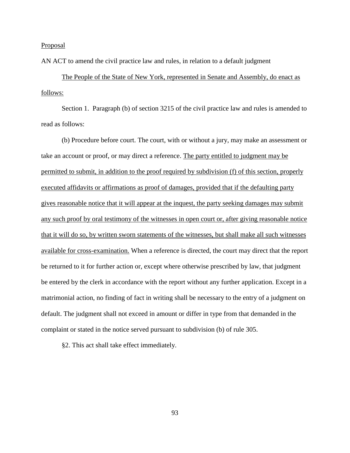AN ACT to amend the civil practice law and rules, in relation to a default judgment

The People of the State of New York, represented in Senate and Assembly, do enact as follows:

Section 1. Paragraph (b) of section 3215 of the civil practice law and rules is amended to read as follows:

(b) Procedure before court. The court, with or without a jury, may make an assessment or take an account or proof, or may direct a reference. The party entitled to judgment may be permitted to submit, in addition to the proof required by subdivision (f) of this section, properly executed affidavits or affirmations as proof of damages, provided that if the defaulting party gives reasonable notice that it will appear at the inquest, the party seeking damages may submit any such proof by oral testimony of the witnesses in open court or, after giving reasonable notice that it will do so, by written sworn statements of the witnesses, but shall make all such witnesses available for cross-examination. When a reference is directed, the court may direct that the report be returned to it for further action or, except where otherwise prescribed by law, that judgment be entered by the clerk in accordance with the report without any further application. Except in a matrimonial action, no finding of fact in writing shall be necessary to the entry of a judgment on default. The judgment shall not exceed in amount or differ in type from that demanded in the complaint or stated in the notice served pursuant to subdivision (b) of rule 305.

§2. This act shall take effect immediately.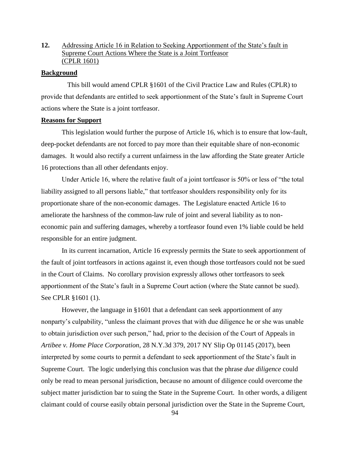# **12.** Addressing Article 16 in Relation to Seeking Apportionment of the State's fault in Supreme Court Actions Where the State is a Joint Tortfeasor (CPLR 1601)

## **Background**

This bill would amend CPLR §1601 of the Civil Practice Law and Rules (CPLR) to provide that defendants are entitled to seek apportionment of the State's fault in Supreme Court actions where the State is a joint tortfeasor.

## **Reasons for Support**

This legislation would further the purpose of Article 16, which is to ensure that low-fault, deep-pocket defendants are not forced to pay more than their equitable share of non-economic damages. It would also rectify a current unfairness in the law affording the State greater Article 16 protections than all other defendants enjoy.

Under Article 16, where the relative fault of a joint tortfeasor is 50% or less of "the total liability assigned to all persons liable," that tortfeasor shoulders responsibility only for its proportionate share of the non-economic damages. The Legislature enacted Article 16 to ameliorate the harshness of the common-law rule of joint and several liability as to noneconomic pain and suffering damages, whereby a tortfeasor found even 1% liable could be held responsible for an entire judgment.

In its current incarnation, Article 16 expressly permits the State to seek apportionment of the fault of joint tortfeasors in actions against it, even though those tortfeasors could not be sued in the Court of Claims. No corollary provision expressly allows other tortfeasors to seek apportionment of the State's fault in a Supreme Court action (where the State cannot be sued). See CPLR §1601 (1).

However, the language in §1601 that a defendant can seek apportionment of any nonparty's culpability, "unless the claimant proves that with due diligence he or she was unable to obtain jurisdiction over such person," had, prior to the decision of the Court of Appeals in *Artibee v. Home Place Corporation*, 28 N.Y.3d 379, 2017 NY Slip Op 01145 (2017), been interpreted by some courts to permit a defendant to seek apportionment of the State's fault in Supreme Court. The logic underlying this conclusion was that the phrase *due diligence* could only be read to mean personal jurisdiction, because no amount of diligence could overcome the subject matter jurisdiction bar to suing the State in the Supreme Court. In other words, a diligent claimant could of course easily obtain personal jurisdiction over the State in the Supreme Court,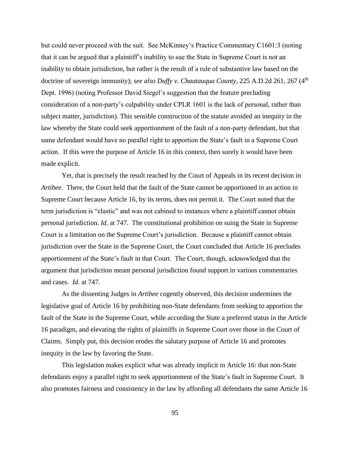but could never proceed with the suit. See McKinney's Practice Commentary C1601:3 (noting that it can be argued that a plaintiff's inability to sue the State in Supreme Court is not an inability to obtain jurisdiction, but rather is the result of a rule of substantive law based on the doctrine of sovereign immunity); *see also Duffy v. Chautauqua County*, 225 A.D.2d 261, 267 (4<sup>th</sup> Dept. 1996) (noting Professor David Siegel's suggestion that the feature precluding consideration of a non-party's culpability under CPLR 1601 is the lack of personal, rather than subject matter, jurisdiction). This sensible construction of the statute avoided an inequity in the law whereby the State could seek apportionment of the fault of a non-party defendant, but that same defendant would have no parallel right to apportion the State's fault in a Supreme Court action. If this were the purpose of Article 16 in this context, then surely it would have been made explicit.

Yet, that is precisely the result reached by the Court of Appeals in its recent decision in *Artibee*. There, the Court held that the fault of the State cannot be apportioned in an action in Supreme Court because Article 16, by its terms, does not permit it. The Court noted that the term jurisdiction is "elastic" and was not cabined to instances where a plaintiff cannot obtain personal jurisdiction. *Id*. at 747. The constitutional prohibition on suing the State in Supreme Court is a limitation on the Supreme Court's jurisdiction. Because a plaintiff cannot obtain jurisdiction over the State in the Supreme Court, the Court concluded that Article 16 precludes apportionment of the State's fault in that Court. The Court, though, acknowledged that the argument that jurisdiction meant personal jurisdiction found support in various commentaries and cases. *Id*. at 747.

As the dissenting Judges in *Artibee* cogently observed, this decision undermines the legislative goal of Article 16 by prohibiting non-State defendants from seeking to apportion the fault of the State in the Supreme Court, while according the State a preferred status in the Article 16 paradigm, and elevating the rights of plaintiffs in Supreme Court over those in the Court of Claims. Simply put, this decision erodes the salutary purpose of Article 16 and promotes inequity in the law by favoring the State.

This legislation makes explicit what was already implicit in Article 16: that non-State defendants enjoy a parallel right to seek apportionment of the State's fault in Supreme Court. It also promotes fairness and consistency in the law by affording all defendants the same Article 16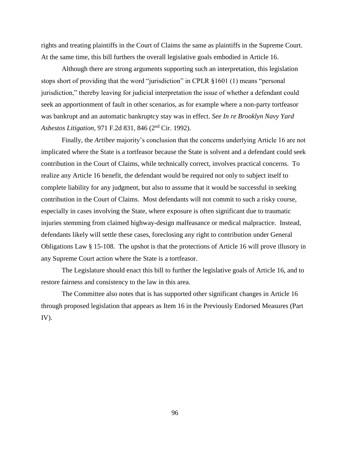rights and treating plaintiffs in the Court of Claims the same as plaintiffs in the Supreme Court. At the same time, this bill furthers the overall legislative goals embodied in Article 16.

Although there are strong arguments supporting such an interpretation, this legislation stops short of providing that the word "jurisdiction" in CPLR §1601 (1) means "personal jurisdiction," thereby leaving for judicial interpretation the issue of whether a defendant could seek an apportionment of fault in other scenarios, as for example where a non-party tortfeasor was bankrupt and an automatic bankruptcy stay was in effect. *See In re Brooklyn Navy Yard Asbestos Litigation*, 971 F.2d 831, 846 (2nd Cir. 1992).

Finally, the *Artibee* majority's conclusion that the concerns underlying Article 16 are not implicated where the State is a tortfeasor because the State is solvent and a defendant could seek contribution in the Court of Claims, while technically correct, involves practical concerns. To realize any Article 16 benefit, the defendant would be required not only to subject itself to complete liability for any judgment, but also to assume that it would be successful in seeking contribution in the Court of Claims. Most defendants will not commit to such a risky course, especially in cases involving the State, where exposure is often significant due to traumatic injuries stemming from claimed highway-design malfeasance or medical malpractice. Instead, defendants likely will settle these cases, foreclosing any right to contribution under General Obligations Law § 15-108. The upshot is that the protections of Article 16 will prove illusory in any Supreme Court action where the State is a tortfeasor.

The Legislature should enact this bill to further the legislative goals of Article 16, and to restore fairness and consistency to the law in this area.

The Committee also notes that is has supported other significant changes in Article 16 through proposed legislation that appears as Item 16 in the Previously Endorsed Measures (Part IV).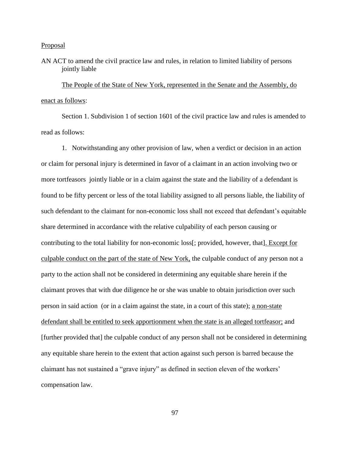# AN ACT to amend the civil practice law and rules, in relation to limited liability of persons jointly liable

The People of the State of New York, represented in the Senate and the Assembly, do enact as follows:

Section 1. Subdivision 1 of section 1601 of the civil practice law and rules is amended to read as follows:

1. Notwithstanding any other provision of law, when a verdict or decision in an action or claim for personal injury is determined in favor of a claimant in an action involving two or more tortfeasors jointly liable or in a claim against the state and the liability of a defendant is found to be fifty percent or less of the total liability assigned to all persons liable, the liability of such defendant to the claimant for non-economic loss shall not exceed that defendant's equitable share determined in accordance with the relative culpability of each person causing or contributing to the total liability for non-economic loss[; provided, however, that]. Except for culpable conduct on the part of the state of New York, the culpable conduct of any person not a party to the action shall not be considered in determining any equitable share herein if the claimant proves that with due diligence he or she was unable to obtain jurisdiction over such person in said action (or in a claim against the state, in a court of this state); a non-state defendant shall be entitled to seek apportionment when the state is an alleged tortfeasor; and [further provided that] the culpable conduct of any person shall not be considered in determining any equitable share herein to the extent that action against such person is barred because the claimant has not sustained a "grave injury" as defined in section eleven of the workers' compensation law.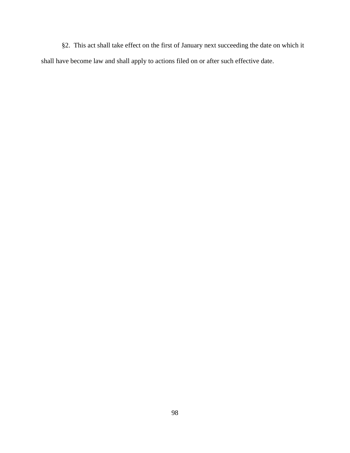§2. This act shall take effect on the first of January next succeeding the date on which it shall have become law and shall apply to actions filed on or after such effective date.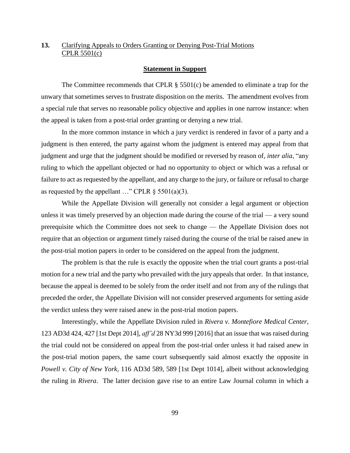# **13.** Clarifying Appeals to Orders Granting or Denying Post-Trial Motions CPLR 5501(c)

## **Statement in Support**

The Committee recommends that CPLR  $\S$  5501(c) be amended to eliminate a trap for the unwary that sometimes serves to frustrate disposition on the merits. The amendment evolves from a special rule that serves no reasonable policy objective and applies in one narrow instance: when the appeal is taken from a post-trial order granting or denying a new trial.

In the more common instance in which a jury verdict is rendered in favor of a party and a judgment is then entered, the party against whom the judgment is entered may appeal from that judgment and urge that the judgment should be modified or reversed by reason of, *inter alia*, "any ruling to which the appellant objected or had no opportunity to object or which was a refusal or failure to act as requested by the appellant, and any charge to the jury, or failure or refusal to charge as requested by the appellant ..." CPLR  $\S$  5501(a)(3).

While the Appellate Division will generally not consider a legal argument or objection unless it was timely preserved by an objection made during the course of the trial — a very sound prerequisite which the Committee does not seek to change — the Appellate Division does not require that an objection or argument timely raised during the course of the trial be raised anew in the post-trial motion papers in order to be considered on the appeal from the judgment.

The problem is that the rule is exactly the opposite when the trial court grants a post-trial motion for a new trial and the party who prevailed with the jury appeals that order. In that instance, because the appeal is deemed to be solely from the order itself and not from any of the rulings that preceded the order, the Appellate Division will not consider preserved arguments for setting aside the verdict unless they were raised anew in the post-trial motion papers.

Interestingly, while the Appellate Division ruled in *Rivera v. Montefiore Medical Center*, 123 AD3d 424, 427 [1st Dept 2014], *aff'd* 28 NY3d 999 [2016] that an issue that was raised during the trial could not be considered on appeal from the post-trial order unless it had raised anew in the post-trial motion papers, the same court subsequently said almost exactly the opposite in *Powell v. City of New York*, 116 AD3d 589, 589 [1st Dept 1014], albeit without acknowledging the ruling in *Rivera*. The latter decision gave rise to an entire Law Journal column in which a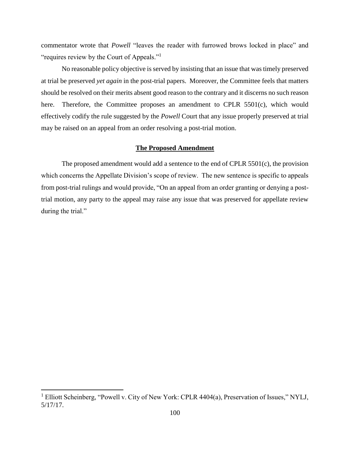commentator wrote that *Powell* "leaves the reader with furrowed brows locked in place" and "requires review by the Court of Appeals."<sup>1</sup>

No reasonable policy objective is served by insisting that an issue that was timely preserved at trial be preserved *yet again* in the post-trial papers. Moreover, the Committee feels that matters should be resolved on their merits absent good reason to the contrary and it discerns no such reason here. Therefore, the Committee proposes an amendment to CPLR 5501(c), which would effectively codify the rule suggested by the *Powell* Court that any issue properly preserved at trial may be raised on an appeal from an order resolving a post-trial motion.

## **The Proposed Amendment**

The proposed amendment would add a sentence to the end of CPLR 5501(c), the provision which concerns the Appellate Division's scope of review. The new sentence is specific to appeals from post-trial rulings and would provide, "On an appeal from an order granting or denying a posttrial motion, any party to the appeal may raise any issue that was preserved for appellate review during the trial."

 $\overline{a}$ 

<sup>&</sup>lt;sup>1</sup> Elliott Scheinberg, "Powell v. City of New York: CPLR 4404(a), Preservation of Issues," NYLJ, 5/17/17.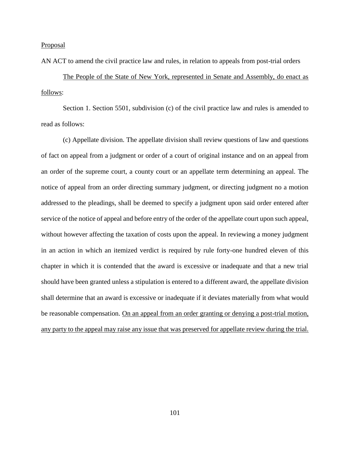AN ACT to amend the civil practice law and rules, in relation to appeals from post-trial orders

The People of the State of New York, represented in Senate and Assembly, do enact as follows:

Section 1. Section 5501, subdivision (c) of the civil practice law and rules is amended to read as follows:

(c) Appellate division. The appellate division shall review questions of law and questions of fact on appeal from a judgment or order of a court of original instance and on an appeal from an order of the supreme court, a county court or an appellate term determining an appeal. The notice of appeal from an order directing summary judgment, or directing judgment no a motion addressed to the pleadings, shall be deemed to specify a judgment upon said order entered after service of the notice of appeal and before entry of the order of the appellate court upon such appeal, without however affecting the taxation of costs upon the appeal. In reviewing a money judgment in an action in which an itemized verdict is required by rule forty-one hundred eleven of this chapter in which it is contended that the award is excessive or inadequate and that a new trial should have been granted unless a stipulation is entered to a different award, the appellate division shall determine that an award is excessive or inadequate if it deviates materially from what would be reasonable compensation. On an appeal from an order granting or denying a post-trial motion, any party to the appeal may raise any issue that was preserved for appellate review during the trial.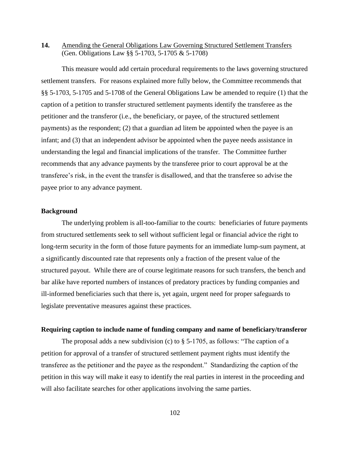## **14.** Amending the General Obligations Law Governing Structured Settlement Transfers (Gen. Obligations Law §§ 5-1703, 5-1705 & 5-1708)

This measure would add certain procedural requirements to the laws governing structured settlement transfers. For reasons explained more fully below, the Committee recommends that §§ 5-1703, 5-1705 and 5-1708 of the General Obligations Law be amended to require (1) that the caption of a petition to transfer structured settlement payments identify the transferee as the petitioner and the transferor (i.e., the beneficiary, or payee, of the structured settlement payments) as the respondent; (2) that a guardian ad litem be appointed when the payee is an infant; and (3) that an independent advisor be appointed when the payee needs assistance in understanding the legal and financial implications of the transfer. The Committee further recommends that any advance payments by the transferee prior to court approval be at the transferee's risk, in the event the transfer is disallowed, and that the transferee so advise the payee prior to any advance payment.

### **Background**

The underlying problem is all-too-familiar to the courts: beneficiaries of future payments from structured settlements seek to sell without sufficient legal or financial advice the right to long-term security in the form of those future payments for an immediate lump-sum payment, at a significantly discounted rate that represents only a fraction of the present value of the structured payout. While there are of course legitimate reasons for such transfers, the bench and bar alike have reported numbers of instances of predatory practices by funding companies and ill-informed beneficiaries such that there is, yet again, urgent need for proper safeguards to legislate preventative measures against these practices.

#### **Requiring caption to include name of funding company and name of beneficiary/transferor**

The proposal adds a new subdivision (c) to § 5-1705, as follows: "The caption of a petition for approval of a transfer of structured settlement payment rights must identify the transferee as the petitioner and the payee as the respondent." Standardizing the caption of the petition in this way will make it easy to identify the real parties in interest in the proceeding and will also facilitate searches for other applications involving the same parties.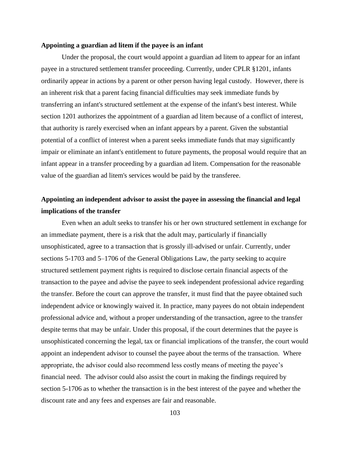### **Appointing a guardian ad litem if the payee is an infant**

Under the proposal, the court would appoint a guardian ad litem to appear for an infant payee in a structured settlement transfer proceeding. Currently, under CPLR §1201, infants ordinarily appear in actions by a parent or other person having legal custody. However, there is an inherent risk that a parent facing financial difficulties may seek immediate funds by transferring an infant's structured settlement at the expense of the infant's best interest. While section 1201 authorizes the appointment of a guardian ad litem because of a conflict of interest, that authority is rarely exercised when an infant appears by a parent. Given the substantial potential of a conflict of interest when a parent seeks immediate funds that may significantly impair or eliminate an infant's entitlement to future payments, the proposal would require that an infant appear in a transfer proceeding by a guardian ad litem. Compensation for the reasonable value of the guardian ad litem's services would be paid by the transferee.

# **Appointing an independent advisor to assist the payee in assessing the financial and legal implications of the transfer**

Even when an adult seeks to transfer his or her own structured settlement in exchange for an immediate payment, there is a risk that the adult may, particularly if financially unsophisticated, agree to a transaction that is grossly ill-advised or unfair. Currently, under sections 5-1703 and 5–1706 of the General Obligations Law, the party seeking to acquire structured settlement payment rights is required to disclose certain financial aspects of the transaction to the payee and advise the payee to seek independent professional advice regarding the transfer. Before the court can approve the transfer, it must find that the payee obtained such independent advice or knowingly waived it. In practice, many payees do not obtain independent professional advice and, without a proper understanding of the transaction, agree to the transfer despite terms that may be unfair. Under this proposal, if the court determines that the payee is unsophisticated concerning the legal, tax or financial implications of the transfer, the court would appoint an independent advisor to counsel the payee about the terms of the transaction. Where appropriate, the advisor could also recommend less costly means of meeting the payee's financial need. The advisor could also assist the court in making the findings required by section 5-1706 as to whether the transaction is in the best interest of the payee and whether the discount rate and any fees and expenses are fair and reasonable.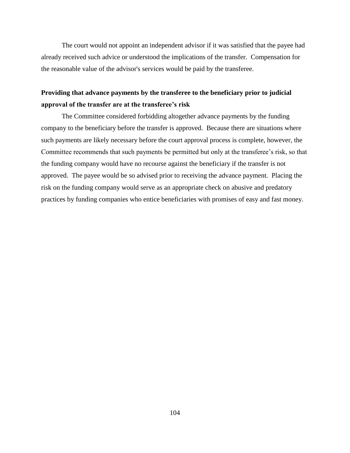The court would not appoint an independent advisor if it was satisfied that the payee had already received such advice or understood the implications of the transfer. Compensation for the reasonable value of the advisor's services would be paid by the transferee.

# **Providing that advance payments by the transferee to the beneficiary prior to judicial approval of the transfer are at the transferee's risk**

The Committee considered forbidding altogether advance payments by the funding company to the beneficiary before the transfer is approved. Because there are situations where such payments are likely necessary before the court approval process is complete, however, the Committee recommends that such payments be permitted but only at the transferee's risk, so that the funding company would have no recourse against the beneficiary if the transfer is not approved. The payee would be so advised prior to receiving the advance payment. Placing the risk on the funding company would serve as an appropriate check on abusive and predatory practices by funding companies who entice beneficiaries with promises of easy and fast money.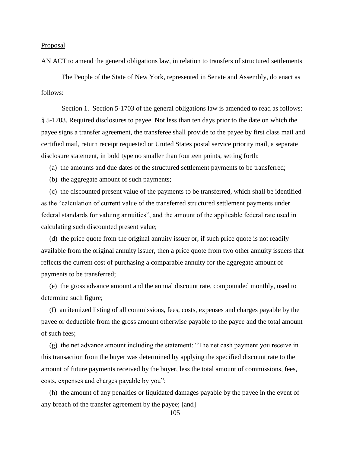AN ACT to amend the general obligations law, in relation to transfers of structured settlements

The People of the State of New York, represented in Senate and Assembly, do enact as follows:

Section 1. Section 5-1703 of the general obligations law is amended to read as follows: § 5-1703. Required disclosures to payee. Not less than ten days prior to the date on which the payee signs a transfer agreement, the transferee shall provide to the payee by first class mail and certified mail, return receipt requested or United States postal service priority mail, a separate disclosure statement, in bold type no smaller than fourteen points, setting forth:

(a) the amounts and due dates of the structured settlement payments to be transferred;

(b) the aggregate amount of such payments;

(c) the discounted present value of the payments to be transferred, which shall be identified as the "calculation of current value of the transferred structured settlement payments under federal standards for valuing annuities", and the amount of the applicable federal rate used in calculating such discounted present value;

(d) the price quote from the original annuity issuer or, if such price quote is not readily available from the original annuity issuer, then a price quote from two other annuity issuers that reflects the current cost of purchasing a comparable annuity for the aggregate amount of payments to be transferred;

(e) the gross advance amount and the annual discount rate, compounded monthly, used to determine such figure;

(f) an itemized listing of all commissions, fees, costs, expenses and charges payable by the payee or deductible from the gross amount otherwise payable to the payee and the total amount of such fees;

(g) the net advance amount including the statement: "The net cash payment you receive in this transaction from the buyer was determined by applying the specified discount rate to the amount of future payments received by the buyer, less the total amount of commissions, fees, costs, expenses and charges payable by you";

(h) the amount of any penalties or liquidated damages payable by the payee in the event of any breach of the transfer agreement by the payee; [and]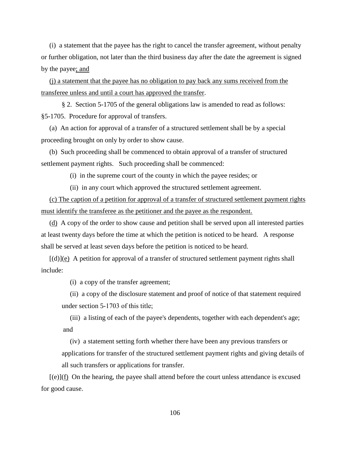(i) a statement that the payee has the right to cancel the transfer agreement, without penalty or further obligation, not later than the third business day after the date the agreement is signed by the payee; and

(j) a statement that the payee has no obligation to pay back any sums received from the transferee unless and until a court has approved the transfer.

§ 2. Section 5-1705 of the general obligations law is amended to read as follows: §5-1705. Procedure for approval of transfers.

(a) An action for approval of a transfer of a structured settlement shall be by a special proceeding brought on only by order to show cause.

(b) Such proceeding shall be commenced to obtain approval of a transfer of structured settlement payment rights. Such proceeding shall be commenced:

(i) in the supreme court of the county in which the payee resides; or

(ii) in any court which approved the structured settlement agreement.

(c) The caption of a petition for approval of a transfer of structured settlement payment rights must identify the transferee as the petitioner and the payee as the respondent.

(d) A copy of the order to show cause and petition shall be served upon all interested parties at least twenty days before the time at which the petition is noticed to be heard. A response shall be served at least seven days before the petition is noticed to be heard.

 $[(d)](e)$  A petition for approval of a transfer of structured settlement payment rights shall include:

(i) a copy of the transfer agreement;

(ii) a copy of the disclosure statement and proof of notice of that statement required under section 5-1703 of this title;  

(iii) a listing of each of the payee's dependents, together with each dependent's age;  and

(iv) a statement setting forth whether there have been any previous transfers or applications for transfer of the structured settlement payment rights and giving details of all such transfers or applications for transfer.

 $[(e)](\underline{f})$  On the hearing, the payee shall attend before the court unless attendance is excused for good cause.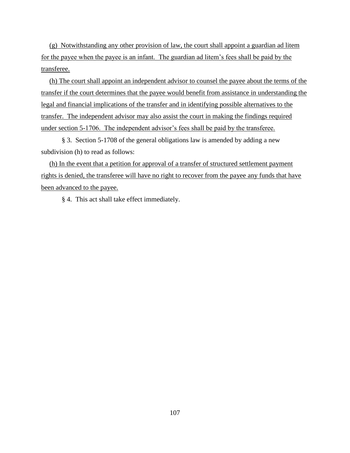(g) Notwithstanding any other provision of law, the court shall appoint a guardian ad litem for the payee when the payee is an infant. The guardian ad litem's fees shall be paid by the transferee.

(h) The court shall appoint an independent advisor to counsel the payee about the terms of the transfer if the court determines that the payee would benefit from assistance in understanding the legal and financial implications of the transfer and in identifying possible alternatives to the transfer. The independent advisor may also assist the court in making the findings required under section 5-1706. The independent advisor's fees shall be paid by the transferee.

§ 3. Section 5-1708 of the general obligations law is amended by adding a new subdivision (h) to read as follows:

(h) In the event that a petition for approval of a transfer of structured settlement payment rights is denied, the transferee will have no right to recover from the payee any funds that have been advanced to the payee.

§ 4. This act shall take effect immediately.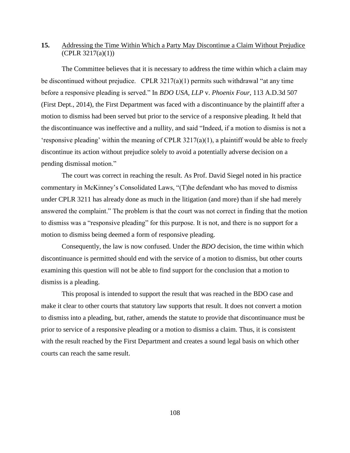# **15.** Addressing the Time Within Which a Party May Discontinue a Claim Without Prejudice (CPLR 3217(a)(1))

The Committee believes that it is necessary to address the time within which a claim may be discontinued without prejudice. CPLR  $3217(a)(1)$  permits such withdrawal "at any time before a responsive pleading is served." In *BDO USA, LLP* v. *Phoenix Four*, 113 A.D.3d 507 (First Dept., 2014), the First Department was faced with a discontinuance by the plaintiff after a motion to dismiss had been served but prior to the service of a responsive pleading. It held that the discontinuance was ineffective and a nullity, and said "Indeed, if a motion to dismiss is not a 'responsive pleading' within the meaning of CPLR 3217(a)(1), a plaintiff would be able to freely discontinue its action without prejudice solely to avoid a potentially adverse decision on a pending dismissal motion."

The court was correct in reaching the result. As Prof. David Siegel noted in his practice commentary in McKinney's Consolidated Laws, "(T)he defendant who has moved to dismiss under CPLR 3211 has already done as much in the litigation (and more) than if she had merely answered the complaint." The problem is that the court was not correct in finding that the motion to dismiss was a "responsive pleading" for this purpose. It is not, and there is no support for a motion to dismiss being deemed a form of responsive pleading.

Consequently, the law is now confused. Under the *BDO* decision, the time within which discontinuance is permitted should end with the service of a motion to dismiss, but other courts examining this question will not be able to find support for the conclusion that a motion to dismiss is a pleading.

This proposal is intended to support the result that was reached in the BDO case and make it clear to other courts that statutory law supports that result. It does not convert a motion to dismiss into a pleading, but, rather, amends the statute to provide that discontinuance must be prior to service of a responsive pleading or a motion to dismiss a claim. Thus, it is consistent with the result reached by the First Department and creates a sound legal basis on which other courts can reach the same result.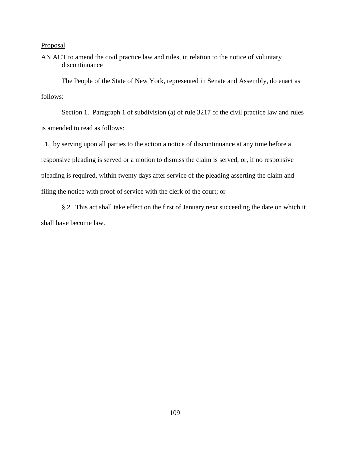AN ACT to amend the civil practice law and rules, in relation to the notice of voluntary discontinuance

The People of the State of New York, represented in Senate and Assembly, do enact as follows:

Section 1. Paragraph 1 of subdivision (a) of rule 3217 of the civil practice law and rules is amended to read as follows:

 1. by serving upon all parties to the action a notice of discontinuance at any time before a responsive pleading is served or a motion to dismiss the claim is served, or, if no responsive pleading is required, within twenty days after service of the pleading asserting the claim and filing the notice with proof of service with the clerk of the court; or

§ 2. This act shall take effect on the first of January next succeeding the date on which it shall have become law.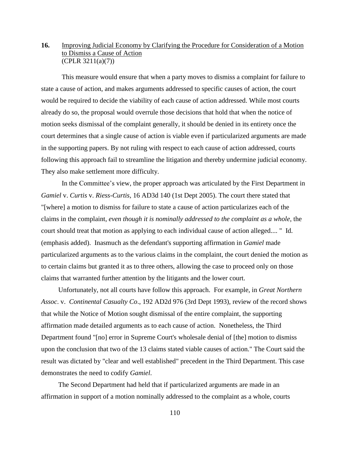# **16.** Improving Judicial Economy by Clarifying the Procedure for Consideration of a Motion to Dismiss a Cause of Action (CPLR 3211(a)(7))

This measure would ensure that when a party moves to dismiss a complaint for failure to state a cause of action, and makes arguments addressed to specific causes of action, the court would be required to decide the viability of each cause of action addressed. While most courts already do so, the proposal would overrule those decisions that hold that when the notice of motion seeks dismissal of the complaint generally, it should be denied in its entirety once the court determines that a single cause of action is viable even if particularized arguments are made in the supporting papers. By not ruling with respect to each cause of action addressed, courts following this approach fail to streamline the litigation and thereby undermine judicial economy. They also make settlement more difficulty.

In the Committee's view, the proper approach was articulated by the First Department in *Gamiel* v. *Curtis* v. *Riess-Curtis*, 16 AD3d 140 (1st Dept 2005). The court there stated that "[where] a motion to dismiss for failure to state a cause of action particularizes each of the claims in the complaint, *even though it is nominally addressed to the complaint as a whole*, the court should treat that motion as applying to each individual cause of action alleged.... " Id. (emphasis added). Inasmuch as the defendant's supporting affirmation in *Gamiel* made particularized arguments as to the various claims in the complaint, the court denied the motion as to certain claims but granted it as to three others, allowing the case to proceed only on those claims that warranted further attention by the litigants and the lower court.

 Unfortunately, not all courts have follow this approach. For example, in *Great Northern Assoc*. v. *Continental Casualty Co*., 192 AD2d 976 (3rd Dept 1993), review of the record shows that while the Notice of Motion sought dismissal of the entire complaint, the supporting affirmation made detailed arguments as to each cause of action. Nonetheless, the Third Department found "[no] error in Supreme Court's wholesale denial of [the] motion to dismiss upon the conclusion that two of the 13 claims stated viable causes of action." The Court said the result was dictated by "clear and well established" precedent in the Third Department. This case demonstrates the need to codify *Gamiel*.

 The Second Department had held that if particularized arguments are made in an affirmation in support of a motion nominally addressed to the complaint as a whole, courts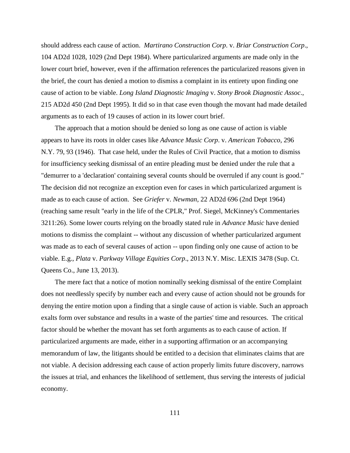should address each cause of action. *Martirano Construction Corp*. v. *Briar Construction Corp*., 104 AD2d 1028, 1029 (2nd Dept 1984). Where particularized arguments are made only in the lower court brief, however, even if the affirmation references the particularized reasons given in the brief, the court has denied a motion to dismiss a complaint in its entirety upon finding one cause of action to be viable. *Long Island Diagnostic Imaging* v. *Stony Brook Diagnostic Assoc*., 215 AD2d 450 (2nd Dept 1995). It did so in that case even though the movant had made detailed arguments as to each of 19 causes of action in its lower court brief.

 The approach that a motion should be denied so long as one cause of action is viable appears to have its roots in older cases like *Advance Music Corp*. v. *American Tobacco*, 296 N.Y. 79, 93 (1946). That case held, under the Rules of Civil Practice, that a motion to dismiss for insufficiency seeking dismissal of an entire pleading must be denied under the rule that a "demurrer to a 'declaration' containing several counts should be overruled if any count is good." The decision did not recognize an exception even for cases in which particularized argument is made as to each cause of action. See *Griefer* v. *Newman*, 22 AD2d 696 (2nd Dept 1964) (reaching same result "early in the life of the CPLR," Prof. Siegel, McKinney's Commentaries 3211:26). Some lower courts relying on the broadly stated rule in *Advance Music* have denied motions to dismiss the complaint -- without any discussion of whether particularized argument was made as to each of several causes of action -- upon finding only one cause of action to be viable. E.g., *Plata* v. *Parkway Village Equities Corp*., 2013 N.Y. Misc. LEXIS 3478 (Sup. Ct. Queens Co., June 13, 2013).

 The mere fact that a notice of motion nominally seeking dismissal of the entire Complaint does not needlessly specify by number each and every cause of action should not be grounds for denying the entire motion upon a finding that a single cause of action is viable. Such an approach exalts form over substance and results in a waste of the parties' time and resources. The critical factor should be whether the movant has set forth arguments as to each cause of action. If particularized arguments are made, either in a supporting affirmation or an accompanying memorandum of law, the litigants should be entitled to a decision that eliminates claims that are not viable. A decision addressing each cause of action properly limits future discovery, narrows the issues at trial, and enhances the likelihood of settlement, thus serving the interests of judicial economy.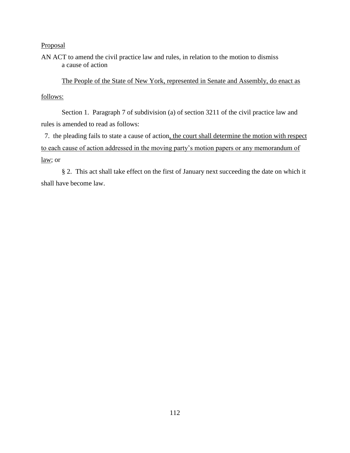AN ACT to amend the civil practice law and rules, in relation to the motion to dismiss a cause of action

The People of the State of New York, represented in Senate and Assembly, do enact as

### follows:

Section 1. Paragraph 7 of subdivision (a) of section 3211 of the civil practice law and rules is amended to read as follows:

 7. the pleading fails to state a cause of action, the court shall determine the motion with respect to each cause of action addressed in the moving party's motion papers or any memorandum of law; or

§ 2. This act shall take effect on the first of January next succeeding the date on which it shall have become law.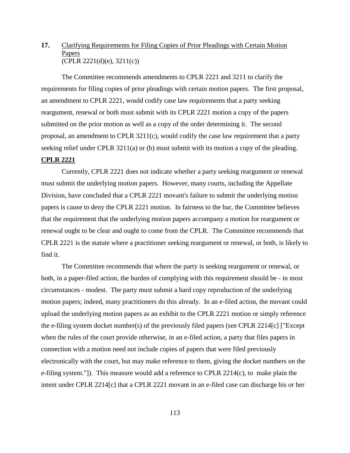# **17.** Clarifying Requirements for Filing Copies of Prior Pleadings with Certain Motion Papers (CPLR 2221(d)(e), 3211(c))

The Committee recommends amendments to CPLR 2221 and 3211 to clarify the requirements for filing copies of prior pleadings with certain motion papers. The first proposal, an amendment to CPLR 2221, would codify case law requirements that a party seeking reargument, renewal or both must submit with its CPLR 2221 motion a copy of the papers submitted on the prior motion as well as a copy of the order determining it. The second proposal, an amendment to CPLR 3211(c), would codify the case law requirement that a party seeking relief under CPLR 3211(a) or (b) must submit with its motion a copy of the pleading.

## **CPLR 2221**

Currently, CPLR 2221 does not indicate whether a party seeking reargument or renewal must submit the underlying motion papers. However, many courts, including the Appellate Division, have concluded that a CPLR 2221 movant's failure to submit the underlying motion papers is cause to deny the CPLR 2221 motion. In fairness to the bar, the Committee believes that the requirement that the underlying motion papers accompany a motion for reargument or renewal ought to be clear and ought to come from the CPLR. The Committee recommends that CPLR 2221 is the statute where a practitioner seeking reargument or renewal, or both, is likely to find it.

The Committee recommends that where the party is seeking reargument or renewal, or both, in a paper-filed action, the burden of complying with this requirement should be - in most circumstances - modest. The party must submit a hard copy reproduction of the underlying motion papers; indeed, many practitioners do this already. In an e-filed action, the movant could upload the underlying motion papers as an exhibit to the CPLR 2221 motion or simply reference the e-filing system docket number(s) of the previously filed papers (see CPLR 2214[c] ["Except when the rules of the court provide otherwise, in an e-filed action, a party that files papers in connection with a motion need not include copies of papers that were filed previously electronically with the court, but may make reference to them, giving the docket numbers on the e-filing system."]). This measure would add a reference to CPLR 2214(c), to make plain the intent under CPLR 2214[c] that a CPLR 2221 movant in an e-filed case can discharge his or her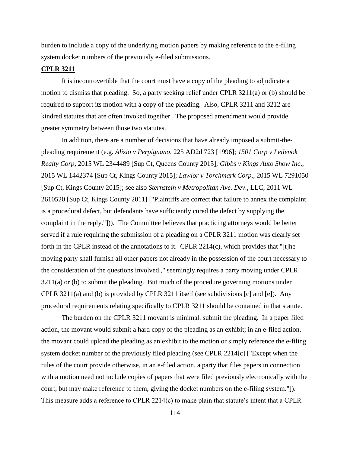burden to include a copy of the underlying motion papers by making reference to the e-filing system docket numbers of the previously e-filed submissions.

### **CPLR 3211**

It is incontrovertible that the court must have a copy of the pleading to adjudicate a motion to dismiss that pleading. So, a party seeking relief under CPLR 3211(a) or (b) should be required to support its motion with a copy of the pleading. Also, CPLR 3211 and 3212 are kindred statutes that are often invoked together. The proposed amendment would provide greater symmetry between those two statutes.

In addition, there are a number of decisions that have already imposed a submit-thepleading requirement (e.g. *Alizio v Perpignano*, 225 AD2d 723 [1996]; *1501 Corp v Leilenok Realty Corp*, 2015 WL 2344489 [Sup Ct, Queens County 2015]; *Gibbs v Kings Auto Show Inc*., 2015 WL 1442374 [Sup Ct, Kings County 2015]; *Lawlor v Torchmark Corp*., 2015 WL 7291050 [Sup Ct, Kings County 2015]; see also *Sternstein v Metropolitan Ave. Dev*., LLC, 2011 WL 2610520 [Sup Ct, Kings County 2011] ["Plaintiffs are correct that failure to annex the complaint is a procedural defect, but defendants have sufficiently cured the defect by supplying the complaint in the reply."])). The Committee believes that practicing attorneys would be better served if a rule requiring the submission of a pleading on a CPLR 3211 motion was clearly set forth in the CPLR instead of the annotations to it. CPLR 2214(c), which provides that "[t]he moving party shall furnish all other papers not already in the possession of the court necessary to the consideration of the questions involved.," seemingly requires a party moving under CPLR 3211(a) or (b) to submit the pleading. But much of the procedure governing motions under CPLR 3211(a) and (b) is provided by CPLR 3211 itself (see subdivisions [c] and [e]). Any procedural requirements relating specifically to CPLR 3211 should be contained in that statute.

The burden on the CPLR 3211 movant is minimal: submit the pleading. In a paper filed action, the movant would submit a hard copy of the pleading as an exhibit; in an e-filed action, the movant could upload the pleading as an exhibit to the motion or simply reference the e-filing system docket number of the previously filed pleading (see CPLR 2214[c] ["Except when the rules of the court provide otherwise, in an e-filed action, a party that files papers in connection with a motion need not include copies of papers that were filed previously electronically with the court, but may make reference to them, giving the docket numbers on the e-filing system."]). This measure adds a reference to CPLR 2214(c) to make plain that statute's intent that a CPLR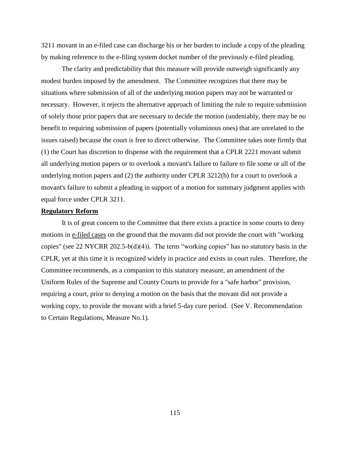3211 movant in an e-filed case can discharge his or her burden to include a copy of the pleading by making reference to the e-filing system docket number of the previously e-filed pleading.

The clarity and predictability that this measure will provide outweigh significantly any modest burden imposed by the amendment. The Committee recognizes that there may be situations where submission of all of the underlying motion papers may not be warranted or necessary. However, it rejects the alternative approach of limiting the rule to require submission of solely those prior papers that are necessary to decide the motion (undeniably, there may be no benefit to requiring submission of papers (potentially voluminous ones) that are unrelated to the issues raised) because the court is free to direct otherwise. The Committee takes note firmly that (1) the Court has discretion to dispense with the requirement that a CPLR 2221 movant submit all underlying motion papers or to overlook a movant's failure to failure to file some or all of the underlying motion papers and (2) the authority under CPLR 3212(b) for a court to overlook a movant's failure to submit a pleading in support of a motion for summary judgment applies with equal force under CPLR 3211.

### **Regulatory Reform**

It is of great concern to the Committee that there exists a practice in some courts to deny motions in e-filed cases on the ground that the movants did not provide the court with "working copies" (see 22 NYCRR 202.5-b(d)(4)). The term "working copies" has no statutory basis in the CPLR, yet at this time it is recognized widely in practice and exists in court rules. Therefore, the Committee recommends, as a companion to this statutory measure, an amendment of the Uniform Rules of the Supreme and County Courts to provide for a "safe harbor" provision, requiring a court, prior to denying a motion on the basis that the movant did not provide a working copy, to provide the movant with a brief 5-day cure period. (See V. Recommendation to Certain Regulations, Measure No.1).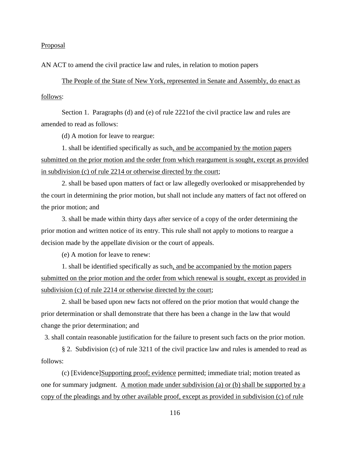AN ACT to amend the civil practice law and rules, in relation to motion papers

The People of the State of New York, represented in Senate and Assembly, do enact as follows:

Section 1. Paragraphs (d) and (e) of rule 2221of the civil practice law and rules are amended to read as follows:

(d) A motion for leave to reargue:

 1. shall be identified specifically as such, and be accompanied by the motion papers submitted on the prior motion and the order from which reargument is sought, except as provided in subdivision (c) of rule 2214 or otherwise directed by the court;

 2. shall be based upon matters of fact or law allegedly overlooked or misapprehended by the court in determining the prior motion, but shall not include any matters of fact not offered on the prior motion; and

 3. shall be made within thirty days after service of a copy of the order determining the prior motion and written notice of its entry. This rule shall not apply to motions to reargue a decision made by the appellate division or the court of appeals.

(e) A motion for leave to renew:

 1. shall be identified specifically as such, and be accompanied by the motion papers submitted on the prior motion and the order from which renewal is sought, except as provided in subdivision (c) of rule 2214 or otherwise directed by the court;

 2. shall be based upon new facts not offered on the prior motion that would change the prior determination or shall demonstrate that there has been a change in the law that would change the prior determination; and

3. shall contain reasonable justification for the failure to present such facts on the prior motion.

§ 2. Subdivision (c) of rule 3211 of the civil practice law and rules is amended to read as follows:

 (c) [Evidence]Supporting proof; evidence permitted; immediate trial; motion treated as one for summary judgment. A motion made under subdivision (a) or (b) shall be supported by a copy of the pleadings and by other available proof, except as provided in subdivision (c) of rule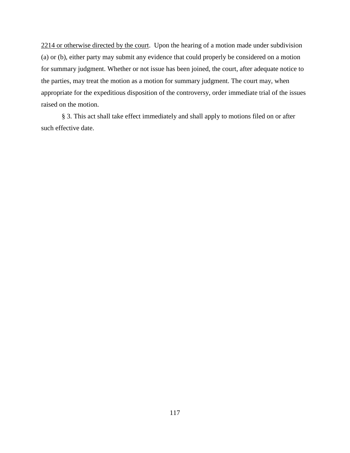2214 or otherwise directed by the court. Upon the hearing of a motion made under subdivision (a) or (b), either party may submit any evidence that could properly be considered on a motion for summary judgment. Whether or not issue has been joined, the court, after adequate notice to the parties, may treat the motion as a motion for summary judgment. The court may, when appropriate for the expeditious disposition of the controversy, order immediate trial of the issues raised on the motion.

§ 3. This act shall take effect immediately and shall apply to motions filed on or after such effective date.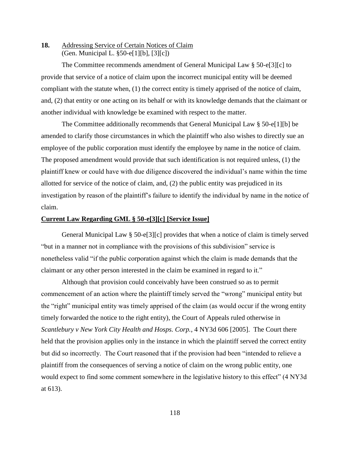# 18. Addressing Service of Certain Notices of Claim (Gen. Municipal L. §50-e[1][b], [3][c])

The Committee recommends amendment of General Municipal Law § 50-e[3][c] to provide that service of a notice of claim upon the incorrect municipal entity will be deemed compliant with the statute when, (1) the correct entity is timely apprised of the notice of claim, and, (2) that entity or one acting on its behalf or with its knowledge demands that the claimant or another individual with knowledge be examined with respect to the matter.

The Committee additionally recommends that General Municipal Law § 50-e[1][b] be amended to clarify those circumstances in which the plaintiff who also wishes to directly sue an employee of the public corporation must identify the employee by name in the notice of claim. The proposed amendment would provide that such identification is not required unless, (1) the plaintiff knew or could have with due diligence discovered the individual's name within the time allotted for service of the notice of claim, and, (2) the public entity was prejudiced in its investigation by reason of the plaintiff's failure to identify the individual by name in the notice of claim.

### **Current Law Regarding GML § 50-e[3][c] [Service Issue]**

General Municipal Law § 50-e[3][c] provides that when a notice of claim is timely served "but in a manner not in compliance with the provisions of this subdivision" service is nonetheless valid "if the public corporation against which the claim is made demands that the claimant or any other person interested in the claim be examined in regard to it."

Although that provision could conceivably have been construed so as to permit commencement of an action where the plaintiff timely served the "wrong" municipal entity but the "right" municipal entity was timely apprised of the claim (as would occur if the wrong entity timely forwarded the notice to the right entity), the Court of Appeals ruled otherwise in *Scantlebury v New York City Health and Hosps. Corp.*, 4 NY3d 606 [2005]. The Court there held that the provision applies only in the instance in which the plaintiff served the correct entity but did so incorrectly. The Court reasoned that if the provision had been "intended to relieve a plaintiff from the consequences of serving a notice of claim on the wrong public entity, one would expect to find some comment somewhere in the legislative history to this effect" (4 NY3d at 613).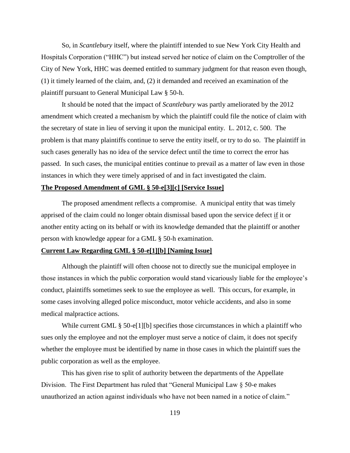So, in *Scantlebury* itself, where the plaintiff intended to sue New York City Health and Hospitals Corporation ("HHC") but instead served her notice of claim on the Comptroller of the City of New York, HHC was deemed entitled to summary judgment for that reason even though, (1) it timely learned of the claim, and, (2) it demanded and received an examination of the plaintiff pursuant to General Municipal Law § 50-h.

It should be noted that the impact of *Scantlebury* was partly ameliorated by the 2012 amendment which created a mechanism by which the plaintiff could file the notice of claim with the secretary of state in lieu of serving it upon the municipal entity. L. 2012, c. 500. The problem is that many plaintiffs continue to serve the entity itself, or try to do so. The plaintiff in such cases generally has no idea of the service defect until the time to correct the error has passed. In such cases, the municipal entities continue to prevail as a matter of law even in those instances in which they were timely apprised of and in fact investigated the claim.

#### **The Proposed Amendment of GML § 50-e[3][c] [Service Issue]**

The proposed amendment reflects a compromise. A municipal entity that was timely apprised of the claim could no longer obtain dismissal based upon the service defect if it or another entity acting on its behalf or with its knowledge demanded that the plaintiff or another person with knowledge appear for a GML § 50-h examination.

#### **Current Law Regarding GML § 50-e[1][b] [Naming Issue]**

Although the plaintiff will often choose not to directly sue the municipal employee in those instances in which the public corporation would stand vicariously liable for the employee's conduct, plaintiffs sometimes seek to sue the employee as well. This occurs, for example, in some cases involving alleged police misconduct, motor vehicle accidents, and also in some medical malpractice actions.

While current GML § 50-e[1][b] specifies those circumstances in which a plaintiff who sues only the employee and not the employer must serve a notice of claim, it does not specify whether the employee must be identified by name in those cases in which the plaintiff sues the public corporation as well as the employee.

This has given rise to split of authority between the departments of the Appellate Division. The First Department has ruled that "General Municipal Law § 50-e makes unauthorized an action against individuals who have not been named in a notice of claim."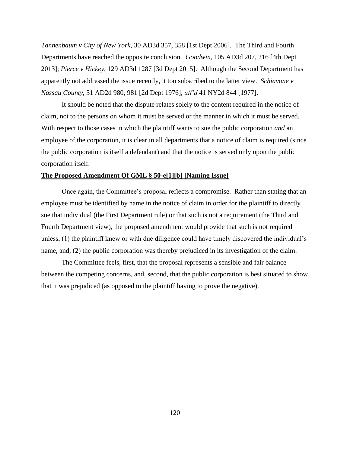*Tannenbaum v City of New York*, 30 AD3d 357, 358 [1st Dept 2006]. The Third and Fourth Departments have reached the opposite conclusion. *Goodwin*, 105 AD3d 207, 216 [4th Dept 2013]; *Pierce v Hickey*, 129 AD3d 1287 [3d Dept 2015]. Although the Second Department has apparently not addressed the issue recently, it too subscribed to the latter view. *Schiavone v Nassau County*, 51 AD2d 980, 981 [2d Dept 1976], *aff'd* 41 NY2d 844 [1977].

It should be noted that the dispute relates solely to the content required in the notice of claim, not to the persons on whom it must be served or the manner in which it must be served. With respect to those cases in which the plaintiff wants to sue the public corporation *and* an employee of the corporation, it is clear in all departments that a notice of claim is required (since the public corporation is itself a defendant) and that the notice is served only upon the public corporation itself.

#### **The Proposed Amendment Of GML § 50-e[1][b] [Naming Issue]**

Once again, the Committee's proposal reflects a compromise. Rather than stating that an employee must be identified by name in the notice of claim in order for the plaintiff to directly sue that individual (the First Department rule) or that such is not a requirement (the Third and Fourth Department view), the proposed amendment would provide that such is not required unless, (1) the plaintiff knew or with due diligence could have timely discovered the individual's name, and, (2) the public corporation was thereby prejudiced in its investigation of the claim.

The Committee feels, first, that the proposal represents a sensible and fair balance between the competing concerns, and, second, that the public corporation is best situated to show that it was prejudiced (as opposed to the plaintiff having to prove the negative).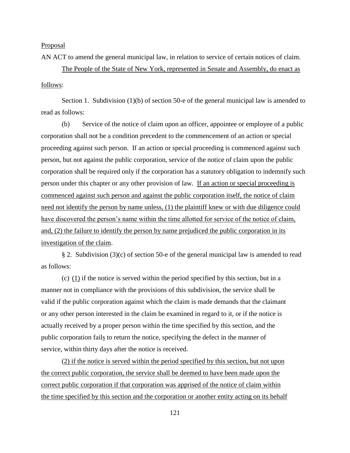AN ACT to amend the general municipal law, in relation to service of certain notices of claim.

The People of the State of New York, represented in Senate and Assembly, do enact as follows:

Section 1. Subdivision (1)(b) of section 50-e of the general municipal law is amended to read as follows:

(b) Service of the notice of claim upon an officer, appointee or employee of a public corporation shall not be a condition precedent to the commencement of an action or special proceeding against such person. If an action or special proceeding is commenced against such person, but not against the public corporation, service of the notice of claim upon the public corporation shall be required only if the corporation has a statutory obligation to indemnify such person under this chapter or any other provision of law. If an action or special proceeding is commenced against such person and against the public corporation itself, the notice of claim need not identify the person by name unless, (1) the plaintiff knew or with due diligence could have discovered the person's name within the time allotted for service of the notice of claim, and, (2) the failure to identify the person by name prejudiced the public corporation in its investigation of the claim.

§ 2. Subdivision (3)(c) of section 50-e of the general municipal law is amended to read as follows:

(c) (1) if the notice is served within the period specified by this section, but in a manner not in compliance with the provisions of this subdivision, the service shall be valid if the public corporation against which the claim is made demands that the claimant or any other person interested in the claim be examined in regard to it, or if the notice is actually received by a proper person within the time specified by this section, and the public corporation fails to return the notice, specifying the defect in the manner of service, within thirty days after the notice is received.

(2) if the notice is served within the period specified by this section, but not upon the correct public corporation, the service shall be deemed to have been made upon the correct public corporation if that corporation was apprised of the notice of claim within the time specified by this section and the corporation or another entity acting on its behalf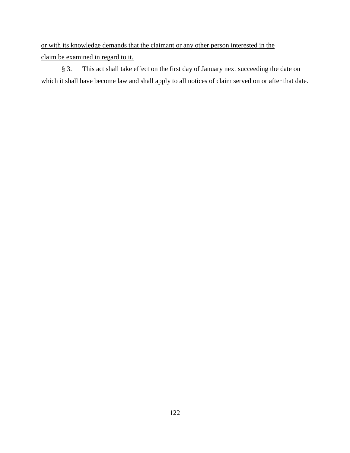or with its knowledge demands that the claimant or any other person interested in the claim be examined in regard to it.

§ 3. This act shall take effect on the first day of January next succeeding the date on which it shall have become law and shall apply to all notices of claim served on or after that date.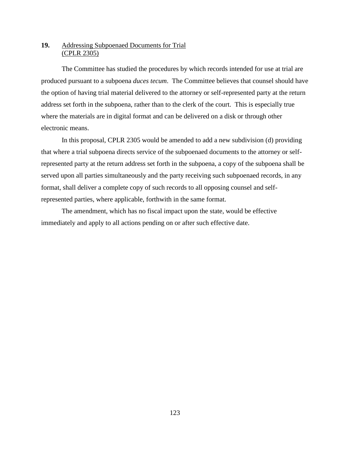# **19.** Addressing Subpoenaed Documents for Trial (CPLR 2305)

The Committee has studied the procedures by which records intended for use at trial are produced pursuant to a subpoena *duces tecum*. The Committee believes that counsel should have the option of having trial material delivered to the attorney or self-represented party at the return address set forth in the subpoena, rather than to the clerk of the court. This is especially true where the materials are in digital format and can be delivered on a disk or through other electronic means.

In this proposal, CPLR 2305 would be amended to add a new subdivision (d) providing that where a trial subpoena directs service of the subpoenaed documents to the attorney or selfrepresented party at the return address set forth in the subpoena, a copy of the subpoena shall be served upon all parties simultaneously and the party receiving such subpoenaed records, in any format, shall deliver a complete copy of such records to all opposing counsel and selfrepresented parties, where applicable, forthwith in the same format.

The amendment, which has no fiscal impact upon the state, would be effective immediately and apply to all actions pending on or after such effective date.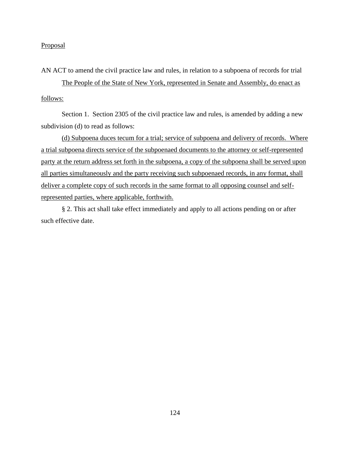### AN ACT to amend the civil practice law and rules, in relation to a subpoena of records for trial

The People of the State of New York, represented in Senate and Assembly, do enact as

### follows:

Section 1. Section 2305 of the civil practice law and rules, is amended by adding a new subdivision (d) to read as follows:

(d) Subpoena duces tecum for a trial; service of subpoena and delivery of records. Where a trial subpoena directs service of the subpoenaed documents to the attorney or self-represented party at the return address set forth in the subpoena, a copy of the subpoena shall be served upon all parties simultaneously and the party receiving such subpoenaed records, in any format, shall deliver a complete copy of such records in the same format to all opposing counsel and selfrepresented parties, where applicable, forthwith.

§ 2. This act shall take effect immediately and apply to all actions pending on or after such effective date.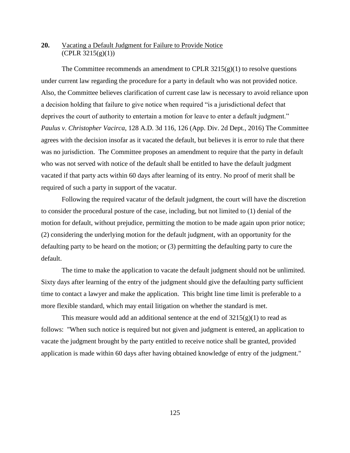# **20.** Vacating a Default Judgment for Failure to Provide Notice  $(CPLR 3215(g)(1))$

The Committee recommends an amendment to CPLR  $3215(g)(1)$  to resolve questions under current law regarding the procedure for a party in default who was not provided notice. Also, the Committee believes clarification of current case law is necessary to avoid reliance upon a decision holding that failure to give notice when required "is a jurisdictional defect that deprives the court of authority to entertain a motion for leave to enter a default judgment." *Paulus v. Christopher Vacirca*, 128 A.D. 3d 116, 126 (App. Div. 2d Dept., 2016) The Committee agrees with the decision insofar as it vacated the default, but believes it is error to rule that there was no jurisdiction. The Committee proposes an amendment to require that the party in default who was not served with notice of the default shall be entitled to have the default judgment vacated if that party acts within 60 days after learning of its entry. No proof of merit shall be required of such a party in support of the vacatur.

Following the required vacatur of the default judgment, the court will have the discretion to consider the procedural posture of the case, including, but not limited to (1) denial of the motion for default, without prejudice, permitting the motion to be made again upon prior notice; (2) considering the underlying motion for the default judgment, with an opportunity for the defaulting party to be heard on the motion; or (3) permitting the defaulting party to cure the default.

The time to make the application to vacate the default judgment should not be unlimited. Sixty days after learning of the entry of the judgment should give the defaulting party sufficient time to contact a lawyer and make the application. This bright line time limit is preferable to a more flexible standard, which may entail litigation on whether the standard is met.

This measure would add an additional sentence at the end of  $3215(g)(1)$  to read as follows: "When such notice is required but not given and judgment is entered, an application to vacate the judgment brought by the party entitled to receive notice shall be granted, provided application is made within 60 days after having obtained knowledge of entry of the judgment."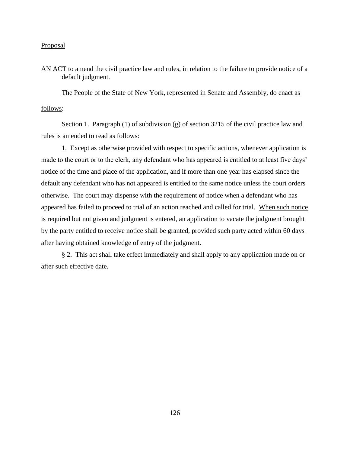AN ACT to amend the civil practice law and rules, in relation to the failure to provide notice of a default judgment.

The People of the State of New York, represented in Senate and Assembly, do enact as follows:

Section 1. Paragraph (1) of subdivision (g) of section 3215 of the civil practice law and rules is amended to read as follows:

 1. Except as otherwise provided with respect to specific actions, whenever application is made to the court or to the clerk, any defendant who has appeared is entitled to at least five days' notice of the time and place of the application, and if more than one year has elapsed since the default any defendant who has not appeared is entitled to the same notice unless the court orders otherwise. The court may dispense with the requirement of notice when a defendant who has appeared has failed to proceed to trial of an action reached and called for trial. When such notice is required but not given and judgment is entered, an application to vacate the judgment brought by the party entitled to receive notice shall be granted, provided such party acted within 60 days after having obtained knowledge of entry of the judgment.

§ 2. This act shall take effect immediately and shall apply to any application made on or after such effective date.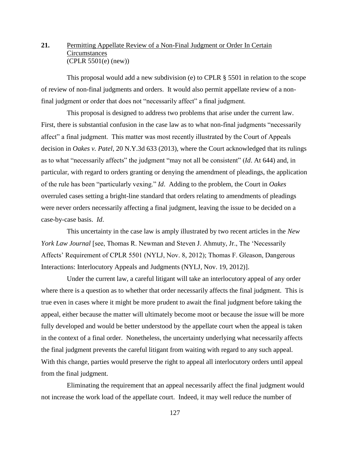# **21.** Permitting Appellate Review of a Non-Final Judgment or Order In Certain **Circumstances** (CPLR 5501(e) (new))

This proposal would add a new subdivision (e) to CPLR § 5501 in relation to the scope of review of non-final judgments and orders. It would also permit appellate review of a nonfinal judgment or order that does not "necessarily affect" a final judgment.

This proposal is designed to address two problems that arise under the current law. First, there is substantial confusion in the case law as to what non-final judgments "necessarily affect" a final judgment. This matter was most recently illustrated by the Court of Appeals decision in *Oakes v. Patel*, 20 N.Y.3d 633 (2013), where the Court acknowledged that its rulings as to what "necessarily affects" the judgment "may not all be consistent" (*Id*. At 644) and, in particular, with regard to orders granting or denying the amendment of pleadings, the application of the rule has been "particularly vexing." *Id*. Adding to the problem, the Court in *Oakes* overruled cases setting a bright-line standard that orders relating to amendments of pleadings were never orders necessarily affecting a final judgment, leaving the issue to be decided on a case-by-case basis. *Id*.

This uncertainty in the case law is amply illustrated by two recent articles in the *New York Law Journal* [see, Thomas R. Newman and Steven J. Ahmuty, Jr., The 'Necessarily Affects' Requirement of CPLR 5501 (NYLJ, Nov. 8, 2012); Thomas F. Gleason, Dangerous Interactions: Interlocutory Appeals and Judgments (NYLJ, Nov. 19, 2012)].

Under the current law, a careful litigant will take an interlocutory appeal of any order where there is a question as to whether that order necessarily affects the final judgment. This is true even in cases where it might be more prudent to await the final judgment before taking the appeal, either because the matter will ultimately become moot or because the issue will be more fully developed and would be better understood by the appellate court when the appeal is taken in the context of a final order. Nonetheless, the uncertainty underlying what necessarily affects the final judgment prevents the careful litigant from waiting with regard to any such appeal. With this change, parties would preserve the right to appeal all interlocutory orders until appeal from the final judgment.

Eliminating the requirement that an appeal necessarily affect the final judgment would not increase the work load of the appellate court. Indeed, it may well reduce the number of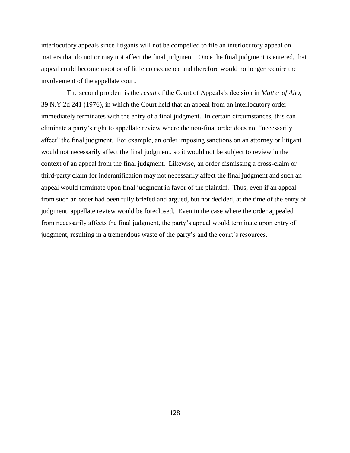interlocutory appeals since litigants will not be compelled to file an interlocutory appeal on matters that do not or may not affect the final judgment. Once the final judgment is entered, that appeal could become moot or of little consequence and therefore would no longer require the involvement of the appellate court.

The second problem is the *result* of the Court of Appeals's decision in *Matter of Aho*, 39 N.Y.2d 241 (1976), in which the Court held that an appeal from an interlocutory order immediately terminates with the entry of a final judgment. In certain circumstances, this can eliminate a party's right to appellate review where the non-final order does not "necessarily affect" the final judgment. For example, an order imposing sanctions on an attorney or litigant would not necessarily affect the final judgment, so it would not be subject to review in the context of an appeal from the final judgment. Likewise, an order dismissing a cross-claim or third-party claim for indemnification may not necessarily affect the final judgment and such an appeal would terminate upon final judgment in favor of the plaintiff. Thus, even if an appeal from such an order had been fully briefed and argued, but not decided, at the time of the entry of judgment, appellate review would be foreclosed. Even in the case where the order appealed from necessarily affects the final judgment, the party's appeal would terminate upon entry of judgment, resulting in a tremendous waste of the party's and the court's resources.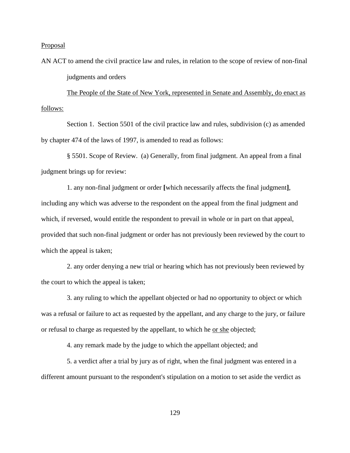AN ACT to amend the civil practice law and rules, in relation to the scope of review of non-final judgments and orders

The People of the State of New York, represented in Senate and Assembly, do enact as follows:

Section 1. Section 5501 of the civil practice law and rules, subdivision (c) as amended by chapter 474 of the laws of 1997, is amended to read as follows:

§ 5501. Scope of Review. (a) Generally, from final judgment. An appeal from a final judgment brings up for review:

1. any non-final judgment or order **[**which necessarily affects the final judgment**]**, including any which was adverse to the respondent on the appeal from the final judgment and which, if reversed, would entitle the respondent to prevail in whole or in part on that appeal, provided that such non-final judgment or order has not previously been reviewed by the court to which the appeal is taken;

2. any order denying a new trial or hearing which has not previously been reviewed by the court to which the appeal is taken;

3. any ruling to which the appellant objected or had no opportunity to object or which was a refusal or failure to act as requested by the appellant, and any charge to the jury, or failure or refusal to charge as requested by the appellant, to which he <u>or she</u> objected;

4. any remark made by the judge to which the appellant objected; and

5. a verdict after a trial by jury as of right, when the final judgment was entered in a different amount pursuant to the respondent's stipulation on a motion to set aside the verdict as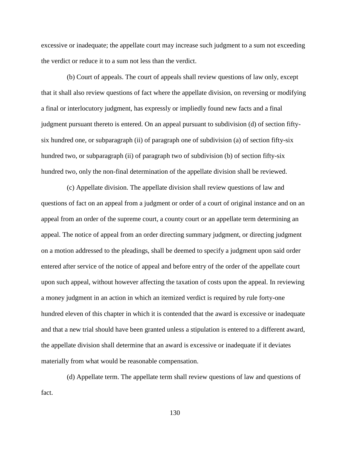excessive or inadequate; the appellate court may increase such judgment to a sum not exceeding the verdict or reduce it to a sum not less than the verdict.

(b) Court of appeals. The court of appeals shall review questions of law only, except that it shall also review questions of fact where the appellate division, on reversing or modifying a final or interlocutory judgment, has expressly or impliedly found new facts and a final judgment pursuant thereto is entered. On an appeal pursuant to subdivision (d) of section fiftysix hundred one, or subparagraph (ii) of paragraph one of subdivision (a) of section fifty-six hundred two, or subparagraph (ii) of paragraph two of subdivision (b) of section fifty-six hundred two, only the non-final determination of the appellate division shall be reviewed.

(c) Appellate division. The appellate division shall review questions of law and questions of fact on an appeal from a judgment or order of a court of original instance and on an appeal from an order of the supreme court, a county court or an appellate term determining an appeal. The notice of appeal from an order directing summary judgment, or directing judgment on a motion addressed to the pleadings, shall be deemed to specify a judgment upon said order entered after service of the notice of appeal and before entry of the order of the appellate court upon such appeal, without however affecting the taxation of costs upon the appeal. In reviewing a money judgment in an action in which an itemized verdict is required by rule forty-one hundred eleven of this chapter in which it is contended that the award is excessive or inadequate and that a new trial should have been granted unless a stipulation is entered to a different award, the appellate division shall determine that an award is excessive or inadequate if it deviates materially from what would be reasonable compensation.

(d) Appellate term. The appellate term shall review questions of law and questions of fact.

130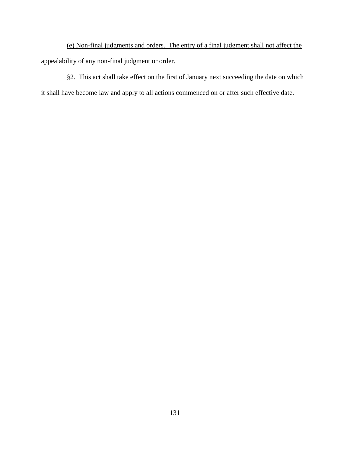(e) Non-final judgments and orders. The entry of a final judgment shall not affect the appealability of any non-final judgment or order.

§2. This act shall take effect on the first of January next succeeding the date on which it shall have become law and apply to all actions commenced on or after such effective date.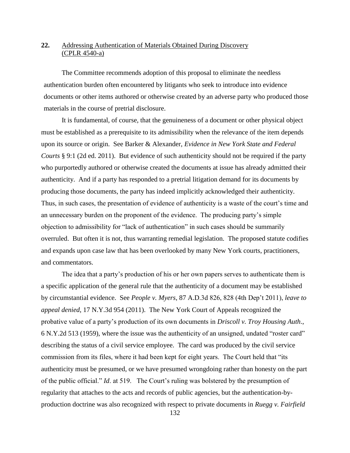# **22.** Addressing Authentication of Materials Obtained During Discovery (CPLR 4540-a)

The Committee recommends adoption of this proposal to eliminate the needless authentication burden often encountered by litigants who seek to introduce into evidence documents or other items authored or otherwise created by an adverse party who produced those materials in the course of pretrial disclosure.

It is fundamental, of course, that the genuineness of a document or other physical object must be established as a prerequisite to its admissibility when the relevance of the item depends upon its source or origin. See Barker & Alexander, *Evidence in New York State and Federal Courts* § 9:1 (2d ed. 2011). But evidence of such authenticity should not be required if the party who purportedly authored or otherwise created the documents at issue has already admitted their authenticity. And if a party has responded to a pretrial litigation demand for its documents by producing those documents, the party has indeed implicitly acknowledged their authenticity. Thus, in such cases, the presentation of evidence of authenticity is a waste of the court's time and an unnecessary burden on the proponent of the evidence. The producing party's simple objection to admissibility for "lack of authentication" in such cases should be summarily overruled. But often it is not, thus warranting remedial legislation. The proposed statute codifies and expands upon case law that has been overlooked by many New York courts, practitioners, and commentators.

The idea that a party's production of his or her own papers serves to authenticate them is a specific application of the general rule that the authenticity of a document may be established by circumstantial evidence. See *People v. Myers*, 87 A.D.3d 826, 828 (4th Dep't 2011), *leave to appeal denied*, 17 N.Y.3d 954 (2011). The New York Court of Appeals recognized the probative value of a party's production of its own documents in *Driscoll v. Troy Housing Auth*., 6 N.Y.2d 513 (1959), where the issue was the authenticity of an unsigned, undated "roster card" describing the status of a civil service employee. The card was produced by the civil service commission from its files, where it had been kept for eight years. The Court held that "its authenticity must be presumed, or we have presumed wrongdoing rather than honesty on the part of the public official." *Id*. at 519. The Court's ruling was bolstered by the presumption of regularity that attaches to the acts and records of public agencies, but the authentication-byproduction doctrine was also recognized with respect to private documents in *Ruegg v. Fairfield*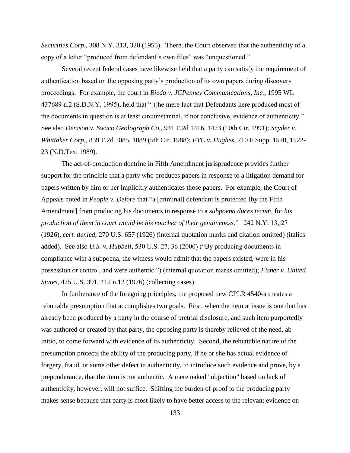*Securities Corp.*, 308 N.Y. 313, 320 (1955). There, the Court observed that the authenticity of a copy of a letter "produced from defendant's own files" was "unquestioned."

Several recent federal cases have likewise held that a party can satisfy the requirement of authentication based on the opposing party's production of its own papers during discovery proceedings. For example, the court in *Bieda v. JCPenney Communications, Inc.*, 1995 WL 437689 n.2 (S.D.N.Y. 1995), held that "[t]he mere fact that Defendants here produced most of the documents in question is at least circumstantial, if not conclusive, evidence of authenticity." See also *Denison v. Swaco Geolograph Co.*, 941 F.2d 1416, 1423 (10th Cir. 1991); *Snyder v. Whittaker Corp.*, 839 F.2d 1085, 1089 (5th Cir. 1988); *FTC v. Hughes*, 710 F.Supp. 1520, 1522- 23 (N.D.Tex. 1989).

The act-of-production doctrine in Fifth Amendment jurisprudence provides further support for the principle that a party who produces papers in response to a litigation demand for papers written by him or her implicitly authenticates those papers. For example, the Court of Appeals noted in *People v. Defore* that "a [criminal] defendant is protected [by the Fifth Amendment] from producing his documents in response to a *subpoena duces tecum*, for *his production of them in court would be his voucher of their genuineness*." 242 N.Y. 13, 27 (1926), *cert. denied*, 270 U.S. 657 (1926) (internal quotation marks and citation omitted) (italics added). See also *U.S. v. Hubbell*, 530 U.S. 27, 36 (2000) ("By producing documents in compliance with a subpoena, the witness would admit that the papers existed, were in his possession or control, and were authentic.") (internal quotation marks omitted); *Fisher v. United States*, 425 U.S. 391, 412 n.12 (1976) (collecting cases).

In furtherance of the foregoing principles, the proposed new CPLR 4540-a creates a rebuttable presumption that accomplishes two goals. First, when the item at issue is one that has already been produced by a party in the course of pretrial disclosure, and such item purportedly was authored or created by that party, the opposing party is thereby relieved of the need, ab initio, to come forward with evidence of its authenticity. Second, the rebuttable nature of the presumption protects the ability of the producing party, if he or she has actual evidence of forgery, fraud, or some other defect in authenticity, to introduce such evidence and prove, by a preponderance, that the item is not authentic. A mere naked "objection" based on lack of authenticity, however, will not suffice. Shifting the burden of proof to the producing party makes sense because that party is most likely to have better access to the relevant evidence on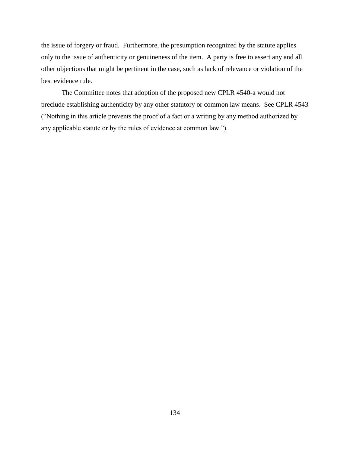the issue of forgery or fraud. Furthermore, the presumption recognized by the statute applies only to the issue of authenticity or genuineness of the item. A party is free to assert any and all other objections that might be pertinent in the case, such as lack of relevance or violation of the best evidence rule.

The Committee notes that adoption of the proposed new CPLR 4540-a would not preclude establishing authenticity by any other statutory or common law means. See CPLR 4543 ("Nothing in this article prevents the proof of a fact or a writing by any method authorized by any applicable statute or by the rules of evidence at common law.").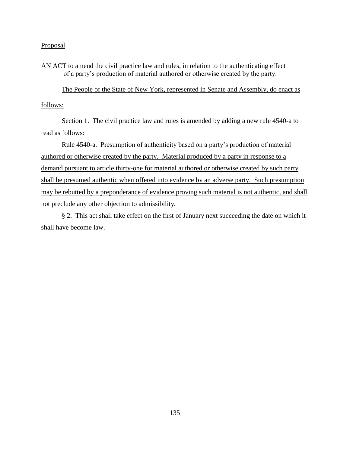AN ACT to amend the civil practice law and rules, in relation to the authenticating effect of a party's production of material authored or otherwise created by the party.

The People of the State of New York, represented in Senate and Assembly, do enact as follows:

Section 1. The civil practice law and rules is amended by adding a new rule 4540-a to read as follows:

Rule 4540-a. Presumption of authenticity based on a party's production of material authored or otherwise created by the party. Material produced by a party in response to a demand pursuant to article thirty-one for material authored or otherwise created by such party shall be presumed authentic when offered into evidence by an adverse party. Such presumption may be rebutted by a preponderance of evidence proving such material is not authentic, and shall not preclude any other objection to admissibility.

§ 2. This act shall take effect on the first of January next succeeding the date on which it shall have become law.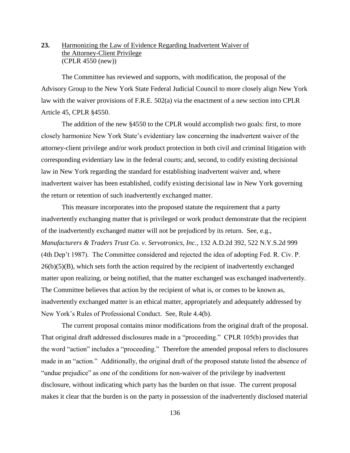# **23.** Harmonizing the Law of Evidence Regarding Inadvertent Waiver of the Attorney-Client Privilege (CPLR 4550 (new))

The Committee has reviewed and supports, with modification, the proposal of the Advisory Group to the New York State Federal Judicial Council to more closely align New York law with the waiver provisions of F.R.E. 502(a) via the enactment of a new section into CPLR Article 45, CPLR §4550.

The addition of the new §4550 to the CPLR would accomplish two goals: first, to more closely harmonize New York State's evidentiary law concerning the inadvertent waiver of the attorney-client privilege and/or work product protection in both civil and criminal litigation with corresponding evidentiary law in the federal courts; and, second, to codify existing decisional law in New York regarding the standard for establishing inadvertent waiver and, where inadvertent waiver has been established, codify existing decisional law in New York governing the return or retention of such inadvertently exchanged matter.

This measure incorporates into the proposed statute the requirement that a party inadvertently exchanging matter that is privileged or work product demonstrate that the recipient of the inadvertently exchanged matter will not be prejudiced by its return. See, e.g., *Manufacturers & Traders Trust Co. v. Servotronics, Inc.*, 132 A.D.2d 392, 522 N.Y.S.2d 999 (4th Dep't 1987). The Committee considered and rejected the idea of adopting Fed. R. Civ. P.  $26(b)(5)(B)$ , which sets forth the action required by the recipient of inadvertently exchanged matter upon realizing, or being notified, that the matter exchanged was exchanged inadvertently. The Committee believes that action by the recipient of what is, or comes to be known as, inadvertently exchanged matter is an ethical matter, appropriately and adequately addressed by New York's Rules of Professional Conduct. See, Rule 4.4(b).

The current proposal contains minor modifications from the original draft of the proposal. That original draft addressed disclosures made in a "proceeding." CPLR 105(b) provides that the word "action" includes a "proceeding." Therefore the amended proposal refers to disclosures made in an "action." Additionally, the original draft of the proposed statute listed the absence of "undue prejudice" as one of the conditions for non-waiver of the privilege by inadvertent disclosure, without indicating which party has the burden on that issue. The current proposal makes it clear that the burden is on the party in possession of the inadvertently disclosed material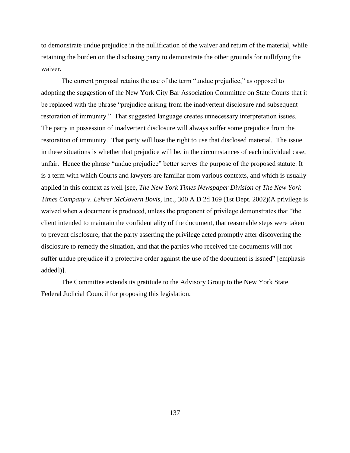to demonstrate undue prejudice in the nullification of the waiver and return of the material, while retaining the burden on the disclosing party to demonstrate the other grounds for nullifying the waiver.

The current proposal retains the use of the term "undue prejudice," as opposed to adopting the suggestion of the New York City Bar Association Committee on State Courts that it be replaced with the phrase "prejudice arising from the inadvertent disclosure and subsequent restoration of immunity." That suggested language creates unnecessary interpretation issues. The party in possession of inadvertent disclosure will always suffer some prejudice from the restoration of immunity. That party will lose the right to use that disclosed material. The issue in these situations is whether that prejudice will be, in the circumstances of each individual case, unfair. Hence the phrase "undue prejudice" better serves the purpose of the proposed statute. It is a term with which Courts and lawyers are familiar from various contexts, and which is usually applied in this context as well [see, *The New York Times Newspaper Division of The New York Times Company v. Lehrer McGovern Bovis*, Inc., 300 A D 2d 169 (1st Dept. 2002)(A privilege is waived when a document is produced, unless the proponent of privilege demonstrates that "the client intended to maintain the confidentiality of the document, that reasonable steps were taken to prevent disclosure, that the party asserting the privilege acted promptly after discovering the disclosure to remedy the situation, and that the parties who received the documents will not suffer undue prejudice if a protective order against the use of the document is issued" [emphasis added])].

The Committee extends its gratitude to the Advisory Group to the New York State Federal Judicial Council for proposing this legislation.

137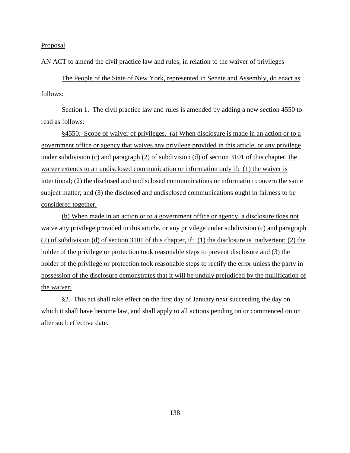AN ACT to amend the civil practice law and rules, in relation to the waiver of privileges

The People of the State of New York, represented in Senate and Assembly, do enact as follows:

Section 1. The civil practice law and rules is amended by adding a new section 4550 to read as follows:

§4550. Scope of waiver of privileges. (a) When disclosure is made in an action or to a government office or agency that waives any privilege provided in this article, or any privilege under subdivision (c) and paragraph (2) of subdivision (d) of section 3101 of this chapter, the waiver extends to an undisclosed communication or information only if: (1) the waiver is intentional; (2) the disclosed and undisclosed communications or information concern the same subject matter; and (3) the disclosed and undisclosed communications ought in fairness to be considered together.

(b) When made in an action or to a government office or agency, a disclosure does not waive any privilege provided in this article, or any privilege under subdivision (c) and paragraph (2) of subdivision (d) of section 3101 of this chapter, if: (1) the disclosure is inadvertent; (2) the holder of the privilege or protection took reasonable steps to prevent disclosure and (3) the holder of the privilege or protection took reasonable steps to rectify the error unless the party in possession of the disclosure demonstrates that it will be unduly prejudiced by the nullification of the waiver.

§2. This act shall take effect on the first day of January next succeeding the day on which it shall have become law, and shall apply to all actions pending on or commenced on or after such effective date.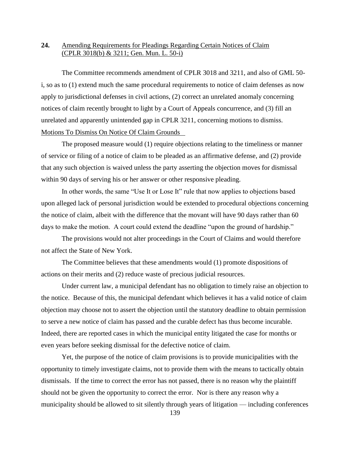### **24.** Amending Requirements for Pleadings Regarding Certain Notices of Claim (CPLR 3018(b) & 3211; Gen. Mun. L. 50-i)

The Committee recommends amendment of CPLR 3018 and 3211, and also of GML 50 i, so as to (1) extend much the same procedural requirements to notice of claim defenses as now apply to jurisdictional defenses in civil actions, (2) correct an unrelated anomaly concerning notices of claim recently brought to light by a Court of Appeals concurrence, and (3) fill an unrelated and apparently unintended gap in CPLR 3211, concerning motions to dismiss. Motions To Dismiss On Notice Of Claim Grounds

The proposed measure would (1) require objections relating to the timeliness or manner of service or filing of a notice of claim to be pleaded as an affirmative defense, and (2) provide that any such objection is waived unless the party asserting the objection moves for dismissal within 90 days of serving his or her answer or other responsive pleading.

In other words, the same "Use It or Lose It" rule that now applies to objections based upon alleged lack of personal jurisdiction would be extended to procedural objections concerning the notice of claim, albeit with the difference that the movant will have 90 days rather than 60 days to make the motion. A court could extend the deadline "upon the ground of hardship."

The provisions would not alter proceedings in the Court of Claims and would therefore not affect the State of New York.

The Committee believes that these amendments would (1) promote dispositions of actions on their merits and (2) reduce waste of precious judicial resources.

Under current law, a municipal defendant has no obligation to timely raise an objection to the notice. Because of this, the municipal defendant which believes it has a valid notice of claim objection may choose not to assert the objection until the statutory deadline to obtain permission to serve a new notice of claim has passed and the curable defect has thus become incurable. Indeed, there are reported cases in which the municipal entity litigated the case for months or even years before seeking dismissal for the defective notice of claim.

Yet, the purpose of the notice of claim provisions is to provide municipalities with the opportunity to timely investigate claims, not to provide them with the means to tactically obtain dismissals. If the time to correct the error has not passed, there is no reason why the plaintiff should not be given the opportunity to correct the error. Nor is there any reason why a municipality should be allowed to sit silently through years of litigation — including conferences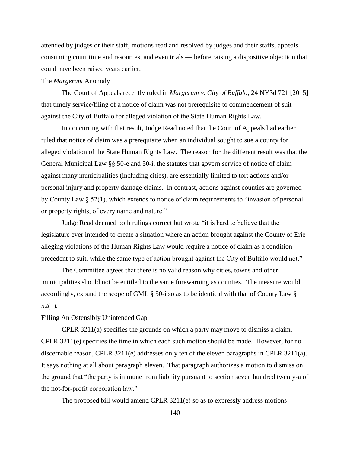attended by judges or their staff, motions read and resolved by judges and their staffs, appeals consuming court time and resources, and even trials — before raising a dispositive objection that could have been raised years earlier.

#### The *Margerum* Anomaly

The Court of Appeals recently ruled in *Margerum v. City of Buffalo*, 24 NY3d 721 [2015] that timely service/filing of a notice of claim was not prerequisite to commencement of suit against the City of Buffalo for alleged violation of the State Human Rights Law.

In concurring with that result, Judge Read noted that the Court of Appeals had earlier ruled that notice of claim was a prerequisite when an individual sought to sue a county for alleged violation of the State Human Rights Law. The reason for the different result was that the General Municipal Law §§ 50-e and 50-i, the statutes that govern service of notice of claim against many municipalities (including cities), are essentially limited to tort actions and/or personal injury and property damage claims. In contrast, actions against counties are governed by County Law § 52(1), which extends to notice of claim requirements to "invasion of personal or property rights, of every name and nature."

Judge Read deemed both rulings correct but wrote "it is hard to believe that the legislature ever intended to create a situation where an action brought against the County of Erie alleging violations of the Human Rights Law would require a notice of claim as a condition precedent to suit, while the same type of action brought against the City of Buffalo would not."

The Committee agrees that there is no valid reason why cities, towns and other municipalities should not be entitled to the same forewarning as counties. The measure would, accordingly, expand the scope of GML § 50-i so as to be identical with that of County Law § 52(1).

#### Filling An Ostensibly Unintended Gap

CPLR 3211(a) specifies the grounds on which a party may move to dismiss a claim. CPLR 3211(e) specifies the time in which each such motion should be made. However, for no discernable reason, CPLR 3211(e) addresses only ten of the eleven paragraphs in CPLR 3211(a). It says nothing at all about paragraph eleven. That paragraph authorizes a motion to dismiss on the ground that "the party is immune from liability pursuant to section seven hundred twenty-a of the not-for-profit corporation law."

The proposed bill would amend CPLR 3211(e) so as to expressly address motions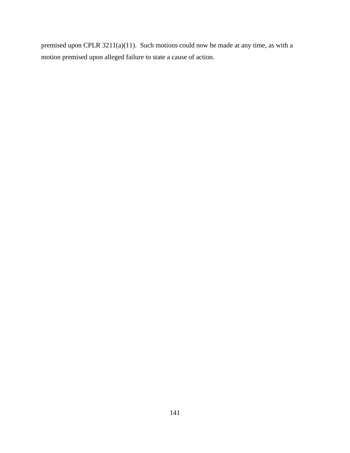premised upon CPLR 3211(a)(11). Such motions could now be made at any time, as with a motion premised upon alleged failure to state a cause of action.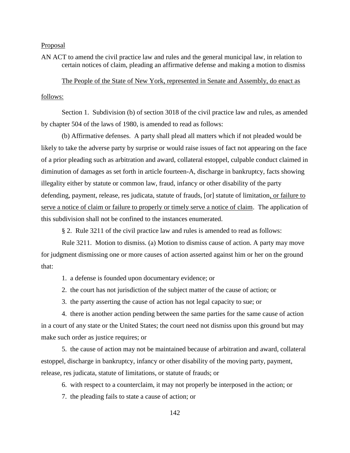AN ACT to amend the civil practice law and rules and the general municipal law, in relation to certain notices of claim, pleading an affirmative defense and making a motion to dismiss

The People of the State of New York, represented in Senate and Assembly, do enact as

#### follows:

Section 1. Subdivision (b) of section 3018 of the civil practice law and rules, as amended by chapter 504 of the laws of 1980, is amended to read as follows:

(b) Affirmative defenses. A party shall plead all matters which if not pleaded would be likely to take the adverse party by surprise or would raise issues of fact not appearing on the face of a prior pleading such as arbitration and award, collateral estoppel, culpable conduct claimed in diminution of damages as set forth in article fourteen-A, discharge in bankruptcy, facts showing illegality either by statute or common law, fraud, infancy or other disability of the party defending, payment, release, res judicata, statute of frauds, [or] statute of limitation, or failure to serve a notice of claim or failure to properly or timely serve a notice of claim. The application of this subdivision shall not be confined to the instances enumerated.

§ 2. Rule 3211 of the civil practice law and rules is amended to read as follows:

Rule 3211. Motion to dismiss. (a) Motion to dismiss cause of action. A party may move for judgment dismissing one or more causes of action asserted against him or her on the ground that:

1. a defense is founded upon documentary evidence; or

2. the court has not jurisdiction of the subject matter of the cause of action; or

3. the party asserting the cause of action has not legal capacity to sue; or

4. there is another action pending between the same parties for the same cause of action in a court of any state or the United States; the court need not dismiss upon this ground but may make such order as justice requires; or

5. the cause of action may not be maintained because of arbitration and award, collateral estoppel, discharge in bankruptcy, infancy or other disability of the moving party, payment, release, res judicata, statute of limitations, or statute of frauds; or

6. with respect to a counterclaim, it may not properly be interposed in the action; or

7. the pleading fails to state a cause of action; or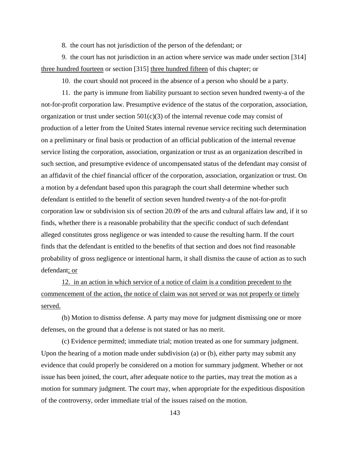8. the court has not jurisdiction of the person of the defendant; or

9. the court has not jurisdiction in an action where service was made under section [314] three hundred fourteen or section [315] three hundred fifteen of this chapter; or

10. the court should not proceed in the absence of a person who should be a party.

11. the party is immune from liability pursuant to section seven hundred twenty-a of the not-for-profit corporation law. Presumptive evidence of the status of the corporation, association, organization or trust under section  $501(c)(3)$  of the internal revenue code may consist of production of a letter from the United States internal revenue service reciting such determination on a preliminary or final basis or production of an official publication of the internal revenue service listing the corporation, association, organization or trust as an organization described in such section, and presumptive evidence of uncompensated status of the defendant may consist of an affidavit of the chief financial officer of the corporation, association, organization or trust. On a motion by a defendant based upon this paragraph the court shall determine whether such defendant is entitled to the benefit of section seven hundred twenty-a of the not-for-profit corporation law or subdivision six of section 20.09 of the arts and cultural affairs law and, if it so finds, whether there is a reasonable probability that the specific conduct of such defendant alleged constitutes gross negligence or was intended to cause the resulting harm. If the court finds that the defendant is entitled to the benefits of that section and does not find reasonable probability of gross negligence or intentional harm, it shall dismiss the cause of action as to such defendant; or

12. in an action in which service of a notice of claim is a condition precedent to the commencement of the action, the notice of claim was not served or was not properly or timely served.

(b) Motion to dismiss defense. A party may move for judgment dismissing one or more defenses, on the ground that a defense is not stated or has no merit.

(c) Evidence permitted; immediate trial; motion treated as one for summary judgment. Upon the hearing of a motion made under subdivision (a) or (b), either party may submit any evidence that could properly be considered on a motion for summary judgment. Whether or not issue has been joined, the court, after adequate notice to the parties, may treat the motion as a motion for summary judgment. The court may, when appropriate for the expeditious disposition of the controversy, order immediate trial of the issues raised on the motion.

143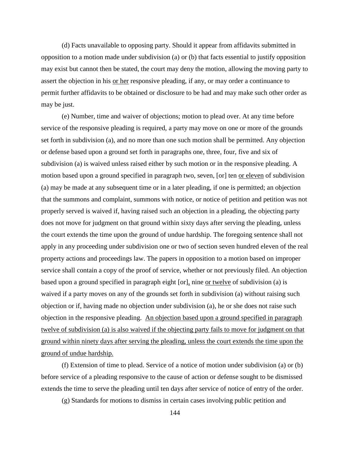(d) Facts unavailable to opposing party. Should it appear from affidavits submitted in opposition to a motion made under subdivision (a) or (b) that facts essential to justify opposition may exist but cannot then be stated, the court may deny the motion, allowing the moving party to assert the objection in his or her responsive pleading, if any, or may order a continuance to permit further affidavits to be obtained or disclosure to be had and may make such other order as may be just.

(e) Number, time and waiver of objections; motion to plead over. At any time before service of the responsive pleading is required, a party may move on one or more of the grounds set forth in subdivision (a), and no more than one such motion shall be permitted. Any objection or defense based upon a ground set forth in paragraphs one, three, four, five and six of subdivision (a) is waived unless raised either by such motion or in the responsive pleading. A motion based upon a ground specified in paragraph two, seven, [or] ten or eleven of subdivision (a) may be made at any subsequent time or in a later pleading, if one is permitted; an objection that the summons and complaint, summons with notice, or notice of petition and petition was not properly served is waived if, having raised such an objection in a pleading, the objecting party does not move for judgment on that ground within sixty days after serving the pleading, unless the court extends the time upon the ground of undue hardship. The foregoing sentence shall not apply in any proceeding under subdivision one or two of section seven hundred eleven of the real property actions and proceedings law. The papers in opposition to a motion based on improper service shall contain a copy of the proof of service, whether or not previously filed. An objection based upon a ground specified in paragraph eight [or], nine or twelve of subdivision (a) is waived if a party moves on any of the grounds set forth in subdivision (a) without raising such objection or if, having made no objection under subdivision (a), he or she does not raise such objection in the responsive pleading. An objection based upon a ground specified in paragraph twelve of subdivision (a) is also waived if the objecting party fails to move for judgment on that ground within ninety days after serving the pleading, unless the court extends the time upon the ground of undue hardship.

(f) Extension of time to plead. Service of a notice of motion under subdivision (a) or (b) before service of a pleading responsive to the cause of action or defense sought to be dismissed extends the time to serve the pleading until ten days after service of notice of entry of the order.

(g) Standards for motions to dismiss in certain cases involving public petition and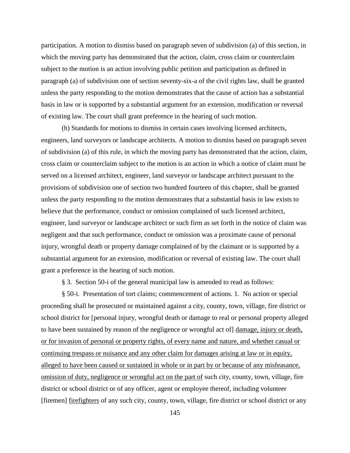participation. A motion to dismiss based on paragraph seven of subdivision (a) of this section, in which the moving party has demonstrated that the action, claim, cross claim or counterclaim subject to the motion is an action involving public petition and participation as defined in paragraph (a) of subdivision one of section seventy-six-a of the civil rights law, shall be granted unless the party responding to the motion demonstrates that the cause of action has a substantial basis in law or is supported by a substantial argument for an extension, modification or reversal of existing law. The court shall grant preference in the hearing of such motion.

(h) Standards for motions to dismiss in certain cases involving licensed architects, engineers, land surveyors or landscape architects. A motion to dismiss based on paragraph seven of subdivision (a) of this rule, in which the moving party has demonstrated that the action, claim, cross claim or counterclaim subject to the motion is an action in which a notice of claim must be served on a licensed architect, engineer, land surveyor or landscape architect pursuant to the provisions of subdivision one of section two hundred fourteen of this chapter, shall be granted unless the party responding to the motion demonstrates that a substantial basis in law exists to believe that the performance, conduct or omission complained of such licensed architect, engineer, land surveyor or landscape architect or such firm as set forth in the notice of claim was negligent and that such performance, conduct or omission was a proximate cause of personal injury, wrongful death or property damage complained of by the claimant or is supported by a substantial argument for an extension, modification or reversal of existing law. The court shall grant a preference in the hearing of such motion.

§ 3. Section 50-i of the general municipal law is amended to read as follows:

§ 50-i. Presentation of tort claims; commencement of actions. 1. No action or special proceeding shall be prosecuted or maintained against a city, county, town, village, fire district or school district for [personal injury, wrongful death or damage to real or personal property alleged to have been sustained by reason of the negligence or wrongful act of] damage, injury or death, or for invasion of personal or property rights, of every name and nature, and whether casual or continuing trespass or nuisance and any other claim for damages arising at law or in equity, alleged to have been caused or sustained in whole or in part by or because of any misfeasance, omission of duty, negligence or wrongful act on the part of such city, county, town, village, fire district or school district or of any officer, agent or employee thereof, including volunteer [firemen] firefighters of any such city, county, town, village, fire district or school district or any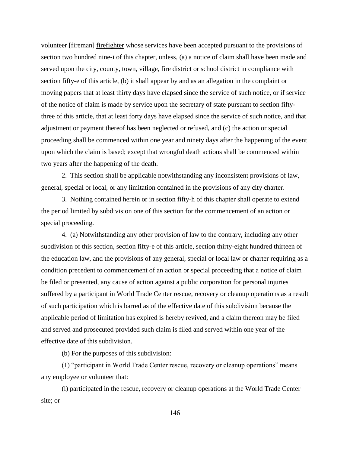volunteer [fireman] firefighter whose services have been accepted pursuant to the provisions of section two hundred nine-i of this chapter, unless, (a) a notice of claim shall have been made and served upon the city, county, town, village, fire district or school district in compliance with section fifty-e of this article, (b) it shall appear by and as an allegation in the complaint or moving papers that at least thirty days have elapsed since the service of such notice, or if service of the notice of claim is made by service upon the secretary of state pursuant to section fiftythree of this article, that at least forty days have elapsed since the service of such notice, and that adjustment or payment thereof has been neglected or refused, and (c) the action or special proceeding shall be commenced within one year and ninety days after the happening of the event upon which the claim is based; except that wrongful death actions shall be commenced within two years after the happening of the death.

2. This section shall be applicable notwithstanding any inconsistent provisions of law, general, special or local, or any limitation contained in the provisions of any city charter.

3. Nothing contained herein or in section fifty-h of this chapter shall operate to extend the period limited by subdivision one of this section for the commencement of an action or special proceeding.

4. (a) Notwithstanding any other provision of law to the contrary, including any other subdivision of this section, section fifty-e of this article, section thirty-eight hundred thirteen of the education law, and the provisions of any general, special or local law or charter requiring as a condition precedent to commencement of an action or special proceeding that a notice of claim be filed or presented, any cause of action against a public corporation for personal injuries suffered by a participant in World Trade Center rescue, recovery or cleanup operations as a result of such participation which is barred as of the effective date of this subdivision because the applicable period of limitation has expired is hereby revived, and a claim thereon may be filed and served and prosecuted provided such claim is filed and served within one year of the effective date of this subdivision.

(b) For the purposes of this subdivision:

(1) "participant in World Trade Center rescue, recovery or cleanup operations" means any employee or volunteer that:

 (i) participated in the rescue, recovery or cleanup operations at the World Trade Center site; or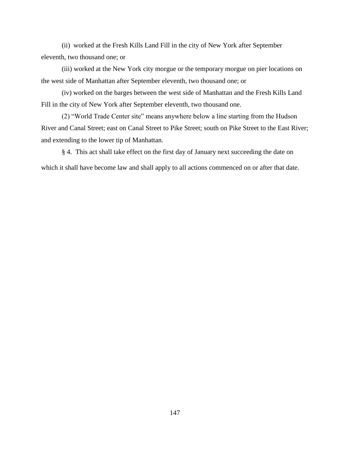(ii) worked at the Fresh Kills Land Fill in the city of New York after September eleventh, two thousand one; or

(iii) worked at the New York city morgue or the temporary morgue on pier locations on the west side of Manhattan after September eleventh, two thousand one; or

(iv) worked on the barges between the west side of Manhattan and the Fresh Kills Land Fill in the city of New York after September eleventh, two thousand one.

(2) "World Trade Center site" means anywhere below a line starting from the Hudson River and Canal Street; east on Canal Street to Pike Street; south on Pike Street to the East River; and extending to the lower tip of Manhattan.

§ 4. This act shall take effect on the first day of January next succeeding the date on which it shall have become law and shall apply to all actions commenced on or after that date.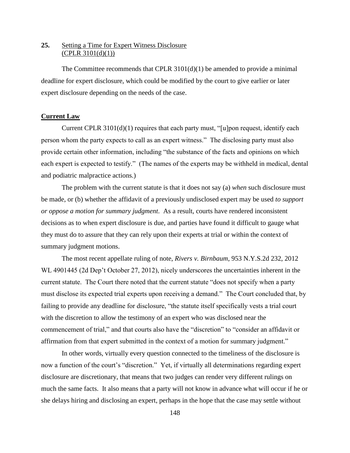## **25.** Setting a Time for Expert Witness Disclosure  $(CPLR 3101(d)(1))$

The Committee recommends that CPLR  $3101(d)(1)$  be amended to provide a minimal deadline for expert disclosure, which could be modified by the court to give earlier or later expert disclosure depending on the needs of the case.

### **Current Law**

Current CPLR  $3101(d)(1)$  requires that each party must, "[u]pon request, identify each person whom the party expects to call as an expert witness." The disclosing party must also provide certain other information, including "the substance of the facts and opinions on which each expert is expected to testify." (The names of the experts may be withheld in medical, dental and podiatric malpractice actions.)

The problem with the current statute is that it does not say (a) *when* such disclosure must be made, or (b) whether the affidavit of a previously undisclosed expert may be used *to support or oppose a motion for summary judgment*. As a result, courts have rendered inconsistent decisions as to when expert disclosure is due, and parties have found it difficult to gauge what they must do to assure that they can rely upon their experts at trial or within the context of summary judgment motions.

The most recent appellate ruling of note, *Rivers v. Birnbaum*, 953 N.Y.S.2d 232, 2012 WL 4901445 (2d Dep't October 27, 2012), nicely underscores the uncertainties inherent in the current statute. The Court there noted that the current statute "does not specify when a party must disclose its expected trial experts upon receiving a demand." The Court concluded that, by failing to provide any deadline for disclosure, "the statute itself specifically vests a trial court with the discretion to allow the testimony of an expert who was disclosed near the commencement of trial," and that courts also have the "discretion" to "consider an affidavit or affirmation from that expert submitted in the context of a motion for summary judgment."

In other words, virtually every question connected to the timeliness of the disclosure is now a function of the court's "discretion." Yet, if virtually all determinations regarding expert disclosure are discretionary, that means that two judges can render very different rulings on much the same facts. It also means that a party will not know in advance what will occur if he or she delays hiring and disclosing an expert, perhaps in the hope that the case may settle without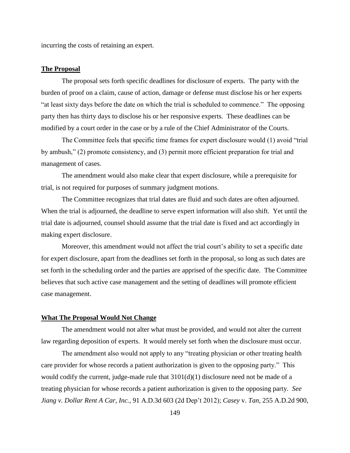incurring the costs of retaining an expert.

### **The Proposal**

The proposal sets forth specific deadlines for disclosure of experts. The party with the burden of proof on a claim, cause of action, damage or defense must disclose his or her experts "at least sixty days before the date on which the trial is scheduled to commence." The opposing party then has thirty days to disclose his or her responsive experts. These deadlines can be modified by a court order in the case or by a rule of the Chief Administrator of the Courts.

The Committee feels that specific time frames for expert disclosure would (1) avoid "trial by ambush," (2) promote consistency, and (3) permit more efficient preparation for trial and management of cases.

The amendment would also make clear that expert disclosure, while a prerequisite for trial, is not required for purposes of summary judgment motions.

The Committee recognizes that trial dates are fluid and such dates are often adjourned. When the trial is adjourned, the deadline to serve expert information will also shift. Yet until the trial date is adjourned, counsel should assume that the trial date is fixed and act accordingly in making expert disclosure.

Moreover, this amendment would not affect the trial court's ability to set a specific date for expert disclosure, apart from the deadlines set forth in the proposal, so long as such dates are set forth in the scheduling order and the parties are apprised of the specific date. The Committee believes that such active case management and the setting of deadlines will promote efficient case management.

#### **What The Proposal Would Not Change**

The amendment would not alter what must be provided, and would not alter the current law regarding deposition of experts. It would merely set forth when the disclosure must occur.

The amendment also would not apply to any "treating physician or other treating health care provider for whose records a patient authorization is given to the opposing party." This would codify the current, judge-made rule that 3101(d)(1) disclosure need not be made of a treating physician for whose records a patient authorization is given to the opposing party. *See Jiang v. Dollar Rent A Car, Inc.*, 91 A.D.3d 603 (2d Dep't 2012); *Casey* v. *Tan*, 255 A.D.2d 900,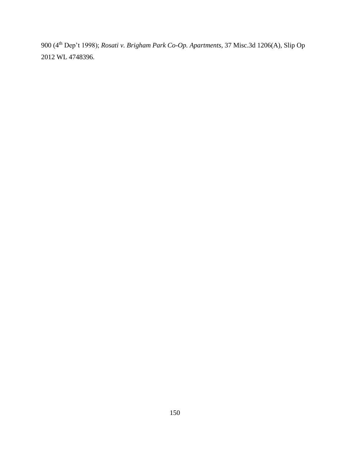900 (4th Dep't 1998); *Rosati v. Brigham Park Co-Op. Apartments*, 37 Misc.3d 1206(A), Slip Op 2012 WL 4748396.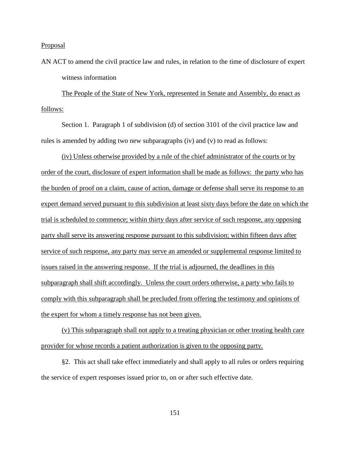AN ACT to amend the civil practice law and rules, in relation to the time of disclosure of expert witness information

The People of the State of New York, represented in Senate and Assembly, do enact as follows:

Section 1. Paragraph 1 of subdivision (d) of section 3101 of the civil practice law and rules is amended by adding two new subparagraphs (iv) and (v) to read as follows:

(iv) Unless otherwise provided by a rule of the chief administrator of the courts or by order of the court, disclosure of expert information shall be made as follows: the party who has the burden of proof on a claim, cause of action, damage or defense shall serve its response to an expert demand served pursuant to this subdivision at least sixty days before the date on which the trial is scheduled to commence; within thirty days after service of such response, any opposing party shall serve its answering response pursuant to this subdivision; within fifteen days after service of such response, any party may serve an amended or supplemental response limited to issues raised in the answering response. If the trial is adjourned, the deadlines in this subparagraph shall shift accordingly. Unless the court orders otherwise, a party who fails to comply with this subparagraph shall be precluded from offering the testimony and opinions of the expert for whom a timely response has not been given.

(v) This subparagraph shall not apply to a treating physician or other treating health care provider for whose records a patient authorization is given to the opposing party.

§2. This act shall take effect immediately and shall apply to all rules or orders requiring the service of expert responses issued prior to, on or after such effective date.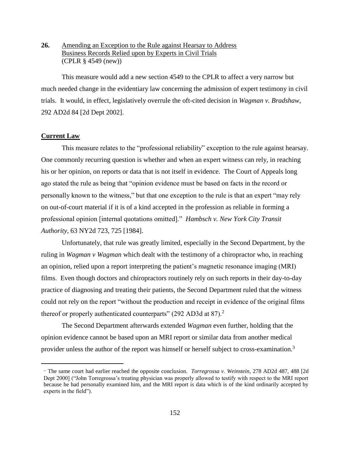**26.** Amending an Exception to the Rule against Hearsay to Address Business Records Relied upon by Experts in Civil Trials (CPLR § 4549 (new))

This measure would add a new section 4549 to the CPLR to affect a very narrow but much needed change in the evidentiary law concerning the admission of expert testimony in civil trials. It would, in effect, legislatively overrule the oft-cited decision in *Wagman v. Bradshaw*, 292 AD2d 84 [2d Dept 2002].

## **Current Law**

 $\overline{a}$ 

This measure relates to the "professional reliability" exception to the rule against hearsay. One commonly recurring question is whether and when an expert witness can rely, in reaching his or her opinion, on reports or data that is not itself in evidence. The Court of Appeals long ago stated the rule as being that "opinion evidence must be based on facts in the record or personally known to the witness," but that one exception to the rule is that an expert "may rely on out-of-court material if it is of a kind accepted in the profession as reliable in forming a professional opinion [internal quotations omitted]." *Hambsch v. New York City Transit Authority*, 63 NY2d 723, 725 [1984].

Unfortunately, that rule was greatly limited, especially in the Second Department, by the ruling in *Wagman v Wagman* which dealt with the testimony of a chiropractor who, in reaching an opinion, relied upon a report interpreting the patient's magnetic resonance imaging (MRI) films. Even though doctors and chiropractors routinely rely on such reports in their day-to-day practice of diagnosing and treating their patients, the Second Department ruled that the witness could not rely on the report "without the production and receipt in evidence of the original films thereof or properly authenticated counterparts" (292 AD3d at  $87$ ).<sup>2</sup>

The Second Department afterwards extended *Wagman* even further, holding that the opinion evidence cannot be based upon an MRI report or similar data from another medical provider unless the author of the report was himself or herself subject to cross-examination.<sup>3</sup>

\_ The same court had earlier reached the opposite conclusion. *Torregrossa v. Weinstein*, 278 AD2d 487, 488 [2d Dept 2000] ("John Torregrossa's treating physician was properly allowed to testify with respect to the MRI report because he had personally examined him, and the MRI report is data which is of the kind ordinarily accepted by experts in the field").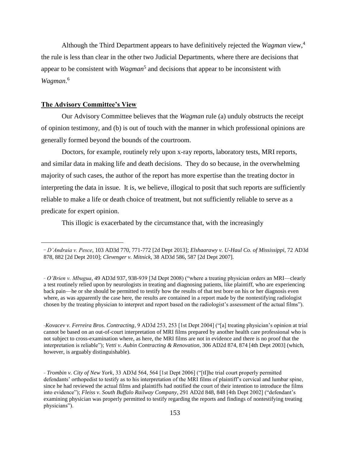Although the Third Department appears to have definitively rejected the *Wagman* view,<sup>4</sup> the rule is less than clear in the other two Judicial Departments, where there are decisions that appear to be consistent with *Wagman*<sup>5</sup> and decisions that appear to be inconsistent with *Wagman*. 6

### **The Advisory Committee's View**

 $\overline{a}$ 

Our Advisory Committee believes that the *Wagman* rule (a) unduly obstructs the receipt of opinion testimony, and (b) is out of touch with the manner in which professional opinions are generally formed beyond the bounds of the courtroom.

Doctors, for example, routinely rely upon x-ray reports, laboratory tests, MRI reports, and similar data in making life and death decisions. They do so because, in the overwhelming majority of such cases, the author of the report has more expertise than the treating doctor in interpreting the data in issue. It is, we believe, illogical to posit that such reports are sufficiently reliable to make a life or death choice of treatment, but not sufficiently reliable to serve as a predicate for expert opinion.

This illogic is exacerbated by the circumstance that, with the increasingly

\_ *D'Andraia v. Pesce*, 103 AD3d 770, 771-772 [2d Dept 2013]; *Elshaarawy v. U-Haul Co. of Mississippi*, 72 AD3d 878, 882 [2d Dept 2010]; *Clevenger v. Mitnick*, 38 AD3d 586, 587 [2d Dept 2007].

\_ *O'Brien v. Mbugua*, 49 AD3d 937, 938-939 [3d Dept 2008) ("where a treating physician orders an MRI—clearly a test routinely relied upon by neurologists in treating and diagnosing patients, like plaintiff, who are experiencing back pain—he or she should be permitted to testify how the results of that test bore on his or her diagnosis even where, as was apparently the case here, the results are contained in a report made by the nontestifying radiologist chosen by the treating physician to interpret and report based on the radiologist's assessment of the actual films").

\_*Kovacev v. Ferreira Bros. Contracting*, 9 AD3d 253, 253 [1st Dept 2004] ("[a] treating physician's opinion at trial cannot be based on an out-of-court interpretation of MRI films prepared by another health care professional who is not subject to cross-examination where, as here, the MRI films are not in evidence and there is no proof that the interpretation is reliable"); *Vetti v. Aubin Contracting & Renovation*, 306 AD2d 874, 874 [4th Dept 2003] (which, however, is arguably distinguishable).

\_ *Trombin v. City of New York*, 33 AD3d 564, 564 [1st Dept 2006] ("[tI]he trial court properly permitted defendants' orthopedist to testify as to his interpretation of the MRI films of plaintiff's cervical and lumbar spine, since he had reviewed the actual films and plaintiffs had notified the court of their intention to introduce the films into evidence"); *Fleiss v. South Buffalo Railway Company*, 291 AD2d 848, 848 [4th Dept 2002] ("defendant's examining physician was properly permitted to testify regarding the reports and findings of nontestifying treating physicians").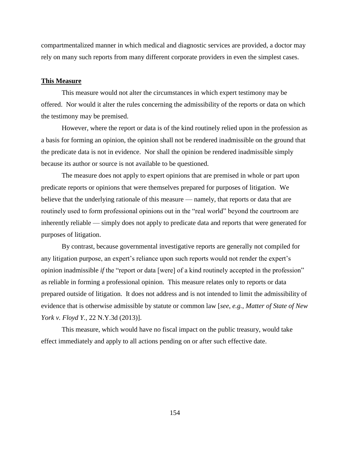compartmentalized manner in which medical and diagnostic services are provided, a doctor may rely on many such reports from many different corporate providers in even the simplest cases.

#### **This Measure**

This measure would not alter the circumstances in which expert testimony may be offered. Nor would it alter the rules concerning the admissibility of the reports or data on which the testimony may be premised.

However, where the report or data is of the kind routinely relied upon in the profession as a basis for forming an opinion, the opinion shall not be rendered inadmissible on the ground that the predicate data is not in evidence. Nor shall the opinion be rendered inadmissible simply because its author or source is not available to be questioned.

The measure does not apply to expert opinions that are premised in whole or part upon predicate reports or opinions that were themselves prepared for purposes of litigation. We believe that the underlying rationale of this measure — namely, that reports or data that are routinely used to form professional opinions out in the "real world" beyond the courtroom are inherently reliable — simply does not apply to predicate data and reports that were generated for purposes of litigation.

By contrast, because governmental investigative reports are generally not compiled for any litigation purpose, an expert's reliance upon such reports would not render the expert's opinion inadmissible *if* the "report or data [were] of a kind routinely accepted in the profession" as reliable in forming a professional opinion. This measure relates only to reports or data prepared outside of litigation. It does not address and is not intended to limit the admissibility of evidence that is otherwise admissible by statute or common law [*see*, *e.g.*, *Matter of State of New York v. Floyd Y.*, 22 N.Y.3d (2013)].

This measure, which would have no fiscal impact on the public treasury, would take effect immediately and apply to all actions pending on or after such effective date.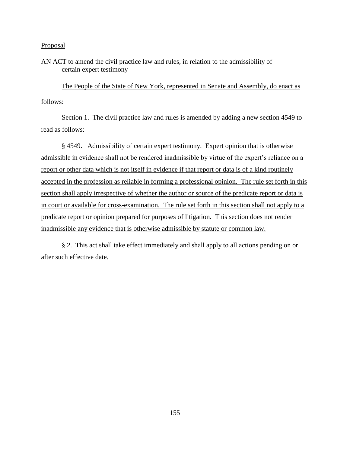AN ACT to amend the civil practice law and rules, in relation to the admissibility of certain expert testimony

The People of the State of New York, represented in Senate and Assembly, do enact as follows:

Section 1. The civil practice law and rules is amended by adding a new section 4549 to read as follows:

§ 4549. Admissibility of certain expert testimony. Expert opinion that is otherwise admissible in evidence shall not be rendered inadmissible by virtue of the expert's reliance on a report or other data which is not itself in evidence if that report or data is of a kind routinely accepted in the profession as reliable in forming a professional opinion. The rule set forth in this section shall apply irrespective of whether the author or source of the predicate report or data is in court or available for cross-examination. The rule set forth in this section shall not apply to a predicate report or opinion prepared for purposes of litigation. This section does not render inadmissible any evidence that is otherwise admissible by statute or common law.

§ 2. This act shall take effect immediately and shall apply to all actions pending on or after such effective date.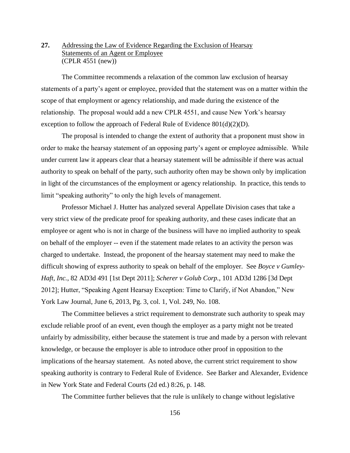# **27.** Addressing the Law of Evidence Regarding the Exclusion of Hearsay Statements of an Agent or Employee (CPLR 4551 (new))

The Committee recommends a relaxation of the common law exclusion of hearsay statements of a party's agent or employee, provided that the statement was on a matter within the scope of that employment or agency relationship, and made during the existence of the relationship. The proposal would add a new CPLR 4551, and cause New York's hearsay exception to follow the approach of Federal Rule of Evidence 801(d)(2)(D).

The proposal is intended to change the extent of authority that a proponent must show in order to make the hearsay statement of an opposing party's agent or employee admissible. While under current law it appears clear that a hearsay statement will be admissible if there was actual authority to speak on behalf of the party, such authority often may be shown only by implication in light of the circumstances of the employment or agency relationship. In practice, this tends to limit "speaking authority" to only the high levels of management.

Professor Michael J. Hutter has analyzed several Appellate Division cases that take a very strict view of the predicate proof for speaking authority, and these cases indicate that an employee or agent who is not in charge of the business will have no implied authority to speak on behalf of the employer -- even if the statement made relates to an activity the person was charged to undertake. Instead, the proponent of the hearsay statement may need to make the difficult showing of express authority to speak on behalf of the employer. See *Boyce v Gumley-Haft, Inc.*, 82 AD3d 491 [1st Dept 2011]; *Scherer v Golub Corp.*, 101 AD3d 1286 [3d Dept 2012]; Hutter, "Speaking Agent Hearsay Exception: Time to Clarify, if Not Abandon," New York Law Journal, June 6, 2013, Pg. 3, col. 1, Vol. 249, No. 108.

The Committee believes a strict requirement to demonstrate such authority to speak may exclude reliable proof of an event, even though the employer as a party might not be treated unfairly by admissibility, either because the statement is true and made by a person with relevant knowledge, or because the employer is able to introduce other proof in opposition to the implications of the hearsay statement. As noted above, the current strict requirement to show speaking authority is contrary to Federal Rule of Evidence. See Barker and Alexander, Evidence in New York State and Federal Courts (2d ed.) 8:26, p. 148.

The Committee further believes that the rule is unlikely to change without legislative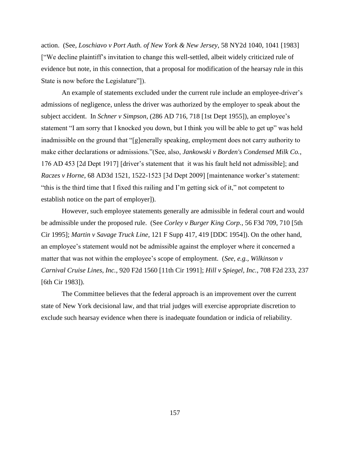action. (See, *Loschiavo v Port Auth. of New York & New Jersey*, 58 NY2d 1040, 1041 [1983] ["We decline plaintiff's invitation to change this well-settled, albeit widely criticized rule of evidence but note, in this connection, that a proposal for modification of the hearsay rule in this State is now before the Legislature"]).

An example of statements excluded under the current rule include an employee-driver's admissions of negligence, unless the driver was authorized by the employer to speak about the subject accident. In *Schner v Simpson*, (286 AD 716, 718 [1st Dept 1955]), an employee's statement "I am sorry that I knocked you down, but I think you will be able to get up" was held inadmissible on the ground that "[g]enerally speaking, employment does not carry authority to make either declarations or admissions."(See, also, *Jankowski v Borden's Condensed Milk Co.*, 176 AD 453 [2d Dept 1917] [driver's statement that it was his fault held not admissible]; and *Raczes v Horne*, 68 AD3d 1521, 1522-1523 [3d Dept 2009] [maintenance worker's statement: "this is the third time that I fixed this railing and I'm getting sick of it," not competent to establish notice on the part of employer]).

However, such employee statements generally are admissible in federal court and would be admissible under the proposed rule. (See *Corley v Burger King Corp.*, 56 F3d 709, 710 [5th Cir 1995]; *Martin v Savage Truck Line*, 121 F Supp 417, 419 [DDC 1954]). On the other hand, an employee's statement would not be admissible against the employer where it concerned a matter that was not within the employee's scope of employment. (*See, e.g., Wilkinson v Carnival Cruise Lines, Inc.,* 920 F2d 1560 [11th Cir 1991]; *Hill v Spiegel, Inc.*, 708 F2d 233, 237 [6th Cir 1983]).

The Committee believes that the federal approach is an improvement over the current state of New York decisional law, and that trial judges will exercise appropriate discretion to exclude such hearsay evidence when there is inadequate foundation or indicia of reliability.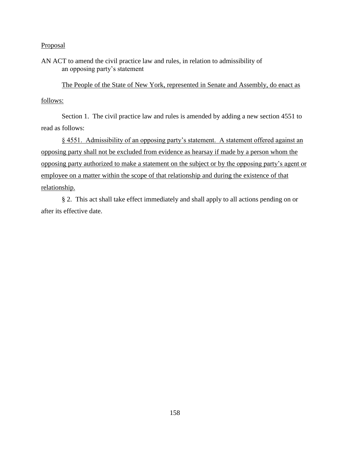AN ACT to amend the civil practice law and rules, in relation to admissibility of an opposing party's statement

The People of the State of New York, represented in Senate and Assembly, do enact as follows:

Section 1. The civil practice law and rules is amended by adding a new section 4551 to read as follows:

§ 4551. Admissibility of an opposing party's statement. A statement offered against an opposing party shall not be excluded from evidence as hearsay if made by a person whom the opposing party authorized to make a statement on the subject or by the opposing party's agent or employee on a matter within the scope of that relationship and during the existence of that relationship.

§ 2. This act shall take effect immediately and shall apply to all actions pending on or after its effective date.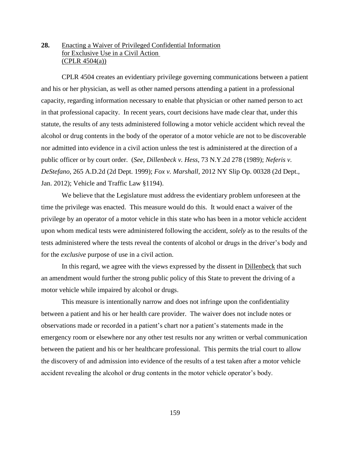# **28.** Enacting a Waiver of Privileged Confidential Information for Exclusive Use in a Civil Action (CPLR 4504(a))

CPLR 4504 creates an evidentiary privilege governing communications between a patient and his or her physician, as well as other named persons attending a patient in a professional capacity, regarding information necessary to enable that physician or other named person to act in that professional capacity. In recent years, court decisions have made clear that, under this statute, the results of any tests administered following a motor vehicle accident which reveal the alcohol or drug contents in the body of the operator of a motor vehicle are not to be discoverable nor admitted into evidence in a civil action unless the test is administered at the direction of a public officer or by court order. (*See*, *Dillenbeck v. Hess*, 73 N.Y.2d 278 (1989); *Neferis v. DeStefano*, 265 A.D.2d (2d Dept. 1999); *Fox v. Marshall*, 2012 NY Slip Op. 00328 (2d Dept., Jan. 2012); Vehicle and Traffic Law §1194).

We believe that the Legislature must address the evidentiary problem unforeseen at the time the privilege was enacted. This measure would do this. It would enact a waiver of the privilege by an operator of a motor vehicle in this state who has been in a motor vehicle accident upon whom medical tests were administered following the accident, *solely* as to the results of the tests administered where the tests reveal the contents of alcohol or drugs in the driver's body and for the *exclusive* purpose of use in a civil action.

In this regard, we agree with the views expressed by the dissent in Dillenbeck that such an amendment would further the strong public policy of this State to prevent the driving of a motor vehicle while impaired by alcohol or drugs.

This measure is intentionally narrow and does not infringe upon the confidentiality between a patient and his or her health care provider. The waiver does not include notes or observations made or recorded in a patient's chart nor a patient's statements made in the emergency room or elsewhere nor any other test results nor any written or verbal communication between the patient and his or her healthcare professional. This permits the trial court to allow the discovery of and admission into evidence of the results of a test taken after a motor vehicle accident revealing the alcohol or drug contents in the motor vehicle operator's body.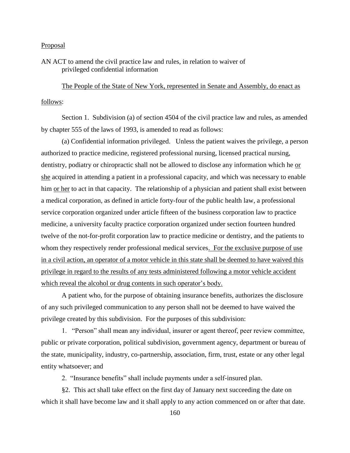AN ACT to amend the civil practice law and rules, in relation to waiver of privileged confidential information

The People of the State of New York, represented in Senate and Assembly, do enact as follows:

Section 1. Subdivision (a) of section 4504 of the civil practice law and rules, as amended by chapter 555 of the laws of 1993, is amended to read as follows:

(a) Confidential information privileged. Unless the patient waives the privilege, a person authorized to practice medicine, registered professional nursing, licensed practical nursing, dentistry, podiatry or chiropractic shall not be allowed to disclose any information which he or she acquired in attending a patient in a professional capacity, and which was necessary to enable him <u>or her</u> to act in that capacity. The relationship of a physician and patient shall exist between a medical corporation, as defined in article forty-four of the public health law, a professional service corporation organized under article fifteen of the business corporation law to practice medicine, a university faculty practice corporation organized under section fourteen hundred twelve of the not-for-profit corporation law to practice medicine or dentistry, and the patients to whom they respectively render professional medical services. For the exclusive purpose of use in a civil action, an operator of a motor vehicle in this state shall be deemed to have waived this privilege in regard to the results of any tests administered following a motor vehicle accident which reveal the alcohol or drug contents in such operator's body.

A patient who, for the purpose of obtaining insurance benefits, authorizes the disclosure of any such privileged communication to any person shall not be deemed to have waived the privilege created by this subdivision. For the purposes of this subdivision:

1. "Person" shall mean any individual, insurer or agent thereof, peer review committee, public or private corporation, political subdivision, government agency, department or bureau of the state, municipality, industry, co-partnership, association, firm, trust, estate or any other legal entity whatsoever; and

2. "Insurance benefits" shall include payments under a self-insured plan.

§2. This act shall take effect on the first day of January next succeeding the date on which it shall have become law and it shall apply to any action commenced on or after that date.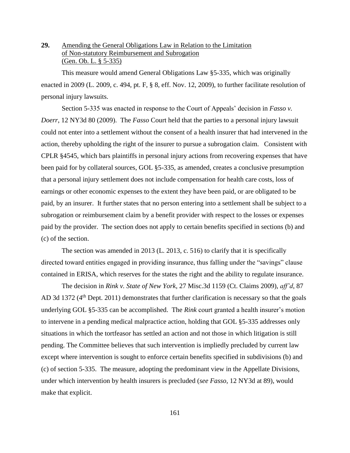# **29.** Amending the General Obligations Law in Relation to the Limitation of Non-statutory Reimbursement and Subrogation (Gen. Ob. L. § 5-335)

This measure would amend General Obligations Law §5-335, which was originally enacted in 2009 (L. 2009, c. 494, pt. F, § 8, eff. Nov. 12, 2009), to further facilitate resolution of personal injury lawsuits.

Section 5-335 was enacted in response to the Court of Appeals' decision in *Fasso v. Doerr*, 12 NY3d 80 (2009). The *Fasso* Court held that the parties to a personal injury lawsuit could not enter into a settlement without the consent of a health insurer that had intervened in the action, thereby upholding the right of the insurer to pursue a subrogation claim. Consistent with CPLR §4545, which bars plaintiffs in personal injury actions from recovering expenses that have been paid for by collateral sources, GOL §5-335, as amended, creates a conclusive presumption that a personal injury settlement does not include compensation for health care costs, loss of earnings or other economic expenses to the extent they have been paid, or are obligated to be paid, by an insurer. It further states that no person entering into a settlement shall be subject to a subrogation or reimbursement claim by a benefit provider with respect to the losses or expenses paid by the provider. The section does not apply to certain benefits specified in sections (b) and (c) of the section.

The section was amended in 2013 (L. 2013, c. 516) to clarify that it is specifically directed toward entities engaged in providing insurance, thus falling under the "savings" clause contained in ERISA, which reserves for the states the right and the ability to regulate insurance.

The decision in *Rink v. State of New York*, 27 Misc.3d 1159 (Ct. Claims 2009), *aff'd*, 87 AD 3d 1372 ( $4<sup>th</sup>$  Dept. 2011) demonstrates that further clarification is necessary so that the goals underlying GOL §5-335 can be accomplished. The *Rink* court granted a health insurer's motion to intervene in a pending medical malpractice action, holding that GOL §5-335 addresses only situations in which the tortfeasor has settled an action and not those in which litigation is still pending. The Committee believes that such intervention is impliedly precluded by current law except where intervention is sought to enforce certain benefits specified in subdivisions (b) and (c) of section 5-335. The measure, adopting the predominant view in the Appellate Divisions, under which intervention by health insurers is precluded (*see Fasso*, 12 NY3d at 89), would make that explicit.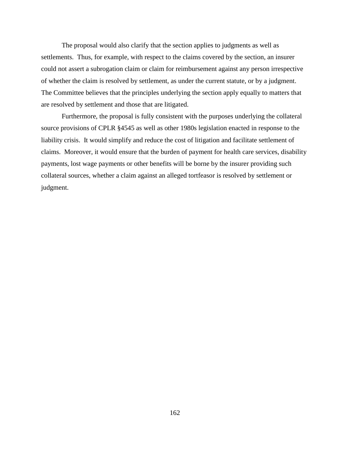The proposal would also clarify that the section applies to judgments as well as settlements. Thus, for example, with respect to the claims covered by the section, an insurer could not assert a subrogation claim or claim for reimbursement against any person irrespective of whether the claim is resolved by settlement, as under the current statute, or by a judgment. The Committee believes that the principles underlying the section apply equally to matters that are resolved by settlement and those that are litigated.

Furthermore, the proposal is fully consistent with the purposes underlying the collateral source provisions of CPLR §4545 as well as other 1980s legislation enacted in response to the liability crisis. It would simplify and reduce the cost of litigation and facilitate settlement of claims. Moreover, it would ensure that the burden of payment for health care services, disability payments, lost wage payments or other benefits will be borne by the insurer providing such collateral sources, whether a claim against an alleged tortfeasor is resolved by settlement or judgment.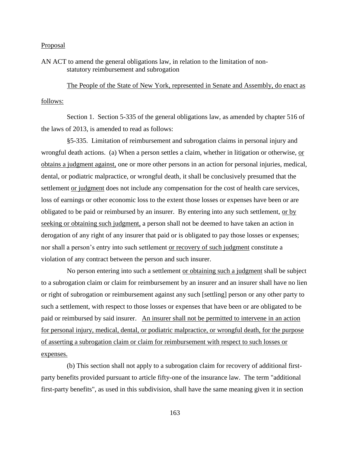AN ACT to amend the general obligations law, in relation to the limitation of nonstatutory reimbursement and subrogation

The People of the State of New York, represented in Senate and Assembly, do enact as follows:

Section 1. Section 5-335 of the general obligations law, as amended by chapter 516 of the laws of 2013, is amended to read as follows:

§5-335. Limitation of reimbursement and subrogation claims in personal injury and wrongful death actions. (a) When a person settles a claim, whether in litigation or otherwise, or obtains a judgment against, one or more other persons in an action for personal injuries, medical, dental, or podiatric malpractice, or wrongful death, it shall be conclusively presumed that the settlement or judgment does not include any compensation for the cost of health care services, loss of earnings or other economic loss to the extent those losses or expenses have been or are obligated to be paid or reimbursed by an insurer. By entering into any such settlement, or by seeking or obtaining such judgment, a person shall not be deemed to have taken an action in derogation of any right of any insurer that paid or is obligated to pay those losses or expenses; nor shall a person's entry into such settlement or recovery of such judgment constitute a violation of any contract between the person and such insurer.

No person entering into such a settlement or obtaining such a judgment shall be subject to a subrogation claim or claim for reimbursement by an insurer and an insurer shall have no lien or right of subrogation or reimbursement against any such [settling] person or any other party to such a settlement, with respect to those losses or expenses that have been or are obligated to be paid or reimbursed by said insurer. An insurer shall not be permitted to intervene in an action for personal injury, medical, dental, or podiatric malpractice, or wrongful death, for the purpose of asserting a subrogation claim or claim for reimbursement with respect to such losses or expenses.

(b) This section shall not apply to a subrogation claim for recovery of additional firstparty benefits provided pursuant to article fifty-one of the insurance law. The term "additional first-party benefits", as used in this subdivision, shall have the same meaning given it in section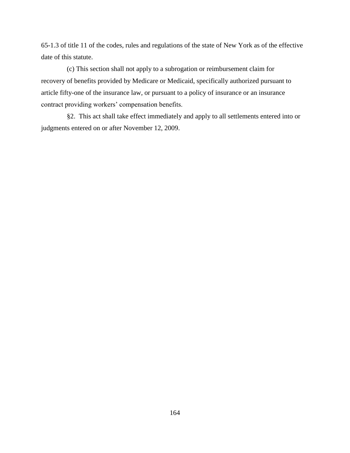65-1.3 of title 11 of the codes, rules and regulations of the state of New York as of the effective date of this statute.

 (c) This section shall not apply to a subrogation or reimbursement claim for recovery of benefits provided by Medicare or Medicaid, specifically authorized pursuant to article fifty-one of the insurance law, or pursuant to a policy of insurance or an insurance contract providing workers' compensation benefits.

§2. This act shall take effect immediately and apply to all settlements entered into or judgments entered on or after November 12, 2009.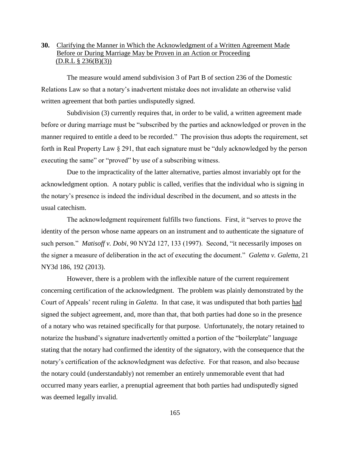# **30.** Clarifying the Manner in Which the Acknowledgment of a Written Agreement Made Before or During Marriage May be Proven in an Action or Proceeding  $(D.R.L § 236(B)(3))$

The measure would amend subdivision 3 of Part B of section 236 of the Domestic Relations Law so that a notary's inadvertent mistake does not invalidate an otherwise valid written agreement that both parties undisputedly signed.

Subdivision (3) currently requires that, in order to be valid, a written agreement made before or during marriage must be "subscribed by the parties and acknowledged or proven in the manner required to entitle a deed to be recorded." The provision thus adopts the requirement, set forth in Real Property Law § 291, that each signature must be "duly acknowledged by the person executing the same" or "proved" by use of a subscribing witness.

Due to the impracticality of the latter alternative, parties almost invariably opt for the acknowledgment option. A notary public is called, verifies that the individual who is signing in the notary's presence is indeed the individual described in the document, and so attests in the usual catechism.

The acknowledgment requirement fulfills two functions. First, it "serves to prove the identity of the person whose name appears on an instrument and to authenticate the signature of such person." *Matisoff v. Dobi*, 90 NY2d 127, 133 (1997). Second, "it necessarily imposes on the signer a measure of deliberation in the act of executing the document." *Galetta v. Galetta*, 21 NY3d 186, 192 (2013).

However, there is a problem with the inflexible nature of the current requirement concerning certification of the acknowledgment. The problem was plainly demonstrated by the Court of Appeals' recent ruling in *Galetta*. In that case, it was undisputed that both parties had signed the subject agreement, and, more than that, that both parties had done so in the presence of a notary who was retained specifically for that purpose. Unfortunately, the notary retained to notarize the husband's signature inadvertently omitted a portion of the "boilerplate" language stating that the notary had confirmed the identity of the signatory, with the consequence that the notary's certification of the acknowledgment was defective. For that reason, and also because the notary could (understandably) not remember an entirely unmemorable event that had occurred many years earlier, a prenuptial agreement that both parties had undisputedly signed was deemed legally invalid.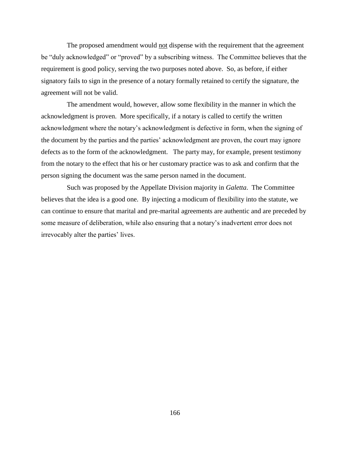The proposed amendment would not dispense with the requirement that the agreement be "duly acknowledged" or "proved" by a subscribing witness. The Committee believes that the requirement is good policy, serving the two purposes noted above. So, as before, if either signatory fails to sign in the presence of a notary formally retained to certify the signature, the agreement will not be valid.

The amendment would, however, allow some flexibility in the manner in which the acknowledgment is proven. More specifically, if a notary is called to certify the written acknowledgment where the notary's acknowledgment is defective in form, when the signing of the document by the parties and the parties' acknowledgment are proven, the court may ignore defects as to the form of the acknowledgment. The party may, for example, present testimony from the notary to the effect that his or her customary practice was to ask and confirm that the person signing the document was the same person named in the document.

Such was proposed by the Appellate Division majority in *Galetta*. The Committee believes that the idea is a good one. By injecting a modicum of flexibility into the statute, we can continue to ensure that marital and pre-marital agreements are authentic and are preceded by some measure of deliberation, while also ensuring that a notary's inadvertent error does not irrevocably alter the parties' lives.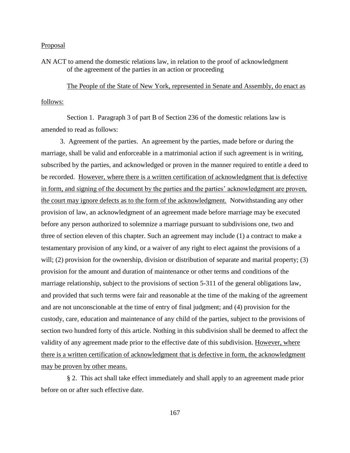AN ACT to amend the domestic relations law, in relation to the proof of acknowledgment of the agreement of the parties in an action or proceeding

The People of the State of New York, represented in Senate and Assembly, do enact as follows:

Section 1. Paragraph 3 of part B of Section 236 of the domestic relations law is amended to read as follows:

 3. Agreement of the parties. An agreement by the parties, made before or during the marriage, shall be valid and enforceable in a matrimonial action if such agreement is in writing, subscribed by the parties, and acknowledged or proven in the manner required to entitle a deed to be recorded. However, where there is a written certification of acknowledgment that is defective in form, and signing of the document by the parties and the parties' acknowledgment are proven, the court may ignore defects as to the form of the acknowledgment. Notwithstanding any other provision of law, an acknowledgment of an agreement made before marriage may be executed before any person authorized to solemnize a marriage pursuant to subdivisions one, two and three of section eleven of this chapter. Such an agreement may include (1) a contract to make a testamentary provision of any kind, or a waiver of any right to elect against the provisions of a will; (2) provision for the ownership, division or distribution of separate and marital property; (3) provision for the amount and duration of maintenance or other terms and conditions of the marriage relationship, subject to the provisions of section 5-311 of the general obligations law, and provided that such terms were fair and reasonable at the time of the making of the agreement and are not unconscionable at the time of entry of final judgment; and (4) provision for the custody, care, education and maintenance of any child of the parties, subject to the provisions of section two hundred forty of this article. Nothing in this subdivision shall be deemed to affect the validity of any agreement made prior to the effective date of this subdivision. However, where there is a written certification of acknowledgment that is defective in form, the acknowledgment may be proven by other means.

§ 2. This act shall take effect immediately and shall apply to an agreement made prior before on or after such effective date.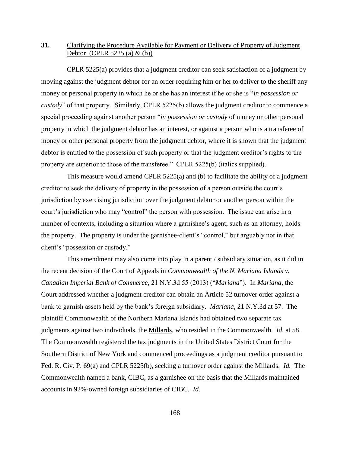## **31.** Clarifying the Procedure Available for Payment or Delivery of Property of Judgment Debtor (CPLR 5225 (a) & (b))

CPLR 5225(a) provides that a judgment creditor can seek satisfaction of a judgment by moving against the judgment debtor for an order requiring him or her to deliver to the sheriff any money or personal property in which he or she has an interest if he or she is "*in possession or custody*" of that property. Similarly, CPLR 5225(b) allows the judgment creditor to commence a special proceeding against another person "*in possession or custody* of money or other personal property in which the judgment debtor has an interest, or against a person who is a transferee of money or other personal property from the judgment debtor, where it is shown that the judgment debtor is entitled to the possession of such property or that the judgment creditor's rights to the property are superior to those of the transferee." CPLR 5225(b) (italics supplied).

This measure would amend CPLR 5225(a) and (b) to facilitate the ability of a judgment creditor to seek the delivery of property in the possession of a person outside the court's jurisdiction by exercising jurisdiction over the judgment debtor or another person within the court's jurisdiction who may "control" the person with possession. The issue can arise in a number of contexts, including a situation where a garnishee's agent, such as an attorney, holds the property. The property is under the garnishee-client's "control," but arguably not in that client's "possession or custody."

This amendment may also come into play in a parent / subsidiary situation, as it did in the recent decision of the Court of Appeals in *Commonwealth of the N. Mariana Islands v. Canadian Imperial Bank of Commerce*, 21 N.Y.3d 55 (2013) ("*Mariana*"). In *Mariana*, the Court addressed whether a judgment creditor can obtain an Article 52 turnover order against a bank to garnish assets held by the bank's foreign subsidiary. *Mariana*, 21 N.Y.3d at 57. The plaintiff Commonwealth of the Northern Mariana Islands had obtained two separate tax judgments against two individuals, the Millards, who resided in the Commonwealth. *Id.* at 58. The Commonwealth registered the tax judgments in the United States District Court for the Southern District of New York and commenced proceedings as a judgment creditor pursuant to Fed. R. Civ. P. 69(a) and CPLR 5225(b), seeking a turnover order against the Millards. *Id.* The Commonwealth named a bank, CIBC, as a garnishee on the basis that the Millards maintained accounts in 92%-owned foreign subsidiaries of CIBC. *Id.*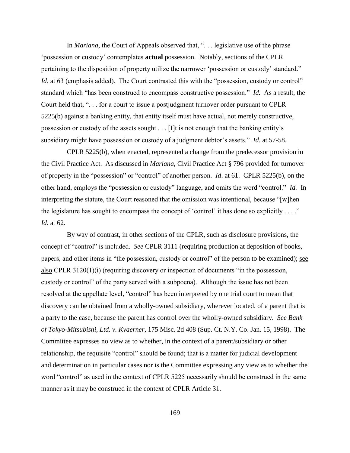In *Mariana*, the Court of Appeals observed that, ". . . legislative use of the phrase 'possession or custody' contemplates **actual** possession. Notably, sections of the CPLR pertaining to the disposition of property utilize the narrower 'possession or custody' standard." *Id.* at 63 (emphasis added). The Court contrasted this with the "possession, custody or control" standard which "has been construed to encompass constructive possession." *Id.* As a result, the Court held that, ". . . for a court to issue a postjudgment turnover order pursuant to CPLR 5225(b) against a banking entity, that entity itself must have actual, not merely constructive, possession or custody of the assets sought . . . [I]t is not enough that the banking entity's subsidiary might have possession or custody of a judgment debtor's assets." *Id.* at 57-58.

CPLR 5225(b), when enacted, represented a change from the predecessor provision in the Civil Practice Act. As discussed in *Mariana*, Civil Practice Act § 796 provided for turnover of property in the "possession" or "control" of another person. *Id*. at 61. CPLR 5225(b), on the other hand, employs the "possession or custody" language, and omits the word "control." *Id.* In interpreting the statute, the Court reasoned that the omission was intentional, because "[w]hen the legislature has sought to encompass the concept of 'control' it has done so explicitly  $\dots$ " *Id.* at 62.

By way of contrast, in other sections of the CPLR, such as disclosure provisions, the concept of "control" is included. *See* CPLR 3111 (requiring production at deposition of books, papers, and other items in "the possession, custody or control" of the person to be examined); see also CPLR 3120(1)(i) (requiring discovery or inspection of documents "in the possession, custody or control" of the party served with a subpoena). Although the issue has not been resolved at the appellate level, "control" has been interpreted by one trial court to mean that discovery can be obtained from a wholly-owned subsidiary, wherever located, of a parent that is a party to the case, because the parent has control over the wholly-owned subsidiary. *See Bank of Tokyo-Mitsubishi, Ltd. v. Kvaerner*, 175 Misc. 2d 408 (Sup. Ct. N.Y. Co. Jan. 15, 1998). The Committee expresses no view as to whether, in the context of a parent/subsidiary or other relationship, the requisite "control" should be found; that is a matter for judicial development and determination in particular cases nor is the Committee expressing any view as to whether the word "control" as used in the context of CPLR 5225 necessarily should be construed in the same manner as it may be construed in the context of CPLR Article 31.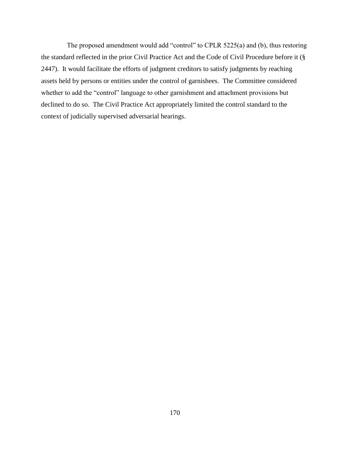The proposed amendment would add "control" to CPLR 5225(a) and (b), thus restoring the standard reflected in the prior Civil Practice Act and the Code of Civil Procedure before it (§ 2447). It would facilitate the efforts of judgment creditors to satisfy judgments by reaching assets held by persons or entities under the control of garnishees. The Committee considered whether to add the "control" language to other garnishment and attachment provisions but declined to do so. The Civil Practice Act appropriately limited the control standard to the context of judicially supervised adversarial hearings.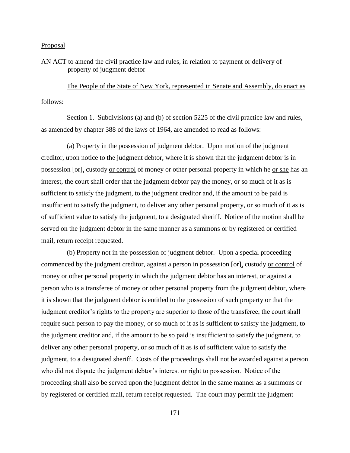AN ACT to amend the civil practice law and rules, in relation to payment or delivery of property of judgment debtor

The People of the State of New York, represented in Senate and Assembly, do enact as follows:

Section 1. Subdivisions (a) and (b) of section 5225 of the civil practice law and rules, as amended by chapter 388 of the laws of 1964, are amended to read as follows:

(a) Property in the possession of judgment debtor. Upon motion of the judgment creditor, upon notice to the judgment debtor, where it is shown that the judgment debtor is in possession [or], custody <u>or control</u> of money or other personal property in which he <u>or she</u> has an interest, the court shall order that the judgment debtor pay the money, or so much of it as is sufficient to satisfy the judgment, to the judgment creditor and, if the amount to be paid is insufficient to satisfy the judgment, to deliver any other personal property, or so much of it as is of sufficient value to satisfy the judgment, to a designated sheriff. Notice of the motion shall be served on the judgment debtor in the same manner as a summons or by registered or certified mail, return receipt requested.

(b) Property not in the possession of judgment debtor. Upon a special proceeding commenced by the judgment creditor, against a person in possession [or], custody or control of money or other personal property in which the judgment debtor has an interest, or against a person who is a transferee of money or other personal property from the judgment debtor, where it is shown that the judgment debtor is entitled to the possession of such property or that the judgment creditor's rights to the property are superior to those of the transferee, the court shall require such person to pay the money, or so much of it as is sufficient to satisfy the judgment, to the judgment creditor and, if the amount to be so paid is insufficient to satisfy the judgment, to deliver any other personal property, or so much of it as is of sufficient value to satisfy the judgment, to a designated sheriff. Costs of the proceedings shall not be awarded against a person who did not dispute the judgment debtor's interest or right to possession. Notice of the proceeding shall also be served upon the judgment debtor in the same manner as a summons or by registered or certified mail, return receipt requested. The court may permit the judgment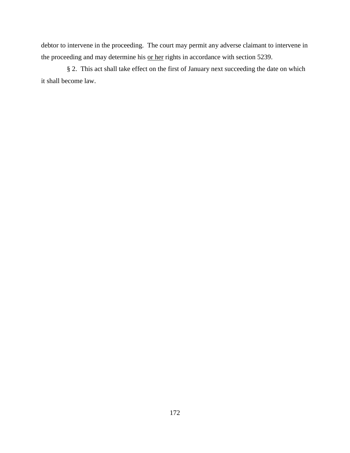debtor to intervene in the proceeding. The court may permit any adverse claimant to intervene in the proceeding and may determine his <u>or her</u> rights in accordance with section 5239.

§ 2. This act shall take effect on the first of January next succeeding the date on which it shall become law.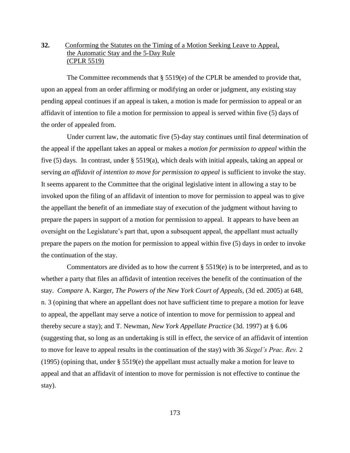# **32.** Conforming the Statutes on the Timing of a Motion Seeking Leave to Appeal, the Automatic Stay and the 5-Day Rule (CPLR 5519)

The Committee recommends that § 5519(e) of the CPLR be amended to provide that, upon an appeal from an order affirming or modifying an order or judgment, any existing stay pending appeal continues if an appeal is taken, a motion is made for permission to appeal or an affidavit of intention to file a motion for permission to appeal is served within five (5) days of the order of appealed from.

Under current law, the automatic five (5)-day stay continues until final determination of the appeal if the appellant takes an appeal or makes a *motion for permission to appeal* within the five (5) days. In contrast, under § 5519(a), which deals with initial appeals, taking an appeal or serving *an affidavit of intention to move for permission to appeal* is sufficient to invoke the stay. It seems apparent to the Committee that the original legislative intent in allowing a stay to be invoked upon the filing of an affidavit of intention to move for permission to appeal was to give the appellant the benefit of an immediate stay of execution of the judgment without having to prepare the papers in support of a motion for permission to appeal. It appears to have been an oversight on the Legislature's part that, upon a subsequent appeal, the appellant must actually prepare the papers on the motion for permission to appeal within five (5) days in order to invoke the continuation of the stay.

Commentators are divided as to how the current  $\S 5519(e)$  is to be interpreted, and as to whether a party that files an affidavit of intention receives the benefit of the continuation of the stay. *Compare* A. Karger*, The Powers of the New York Court of Appeals*, (3d ed. 2005) at 648, n. 3 (opining that where an appellant does not have sufficient time to prepare a motion for leave to appeal, the appellant may serve a notice of intention to move for permission to appeal and thereby secure a stay); and T. Newman, *New York Appellate Practice* (3d. 1997) at § 6.06 (suggesting that, so long as an undertaking is still in effect, the service of an affidavit of intention to move for leave to appeal results in the continuation of the stay) with 36 *Siegel's Prac. Rev.* 2 (1995) (opining that, under § 5519(e) the appellant must actually make a motion for leave to appeal and that an affidavit of intention to move for permission is not effective to continue the stay).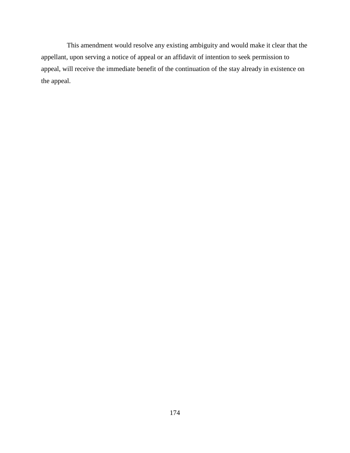This amendment would resolve any existing ambiguity and would make it clear that the appellant, upon serving a notice of appeal or an affidavit of intention to seek permission to appeal, will receive the immediate benefit of the continuation of the stay already in existence on the appeal.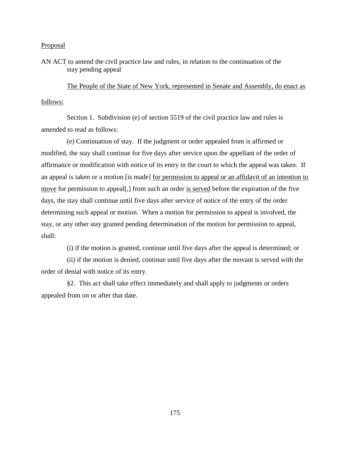AN ACT to amend the civil practice law and rules, in relation to the continuation of the stay pending appeal

The People of the State of New York, represented in Senate and Assembly, do enact as follows:

Section 1. Subdivision (e) of section 5519 of the civil practice law and rules is amended to read as follows:

(e) Continuation of stay. If the judgment or order appealed from is affirmed or modified, the stay shall continue for five days after service upon the appellant of the order of affirmance or modification with notice of its entry in the court to which the appeal was taken. If an appeal is taken or a motion [is made] for permission to appeal or an affidavit of an intention to move for permission to appeal[,] from such an order is served before the expiration of the five days, the stay shall continue until five days after service of notice of the entry of the order determining such appeal or motion. When a motion for permission to appeal is involved, the stay, or any other stay granted pending determination of the motion for permission to appeal, shall:

(i) if the motion is granted, continue until five days after the appeal is determined; or

(ii) if the motion is denied, continue until five days after the movant is served with the order of denial with notice of its entry.

§2. This act shall take effect immediately and shall apply to judgments or orders appealed from on or after that date.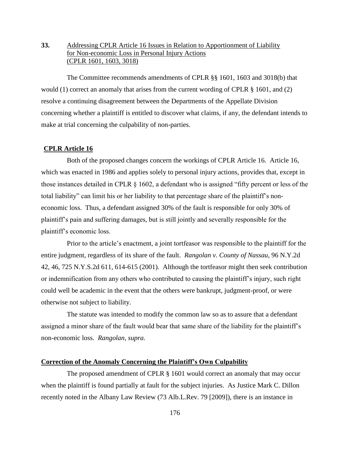# **33.** Addressing CPLR Article 16 Issues in Relation to Apportionment of Liability for Non-economic Loss in Personal Injury Actions (CPLR 1601, 1603, 3018)

The Committee recommends amendments of CPLR §§ 1601, 1603 and 3018(b) that would (1) correct an anomaly that arises from the current wording of CPLR § 1601, and (2) resolve a continuing disagreement between the Departments of the Appellate Division concerning whether a plaintiff is entitled to discover what claims, if any, the defendant intends to make at trial concerning the culpability of non-parties.

## **CPLR Article 16**

Both of the proposed changes concern the workings of CPLR Article 16. Article 16, which was enacted in 1986 and applies solely to personal injury actions, provides that, except in those instances detailed in CPLR § 1602, a defendant who is assigned "fifty percent or less of the total liability" can limit his or her liability to that percentage share of the plaintiff's noneconomic loss. Thus, a defendant assigned 30% of the fault is responsible for only 30% of plaintiff's pain and suffering damages, but is still jointly and severally responsible for the plaintiff's economic loss.

Prior to the article's enactment, a joint tortfeasor was responsible to the plaintiff for the entire judgment, regardless of its share of the fault. *Rangolan v. County of Nassau*, 96 N.Y.2d 42, 46, 725 N.Y.S.2d 611, 614-615 (2001). Although the tortfeasor might then seek contribution or indemnification from any others who contributed to causing the plaintiff's injury, such right could well be academic in the event that the others were bankrupt, judgment-proof, or were otherwise not subject to liability.

The statute was intended to modify the common law so as to assure that a defendant assigned a minor share of the fault would bear that same share of the liability for the plaintiff's non-economic loss. *Rangolan*, *supra*.

### **Correction of the Anomaly Concerning the Plaintiff's Own Culpability**

The proposed amendment of CPLR § 1601 would correct an anomaly that may occur when the plaintiff is found partially at fault for the subject injuries. As Justice Mark C. Dillon recently noted in the Albany Law Review (73 Alb.L.Rev. 79 [2009]), there is an instance in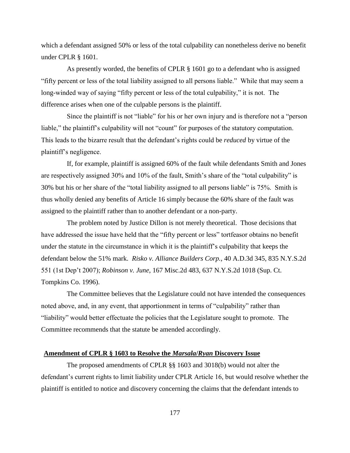which a defendant assigned 50% or less of the total culpability can nonetheless derive no benefit under CPLR § 1601.

As presently worded, the benefits of CPLR § 1601 go to a defendant who is assigned "fifty percent or less of the total liability assigned to all persons liable." While that may seem a long-winded way of saying "fifty percent or less of the total culpability," it is not. The difference arises when one of the culpable persons is the plaintiff.

Since the plaintiff is not "liable" for his or her own injury and is therefore not a "person liable," the plaintiff's culpability will not "count" for purposes of the statutory computation. This leads to the bizarre result that the defendant's rights could be *reduced* by virtue of the plaintiff's negligence.

If, for example, plaintiff is assigned 60% of the fault while defendants Smith and Jones are respectively assigned 30% and 10% of the fault, Smith's share of the "total culpability" is 30% but his or her share of the "total liability assigned to all persons liable" is 75%. Smith is thus wholly denied any benefits of Article 16 simply because the 60% share of the fault was assigned to the plaintiff rather than to another defendant or a non-party.

 The problem noted by Justice Dillon is not merely theoretical. Those decisions that have addressed the issue have held that the "fifty percent or less" tortfeasor obtains no benefit under the statute in the circumstance in which it is the plaintiff's culpability that keeps the defendant below the 51% mark. *Risko v. Alliance Builders Corp.*, 40 A.D.3d 345, 835 N.Y.S.2d 551 (1st Dep't 2007); *Robinson v. June*, 167 Misc.2d 483, 637 N.Y.S.2d 1018 (Sup. Ct. Tompkins Co. 1996).

The Committee believes that the Legislature could not have intended the consequences noted above, and, in any event, that apportionment in terms of "culpability" rather than "liability" would better effectuate the policies that the Legislature sought to promote. The Committee recommends that the statute be amended accordingly.

### **Amendment of CPLR § 1603 to Resolve the** *Marsala***/***Ryan* **Discovery Issue**

The proposed amendments of CPLR §§ 1603 and 3018(b) would not alter the defendant's current rights to limit liability under CPLR Article 16, but would resolve whether the plaintiff is entitled to notice and discovery concerning the claims that the defendant intends to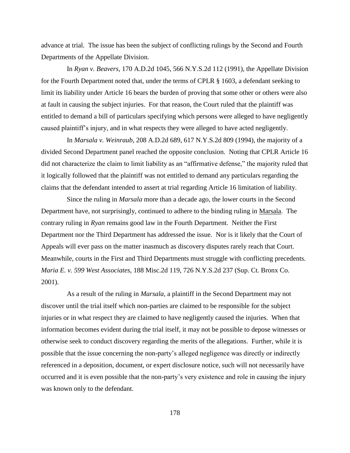advance at trial. The issue has been the subject of conflicting rulings by the Second and Fourth Departments of the Appellate Division.

In *Ryan v. Beavers*, 170 A.D.2d 1045, 566 N.Y.S.2d 112 (1991), the Appellate Division for the Fourth Department noted that, under the terms of CPLR § 1603, a defendant seeking to limit its liability under Article 16 bears the burden of proving that some other or others were also at fault in causing the subject injuries. For that reason, the Court ruled that the plaintiff was entitled to demand a bill of particulars specifying which persons were alleged to have negligently caused plaintiff's injury, and in what respects they were alleged to have acted negligently.

In *Marsala v. Weinraub*, 208 A.D.2d 689, 617 N.Y.S.2d 809 (1994), the majority of a divided Second Department panel reached the opposite conclusion. Noting that CPLR Article 16 did not characterize the claim to limit liability as an "affirmative defense," the majority ruled that it logically followed that the plaintiff was not entitled to demand any particulars regarding the claims that the defendant intended to assert at trial regarding Article 16 limitation of liability.

Since the ruling in *Marsala* more than a decade ago, the lower courts in the Second Department have, not surprisingly, continued to adhere to the binding ruling in Marsala. The contrary ruling in *Ryan* remains good law in the Fourth Department. Neither the First Department nor the Third Department has addressed the issue. Nor is it likely that the Court of Appeals will ever pass on the matter inasmuch as discovery disputes rarely reach that Court. Meanwhile, courts in the First and Third Departments must struggle with conflicting precedents. *Maria E. v. 599 West Associates*, 188 Misc.2d 119, 726 N.Y.S.2d 237 (Sup. Ct. Bronx Co. 2001).

As a result of the ruling in *Marsala*, a plaintiff in the Second Department may not discover until the trial itself which non-parties are claimed to be responsible for the subject injuries or in what respect they are claimed to have negligently caused the injuries. When that information becomes evident during the trial itself, it may not be possible to depose witnesses or otherwise seek to conduct discovery regarding the merits of the allegations. Further, while it is possible that the issue concerning the non-party's alleged negligence was directly or indirectly referenced in a deposition, document, or expert disclosure notice, such will not necessarily have occurred and it is even possible that the non-party's very existence and role in causing the injury was known only to the defendant.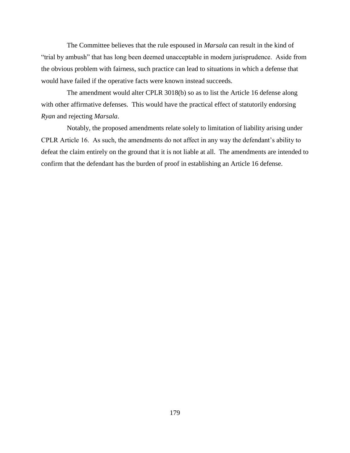The Committee believes that the rule espoused in *Marsala* can result in the kind of "trial by ambush" that has long been deemed unacceptable in modern jurisprudence. Aside from the obvious problem with fairness, such practice can lead to situations in which a defense that would have failed if the operative facts were known instead succeeds.

The amendment would alter CPLR 3018(b) so as to list the Article 16 defense along with other affirmative defenses. This would have the practical effect of statutorily endorsing *Ryan* and rejecting *Marsala*.

Notably, the proposed amendments relate solely to limitation of liability arising under CPLR Article 16. As such, the amendments do not affect in any way the defendant's ability to defeat the claim entirely on the ground that it is not liable at all. The amendments are intended to confirm that the defendant has the burden of proof in establishing an Article 16 defense.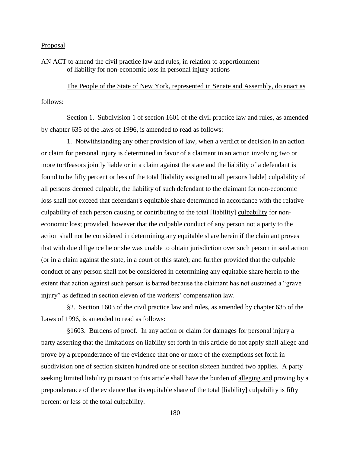#### Proposal

AN ACT to amend the civil practice law and rules, in relation to apportionment of liability for non-economic loss in personal injury actions

The People of the State of New York, represented in Senate and Assembly, do enact as follows:

Section 1. Subdivision 1 of section 1601 of the civil practice law and rules, as amended by chapter 635 of the laws of 1996, is amended to read as follows:

1. Notwithstanding any other provision of law, when a verdict or decision in an action or claim for personal injury is determined in favor of a claimant in an action involving two or more tortfeasors jointly liable or in a claim against the state and the liability of a defendant is found to be fifty percent or less of the total [liability assigned to all persons liable] culpability of all persons deemed culpable, the liability of such defendant to the claimant for non-economic loss shall not exceed that defendant's equitable share determined in accordance with the relative culpability of each person causing or contributing to the total [liability] culpability for noneconomic loss; provided, however that the culpable conduct of any person not a party to the action shall not be considered in determining any equitable share herein if the claimant proves that with due diligence he or she was unable to obtain jurisdiction over such person in said action (or in a claim against the state, in a court of this state); and further provided that the culpable conduct of any person shall not be considered in determining any equitable share herein to the extent that action against such person is barred because the claimant has not sustained a "grave injury" as defined in section eleven of the workers' compensation law.

§2. Section 1603 of the civil practice law and rules, as amended by chapter 635 of the Laws of 1996, is amended to read as follows:

§1603. Burdens of proof. In any action or claim for damages for personal injury a party asserting that the limitations on liability set forth in this article do not apply shall allege and prove by a preponderance of the evidence that one or more of the exemptions set forth in subdivision one of section sixteen hundred one or section sixteen hundred two applies. A party seeking limited liability pursuant to this article shall have the burden of alleging and proving by a preponderance of the evidence that its equitable share of the total [liability] culpability is fifty percent or less of the total culpability.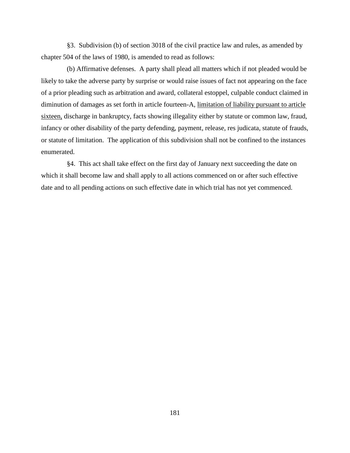§3. Subdivision (b) of section 3018 of the civil practice law and rules, as amended by chapter 504 of the laws of 1980, is amended to read as follows:

(b) Affirmative defenses. A party shall plead all matters which if not pleaded would be likely to take the adverse party by surprise or would raise issues of fact not appearing on the face of a prior pleading such as arbitration and award, collateral estoppel, culpable conduct claimed in diminution of damages as set forth in article fourteen-A, limitation of liability pursuant to article sixteen, discharge in bankruptcy, facts showing illegality either by statute or common law, fraud, infancy or other disability of the party defending, payment, release, res judicata, statute of frauds, or statute of limitation. The application of this subdivision shall not be confined to the instances enumerated.

§4. This act shall take effect on the first day of January next succeeding the date on which it shall become law and shall apply to all actions commenced on or after such effective date and to all pending actions on such effective date in which trial has not yet commenced.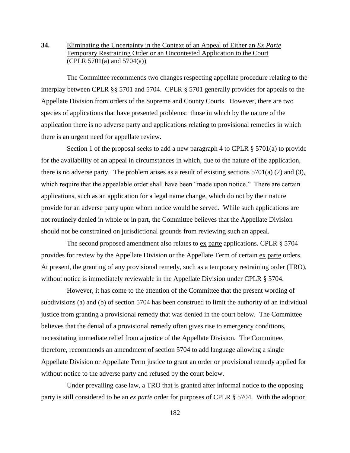# **34.** Eliminating the Uncertainty in the Context of an Appeal of Either an *Ex Parte* Temporary Restraining Order or an Uncontested Application to the Court (CPLR 5701(a) and 5704(a))

The Committee recommends two changes respecting appellate procedure relating to the interplay between CPLR §§ 5701 and 5704. CPLR § 5701 generally provides for appeals to the Appellate Division from orders of the Supreme and County Courts. However, there are two species of applications that have presented problems: those in which by the nature of the application there is no adverse party and applications relating to provisional remedies in which there is an urgent need for appellate review.

Section 1 of the proposal seeks to add a new paragraph 4 to CPLR § 5701(a) to provide for the availability of an appeal in circumstances in which, due to the nature of the application, there is no adverse party. The problem arises as a result of existing sections  $5701(a)$  (2) and (3), which require that the appealable order shall have been "made upon notice." There are certain applications, such as an application for a legal name change, which do not by their nature provide for an adverse party upon whom notice would be served. While such applications are not routinely denied in whole or in part, the Committee believes that the Appellate Division should not be constrained on jurisdictional grounds from reviewing such an appeal.

The second proposed amendment also relates to ex parte applications. CPLR § 5704 provides for review by the Appellate Division or the Appellate Term of certain ex parte orders. At present, the granting of any provisional remedy, such as a temporary restraining order (TRO), without notice is immediately reviewable in the Appellate Division under CPLR § 5704.

However, it has come to the attention of the Committee that the present wording of subdivisions (a) and (b) of section 5704 has been construed to limit the authority of an individual justice from granting a provisional remedy that was denied in the court below. The Committee believes that the denial of a provisional remedy often gives rise to emergency conditions, necessitating immediate relief from a justice of the Appellate Division. The Committee, therefore, recommends an amendment of section 5704 to add language allowing a single Appellate Division or Appellate Term justice to grant an order or provisional remedy applied for without notice to the adverse party and refused by the court below.

Under prevailing case law, a TRO that is granted after informal notice to the opposing party is still considered to be an *ex parte* order for purposes of CPLR § 5704. With the adoption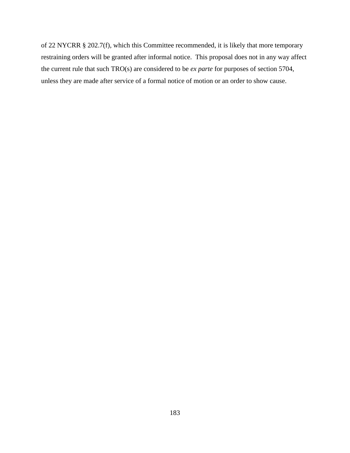of 22 NYCRR § 202.7(f), which this Committee recommended, it is likely that more temporary restraining orders will be granted after informal notice. This proposal does not in any way affect the current rule that such TRO(s) are considered to be *ex parte* for purposes of section 5704, unless they are made after service of a formal notice of motion or an order to show cause.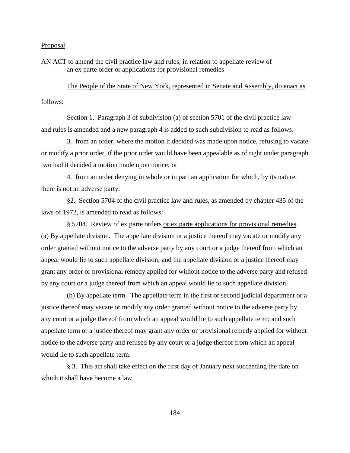#### **Proposal**

AN ACT to amend the civil practice law and rules, in relation to appellate review of an ex parte order or applications for provisional remedies

The People of the State of New York, represented in Senate and Assembly, do enact as follows:

Section 1. Paragraph 3 of subdivision (a) of section 5701 of the civil practice law and rules is amended and a new paragraph 4 is added to such subdivision to read as follows:

3. from an order, where the motion it decided was made upon notice, refusing to vacate or modify a prior order, if the prior order would have been appealable as of right under paragraph two had it decided a motion made upon notice; or

4. from an order denying in whole or in part an application for which, by its nature, there is not an adverse party.

§2. Section 5704 of the civil practice law and rules, as amended by chapter 435 of the laws of 1972, is amended to read as follows:

§ 5704. Review of ex parte orders or ex parte applications for provisional remedies. (a) By appellate division. The appellate division or a justice thereof may vacate or modify any order granted without notice to the adverse party by any court or a judge thereof from which an appeal would lie to such appellate division; and the appellate division or a justice thereof may grant any order or provisional remedy applied for without notice to the adverse party and refused by any court or a judge thereof from which an appeal would lie to such appellate division.

(b) By appellate term. The appellate term in the first or second judicial department or a justice thereof may vacate or modify any order granted without notice to the adverse party by any court or a judge thereof from which an appeal would lie to such appellate term; and such appellate term or a justice thereof may grant any order or provisional remedy applied for without notice to the adverse party and refused by any court or a judge thereof from which an appeal would lie to such appellate term.

§ 3. This act shall take effect on the first day of January next succeeding the date on which it shall have become a law.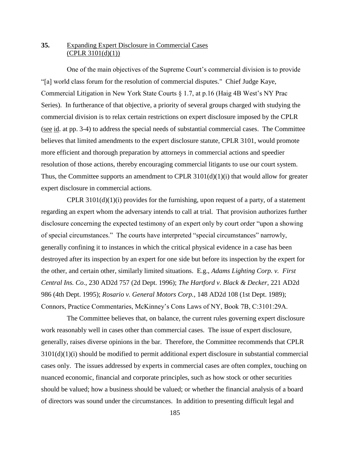## **35.** Expanding Expert Disclosure in Commercial Cases  $(CPLR 3101(d)(1))$

One of the main objectives of the Supreme Court's commercial division is to provide "[a] world class forum for the resolution of commercial disputes." Chief Judge Kaye, Commercial Litigation in New York State Courts § 1.7, at p.16 (Haig 4B West's NY Prac Series). In furtherance of that objective, a priority of several groups charged with studying the commercial division is to relax certain restrictions on expert disclosure imposed by the CPLR (see id. at pp. 3-4) to address the special needs of substantial commercial cases. The Committee believes that limited amendments to the expert disclosure statute, CPLR 3101, would promote more efficient and thorough preparation by attorneys in commercial actions and speedier resolution of those actions, thereby encouraging commercial litigants to use our court system. Thus, the Committee supports an amendment to CPLR  $3101(d)(1)(i)$  that would allow for greater expert disclosure in commercial actions.

CPLR  $3101(d)(1)(i)$  provides for the furnishing, upon request of a party, of a statement regarding an expert whom the adversary intends to call at trial. That provision authorizes further disclosure concerning the expected testimony of an expert only by court order "upon a showing of special circumstances." The courts have interpreted "special circumstances" narrowly, generally confining it to instances in which the critical physical evidence in a case has been destroyed after its inspection by an expert for one side but before its inspection by the expert for the other, and certain other, similarly limited situations. E.g., *Adams Lighting Corp. v. First Central Ins. Co.*, 230 AD2d 757 (2d Dept. 1996); *The Hartford v. Black & Decker*, 221 AD2d 986 (4th Dept. 1995); *Rosario v. General Motors Corp.*, 148 AD2d 108 (1st Dept. 1989); Connors, Practice Commentaries, McKinney's Cons Laws of NY, Book 7B, C:3101:29A.

The Committee believes that, on balance, the current rules governing expert disclosure work reasonably well in cases other than commercial cases. The issue of expert disclosure, generally, raises diverse opinions in the bar. Therefore, the Committee recommends that CPLR  $3101(d)(1)(i)$  should be modified to permit additional expert disclosure in substantial commercial cases only. The issues addressed by experts in commercial cases are often complex, touching on nuanced economic, financial and corporate principles, such as how stock or other securities should be valued; how a business should be valued; or whether the financial analysis of a board of directors was sound under the circumstances. In addition to presenting difficult legal and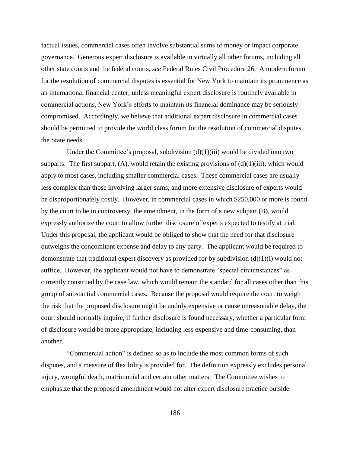factual issues, commercial cases often involve substantial sums of money or impact corporate governance. Generous expert disclosure is available in virtually all other forums, including all other state courts and the federal courts, *see* Federal Rules Civil Procedure 26. A modern forum for the resolution of commercial disputes is essential for New York to maintain its prominence as an international financial center; unless meaningful expert disclosure is routinely available in commercial actions, New York's efforts to maintain its financial dominance may be seriously compromised. Accordingly, we believe that additional expert disclosure in commercial cases should be permitted to provide the world class forum for the resolution of commercial disputes the State needs.

Under the Committee's proposal, subdivision  $(d)(1)(iii)$  would be divided into two subparts. The first subpart,  $(A)$ , would retain the existing provisions of  $(d)(1)(iii)$ , which would apply to most cases, including smaller commercial cases. These commercial cases are usually less complex than those involving larger sums, and more extensive disclosure of experts would be disproportionately costly. However, in commercial cases in which \$250,000 or more is found by the court to be in controversy, the amendment, in the form of a new subpart (B), would expressly authorize the court to allow further disclosure of experts expected to testify at trial. Under this proposal, the applicant would be obliged to show that the need for that disclosure outweighs the concomitant expense and delay to any party. The applicant would be required to demonstrate that traditional expert discovery as provided for by subdivision (d)(1)(i) would not suffice. However, the applicant would not have to demonstrate "special circumstances" as currently construed by the case law, which would remain the standard for all cases other than this group of substantial commercial cases. Because the proposal would require the court to weigh the risk that the proposed disclosure might be unduly expensive or cause unreasonable delay, the court should normally inquire, if further disclosure is found necessary, whether a particular form of disclosure would be more appropriate, including less expensive and time-consuming, than another.

"Commercial action" is defined so as to include the most common forms of such disputes, and a measure of flexibility is provided for. The definition expressly excludes personal injury, wrongful death, matrimonial and certain other matters. The Committee wishes to emphasize that the proposed amendment would not alter expert disclosure practice outside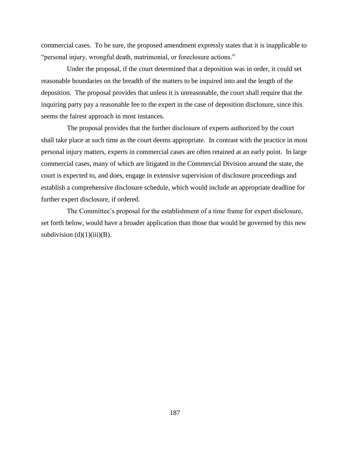commercial cases. To be sure, the proposed amendment expressly states that it is inapplicable to "personal injury, wrongful death, matrimonial, or foreclosure actions."

Under the proposal, if the court determined that a deposition was in order, it could set reasonable boundaries on the breadth of the matters to be inquired into and the length of the deposition. The proposal provides that unless it is unreasonable, the court shall require that the inquiring party pay a reasonable fee to the expert in the case of deposition disclosure, since this seems the fairest approach in most instances.

The proposal provides that the further disclosure of experts authorized by the court shall take place at such time as the court deems appropriate. In contrast with the practice in most personal injury matters, experts in commercial cases are often retained at an early point. In large commercial cases, many of which are litigated in the Commercial Division around the state, the court is expected to, and does, engage in extensive supervision of disclosure proceedings and establish a comprehensive disclosure schedule, which would include an appropriate deadline for further expert disclosure, if ordered.

The Committee's proposal for the establishment of a time frame for expert disclosure, set forth below, would have a broader application than those that would be governed by this new subdivision  $(d)(1)(iii)(B)$ .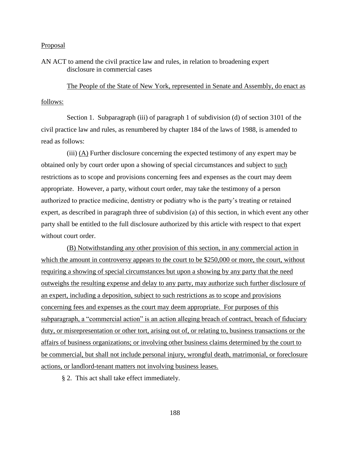#### **Proposal**

AN ACT to amend the civil practice law and rules, in relation to broadening expert disclosure in commercial cases

The People of the State of New York, represented in Senate and Assembly, do enact as follows:

Section 1. Subparagraph (iii) of paragraph 1 of subdivision (d) of section 3101 of the civil practice law and rules, as renumbered by chapter 184 of the laws of 1988, is amended to read as follows:

(iii) (A) Further disclosure concerning the expected testimony of any expert may be obtained only by court order upon a showing of special circumstances and subject to such restrictions as to scope and provisions concerning fees and expenses as the court may deem appropriate. However, a party, without court order, may take the testimony of a person authorized to practice medicine, dentistry or podiatry who is the party's treating or retained expert, as described in paragraph three of subdivision (a) of this section, in which event any other party shall be entitled to the full disclosure authorized by this article with respect to that expert without court order.

(B) Notwithstanding any other provision of this section, in any commercial action in which the amount in controversy appears to the court to be \$250,000 or more, the court, without requiring a showing of special circumstances but upon a showing by any party that the need outweighs the resulting expense and delay to any party, may authorize such further disclosure of an expert, including a deposition, subject to such restrictions as to scope and provisions concerning fees and expenses as the court may deem appropriate. For purposes of this subparagraph, a "commercial action" is an action alleging breach of contract, breach of fiduciary duty, or misrepresentation or other tort, arising out of, or relating to, business transactions or the affairs of business organizations; or involving other business claims determined by the court to be commercial, but shall not include personal injury, wrongful death, matrimonial, or foreclosure actions, or landlord-tenant matters not involving business leases.

§ 2. This act shall take effect immediately.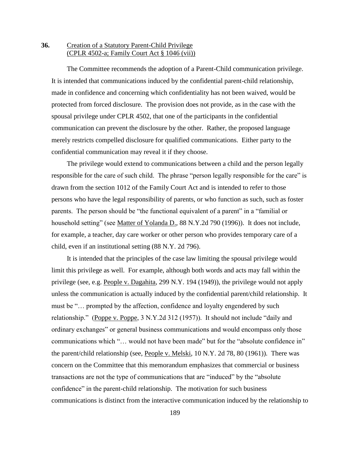### **36.** Creation of a Statutory Parent-Child Privilege (CPLR 4502-a; Family Court Act § 1046 (vii))

The Committee recommends the adoption of a Parent-Child communication privilege. It is intended that communications induced by the confidential parent-child relationship, made in confidence and concerning which confidentiality has not been waived, would be protected from forced disclosure. The provision does not provide, as in the case with the spousal privilege under CPLR 4502, that one of the participants in the confidential communication can prevent the disclosure by the other. Rather, the proposed language merely restricts compelled disclosure for qualified communications. Either party to the confidential communication may reveal it if they choose.

The privilege would extend to communications between a child and the person legally responsible for the care of such child. The phrase "person legally responsible for the care" is drawn from the section 1012 of the Family Court Act and is intended to refer to those persons who have the legal responsibility of parents, or who function as such, such as foster parents. The person should be "the functional equivalent of a parent" in a "familial or household setting" (see Matter of Yolanda D., 88 N.Y.2d 790 (1996)). It does not include, for example, a teacher, day care worker or other person who provides temporary care of a child, even if an institutional setting (88 N.Y. 2d 796).

It is intended that the principles of the case law limiting the spousal privilege would limit this privilege as well. For example, although both words and acts may fall within the privilege (see, e.g. People v. Dagahita, 299 N.Y. 194 (1949)), the privilege would not apply unless the communication is actually induced by the confidential parent/child relationship. It must be "… prompted by the affection, confidence and loyalty engendered by such relationship." (Poppe v. Poppe, 3 N.Y.2d 312 (1957)). It should not include "daily and ordinary exchanges" or general business communications and would encompass only those communications which "… would not have been made" but for the "absolute confidence in" the parent/child relationship (see, People v. Melski, 10 N.Y. 2d 78, 80 (1961)). There was concern on the Committee that this memorandum emphasizes that commercial or business transactions are not the type of communications that are "induced" by the "absolute confidence" in the parent-child relationship. The motivation for such business communications is distinct from the interactive communication induced by the relationship to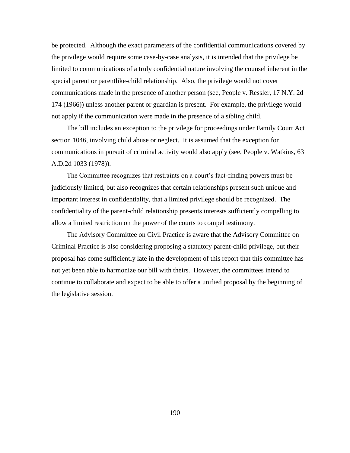be protected. Although the exact parameters of the confidential communications covered by the privilege would require some case-by-case analysis, it is intended that the privilege be limited to communications of a truly confidential nature involving the counsel inherent in the special parent or parentlike-child relationship. Also, the privilege would not cover communications made in the presence of another person (see, People v. Ressler, 17 N.Y. 2d 174 (1966)) unless another parent or guardian is present. For example, the privilege would not apply if the communication were made in the presence of a sibling child.

The bill includes an exception to the privilege for proceedings under Family Court Act section 1046, involving child abuse or neglect. It is assumed that the exception for communications in pursuit of criminal activity would also apply (see, People v. Watkins, 63 A.D.2d 1033 (1978)).

The Committee recognizes that restraints on a court's fact-finding powers must be judiciously limited, but also recognizes that certain relationships present such unique and important interest in confidentiality, that a limited privilege should be recognized. The confidentiality of the parent-child relationship presents interests sufficiently compelling to allow a limited restriction on the power of the courts to compel testimony.

The Advisory Committee on Civil Practice is aware that the Advisory Committee on Criminal Practice is also considering proposing a statutory parent-child privilege, but their proposal has come sufficiently late in the development of this report that this committee has not yet been able to harmonize our bill with theirs. However, the committees intend to continue to collaborate and expect to be able to offer a unified proposal by the beginning of the legislative session.

190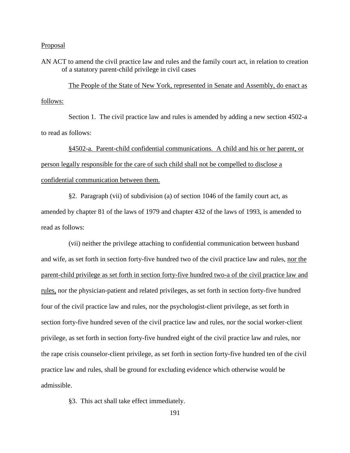#### Proposal

AN ACT to amend the civil practice law and rules and the family court act, in relation to creation of a statutory parent-child privilege in civil cases

 The People of the State of New York, represented in Senate and Assembly, do enact as follows:

 Section 1. The civil practice law and rules is amended by adding a new section 4502-a to read as follows:

 §4502-a. Parent-child confidential communications. A child and his or her parent, or person legally responsible for the care of such child shall not be compelled to disclose a confidential communication between them.

 §2. Paragraph (vii) of subdivision (a) of section 1046 of the family court act, as amended by chapter 81 of the laws of 1979 and chapter 432 of the laws of 1993, is amended to read as follows:

 (vii) neither the privilege attaching to confidential communication between husband and wife, as set forth in section forty-five hundred two of the civil practice law and rules, nor the parent-child privilege as set forth in section forty-five hundred two-a of the civil practice law and rules, nor the physician-patient and related privileges, as set forth in section forty-five hundred four of the civil practice law and rules, nor the psychologist-client privilege, as set forth in section forty-five hundred seven of the civil practice law and rules, nor the social worker-client privilege, as set forth in section forty-five hundred eight of the civil practice law and rules, nor the rape crisis counselor-client privilege, as set forth in section forty-five hundred ten of the civil practice law and rules, shall be ground for excluding evidence which otherwise would be admissible.

§3. This act shall take effect immediately.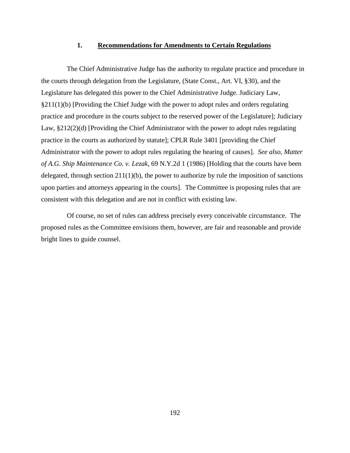### **1. Recommendations for Amendments to Certain Regulations**

The Chief Administrative Judge has the authority to regulate practice and procedure in the courts through delegation from the Legislature, (State Const., Art. VI, §30), and the Legislature has delegated this power to the Chief Administrative Judge. Judiciary Law, §211(1)(b) [Providing the Chief Judge with the power to adopt rules and orders regulating practice and procedure in the courts subject to the reserved power of the Legislature]; Judiciary Law, §212(2)(d) [Providing the Chief Administrator with the power to adopt rules regulating practice in the courts as authorized by statute]; CPLR Rule 3401 [providing the Chief Administrator with the power to adopt rules regulating the hearing of causes]. *See also, Matter of A.G. Ship Maintenance Co. v. Lezak*, 69 N.Y.2d 1 (1986) [Holding that the courts have been delegated, through section  $211(1)(b)$ , the power to authorize by rule the imposition of sanctions upon parties and attorneys appearing in the courts]. The Committee is proposing rules that are consistent with this delegation and are not in conflict with existing law.

Of course, no set of rules can address precisely every conceivable circumstance. The proposed rules as the Committee envisions them, however, are fair and reasonable and provide bright lines to guide counsel.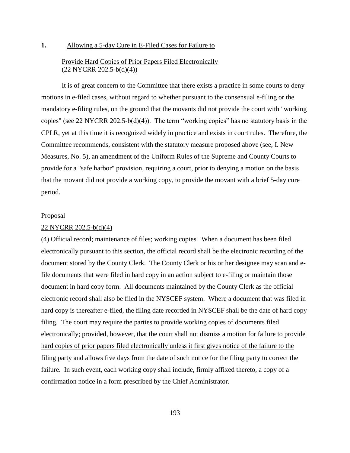### **1.** Allowing a 5-day Cure in E-Filed Cases for Failure to

## Provide Hard Copies of Prior Papers Filed Electronically (22 NYCRR 202.5-b(d)(4))

It is of great concern to the Committee that there exists a practice in some courts to deny motions in e-filed cases, without regard to whether pursuant to the consensual e-filing or the mandatory e-filing rules, on the ground that the movants did not provide the court with "working copies" (see 22 NYCRR 202.5-b(d)(4)). The term "working copies" has no statutory basis in the CPLR, yet at this time it is recognized widely in practice and exists in court rules. Therefore, the Committee recommends, consistent with the statutory measure proposed above (see, I. New Measures, No. 5), an amendment of the Uniform Rules of the Supreme and County Courts to provide for a "safe harbor" provision, requiring a court, prior to denying a motion on the basis that the movant did not provide a working copy, to provide the movant with a brief 5-day cure period.

### **Proposal**

### 22 NYCRR 202.5-b(d)(4)

(4) Official record; maintenance of files; working copies. When a document has been filed electronically pursuant to this section, the official record shall be the electronic recording of the document stored by the County Clerk. The County Clerk or his or her designee may scan and efile documents that were filed in hard copy in an action subject to e-filing or maintain those document in hard copy form. All documents maintained by the County Clerk as the official electronic record shall also be filed in the NYSCEF system. Where a document that was filed in hard copy is thereafter e-filed, the filing date recorded in NYSCEF shall be the date of hard copy filing. The court may require the parties to provide working copies of documents filed electronically; provided, however, that the court shall not dismiss a motion for failure to provide hard copies of prior papers filed electronically unless it first gives notice of the failure to the filing party and allows five days from the date of such notice for the filing party to correct the failure. In such event, each working copy shall include, firmly affixed thereto, a copy of a confirmation notice in a form prescribed by the Chief Administrator.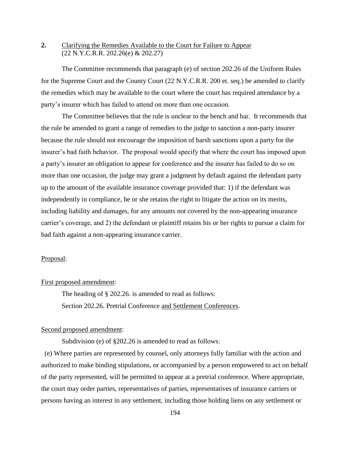# **2.** Clarifying the Remedies Available to the Court for Failure to Appear (22 N.Y.C.R.R. 202.26(e) & 202.27)

The Committee recommends that paragraph (e) of section 202.26 of the Uniform Rules for the Supreme Court and the County Court (22 N.Y.C.R.R. 200 et. seq.) be amended to clarify the remedies which may be available to the court where the court has required attendance by a party's insurer which has failed to attend on more than one occasion.

The Committee believes that the rule is unclear to the bench and bar. It recommends that the rule be amended to grant a range of remedies to the judge to sanction a non-party insurer because the rule should not encourage the imposition of harsh sanctions upon a party for the insurer's bad faith behavior. The proposal would specify that where the court has imposed upon a party's insurer an obligation to appear for conference and the insurer has failed to do so on more than one occasion, the judge may grant a judgment by default against the defendant party up to the amount of the available insurance coverage provided that: 1) if the defendant was independently in compliance, he or she retains the right to litigate the action on its merits, including liability and damages, for any amounts not covered by the non-appearing insurance carrier's coverage, and 2) the defendant or plaintiff retains his or her rights to pursue a claim for bad faith against a non-appearing insurance carrier.

### Proposal:

### First proposed amendment:

The heading of § 202.26. is amended to read as follows: Section 202.26. Pretrial Conference and Settlement Conferences.

#### Second proposed amendment:

Subdivision (e) of §202.26 is amended to read as follows:

 (e) Where parties are represented by counsel, only attorneys fully familiar with the action and authorized to make binding stipulations, or accompanied by a person empowered to act on behalf of the party represented, will be permitted to appear at a pretrial conference. Where appropriate, the court may order parties, representatives of parties, representatives of insurance carriers or persons having an interest in any settlement, including those holding liens on any settlement or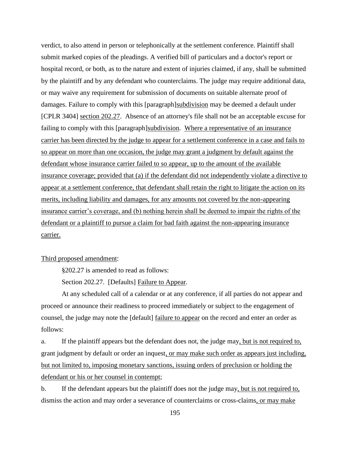verdict, to also attend in person or telephonically at the settlement conference. Plaintiff shall submit marked copies of the pleadings. A verified bill of particulars and a doctor's report or hospital record, or both, as to the nature and extent of injuries claimed, if any, shall be submitted by the plaintiff and by any defendant who counterclaims. The judge may require additional data, or may waive any requirement for submission of documents on suitable alternate proof of damages. Failure to comply with this [paragraph]subdivision may be deemed a default under [CPLR 3404] section 202.27. Absence of an attorney's file shall not be an acceptable excuse for failing to comply with this [paragraph]subdivision. Where a representative of an insurance carrier has been directed by the judge to appear for a settlement conference in a case and fails to so appear on more than one occasion, the judge may grant a judgment by default against the defendant whose insurance carrier failed to so appear, up to the amount of the available insurance coverage; provided that (a) if the defendant did not independently violate a directive to appear at a settlement conference, that defendant shall retain the right to litigate the action on its merits, including liability and damages, for any amounts not covered by the non-appearing insurance carrier's coverage, and (b) nothing herein shall be deemed to impair the rights of the defendant or a plaintiff to pursue a claim for bad faith against the non-appearing insurance carrier.

### Third proposed amendment:

§202.27 is amended to read as follows:

Section 202.27. [Defaults] Failure to Appear.

 At any scheduled call of a calendar or at any conference, if all parties do not appear and proceed or announce their readiness to proceed immediately or subject to the engagement of counsel, the judge may note the [default] failure to appear on the record and enter an order as follows:

a. If the plaintiff appears but the defendant does not, the judge may, but is not required to, grant judgment by default or order an inquest, or may make such order as appears just including, but not limited to, imposing monetary sanctions, issuing orders of preclusion or holding the defendant or his or her counsel in contempt;

b. If the defendant appears but the plaintiff does not the judge may, but is not required to, dismiss the action and may order a severance of counterclaims or cross-claims, or may make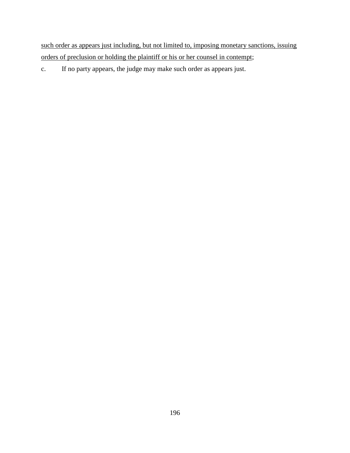such order as appears just including, but not limited to, imposing monetary sanctions, issuing orders of preclusion or holding the plaintiff or his or her counsel in contempt;

c. If no party appears, the judge may make such order as appears just.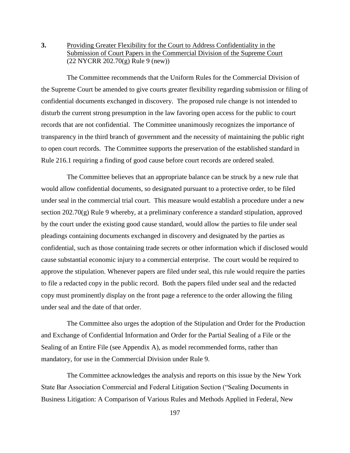**3.** Providing Greater Flexibility for the Court to Address Confidentiality in the Submission of Court Papers in the Commercial Division of the Supreme Court (22 NYCRR 202.70(g) Rule 9 (new))

The Committee recommends that the Uniform Rules for the Commercial Division of the Supreme Court be amended to give courts greater flexibility regarding submission or filing of confidential documents exchanged in discovery. The proposed rule change is not intended to disturb the current strong presumption in the law favoring open access for the public to court records that are not confidential. The Committee unanimously recognizes the importance of transparency in the third branch of government and the necessity of maintaining the public right to open court records. The Committee supports the preservation of the established standard in Rule 216.1 requiring a finding of good cause before court records are ordered sealed.

The Committee believes that an appropriate balance can be struck by a new rule that would allow confidential documents, so designated pursuant to a protective order, to be filed under seal in the commercial trial court. This measure would establish a procedure under a new section 202.70(g) Rule 9 whereby, at a preliminary conference a standard stipulation, approved by the court under the existing good cause standard, would allow the parties to file under seal pleadings containing documents exchanged in discovery and designated by the parties as confidential, such as those containing trade secrets or other information which if disclosed would cause substantial economic injury to a commercial enterprise. The court would be required to approve the stipulation. Whenever papers are filed under seal, this rule would require the parties to file a redacted copy in the public record. Both the papers filed under seal and the redacted copy must prominently display on the front page a reference to the order allowing the filing under seal and the date of that order.

The Committee also urges the adoption of the Stipulation and Order for the Production and Exchange of Confidential Information and Order for the Partial Sealing of a File or the Sealing of an Entire File (see Appendix A), as model recommended forms, rather than mandatory, for use in the Commercial Division under Rule 9.

The Committee acknowledges the analysis and reports on this issue by the New York State Bar Association Commercial and Federal Litigation Section ("Sealing Documents in Business Litigation: A Comparison of Various Rules and Methods Applied in Federal, New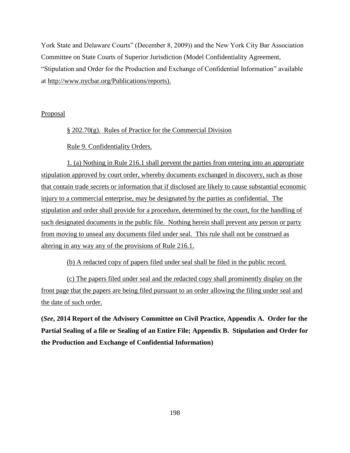York State and Delaware Courts" (December 8, 2009)) and the New York City Bar Association Committee on State Courts of Superior Jurisdiction (Model Confidentiality Agreement, "Stipulation and Order for the Production and Exchange of Confidential Information" available at [http://www.nycbar.org/Publications/reports\).](http://www.nycbar.org/Publications/reports))

Proposal

§ 202.70(g). Rules of Practice for the Commercial Division

Rule 9. Confidentiality Orders.

1. (a) Nothing in Rule 216.1 shall prevent the parties from entering into an appropriate stipulation approved by court order, whereby documents exchanged in discovery, such as those that contain trade secrets or information that if disclosed are likely to cause substantial economic injury to a commercial enterprise, may be designated by the parties as confidential. The stipulation and order shall provide for a procedure, determined by the court, for the handling of such designated documents in the public file. Nothing herein shall prevent any person or party from moving to unseal any documents filed under seal. This rule shall not be construed as altering in any way any of the provisions of Rule 216.1.

(b) A redacted copy of papers filed under seal shall be filed in the public record.

(c) The papers filed under seal and the redacted copy shall prominently display on the front page that the papers are being filed pursuant to an order allowing the filing under seal and the date of such order.

**(***See***, 2014 Report of the Advisory Committee on Civil Practice, Appendix A. Order for the Partial Sealing of a file or Sealing of an Entire File; Appendix B. Stipulation and Order for the Production and Exchange of Confidential Information)**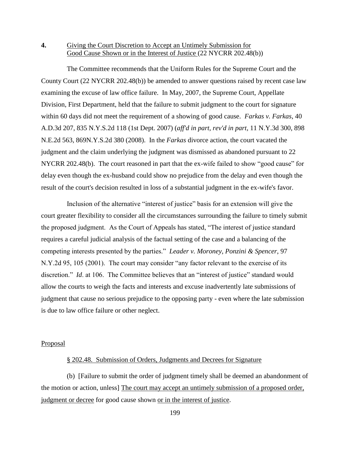**4.** Giving the Court Discretion to Accept an Untimely Submission for Good Cause Shown or in the Interest of Justice (22 NYCRR 202.48(b))

The Committee recommends that the Uniform Rules for the Supreme Court and the County Court (22 NYCRR 202.48(b)) be amended to answer questions raised by recent case law examining the excuse of law office failure. In May, 2007, the Supreme Court, Appellate Division, First Department, held that the failure to submit judgment to the court for signature within 60 days did not meet the requirement of a showing of good cause. *Farkas v. Farkas*, 40 A.D.3d 207, 835 N.Y.S.2d 118 (1st Dept. 2007) (*aff'd in part, rev'd in part*, 11 N.Y.3d 300, 898 N.E.2d 563, 869N.Y.S.2d 380 (2008). In the *Farkas* divorce action, the court vacated the judgment and the claim underlying the judgment was dismissed as abandoned pursuant to 22 NYCRR 202.48(b). The court reasoned in part that the ex-wife failed to show "good cause" for delay even though the ex-husband could show no prejudice from the delay and even though the result of the court's decision resulted in loss of a substantial judgment in the ex-wife's favor.

Inclusion of the alternative "interest of justice" basis for an extension will give the court greater flexibility to consider all the circumstances surrounding the failure to timely submit the proposed judgment. As the Court of Appeals has stated, "The interest of justice standard requires a careful judicial analysis of the factual setting of the case and a balancing of the competing interests presented by the parties." *Leader v. Moroney, Ponzini & Spencer*, 97 N.Y.2d 95, 105 (2001). The court may consider "any factor relevant to the exercise of its discretion." *Id.* at 106. The Committee believes that an "interest of justice" standard would allow the courts to weigh the facts and interests and excuse inadvertently late submissions of judgment that cause no serious prejudice to the opposing party - even where the late submission is due to law office failure or other neglect.

### Proposal

### § 202.48. Submission of Orders, Judgments and Decrees for Signature

(b) [Failure to submit the order of judgment timely shall be deemed an abandonment of the motion or action, unless] The court may accept an untimely submission of a proposed order, judgment or decree for good cause shown or in the interest of justice.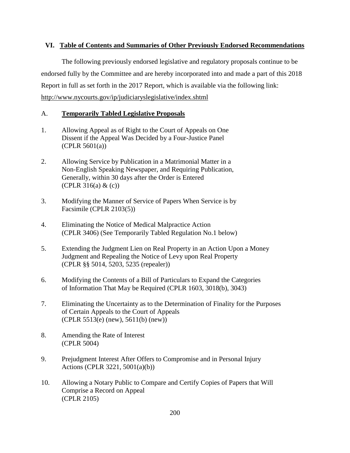# **VI. Table of Contents and Summaries of Other Previously Endorsed Recommendations**

The following previously endorsed legislative and regulatory proposals continue to be endorsed fully by the Committee and are hereby incorporated into and made a part of this 2018 Report in full as set forth in the 2017 Report, which is available via the following link: http://www.nycourts.gov/ip/judiciaryslegislative/index.shtml

# A. **Temporarily Tabled Legislative Proposals**

- 1. Allowing Appeal as of Right to the Court of Appeals on One Dissent if the Appeal Was Decided by a Four-Justice Panel (CPLR 5601(a))
- 2. Allowing Service by Publication in a Matrimonial Matter in a Non-English Speaking Newspaper, and Requiring Publication, Generally, within 30 days after the Order is Entered  $(CPLR 316(a) & (c))$
- 3. Modifying the Manner of Service of Papers When Service is by Facsimile (CPLR 2103(5))
- 4. Eliminating the Notice of Medical Malpractice Action (CPLR 3406) (See Temporarily Tabled Regulation No.1 below)
- 5. Extending the Judgment Lien on Real Property in an Action Upon a Money Judgment and Repealing the Notice of Levy upon Real Property (CPLR §§ 5014, 5203, 5235 (repealer))
- 6. Modifying the Contents of a Bill of Particulars to Expand the Categories of Information That May be Required (CPLR 1603, 3018(b), 3043)
- 7. Eliminating the Uncertainty as to the Determination of Finality for the Purposes of Certain Appeals to the Court of Appeals (CPLR 5513(e) (new), 5611(b) (new))
- 8. Amending the Rate of Interest (CPLR 5004)
- 9. Prejudgment Interest After Offers to Compromise and in Personal Injury Actions (CPLR 3221, 5001(a)(b))
- 10. Allowing a Notary Public to Compare and Certify Copies of Papers that Will Comprise a Record on Appeal (CPLR 2105)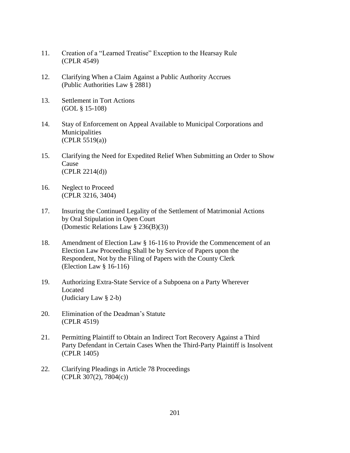- 11. Creation of a "Learned Treatise" Exception to the Hearsay Rule (CPLR 4549)
- 12. Clarifying When a Claim Against a Public Authority Accrues (Public Authorities Law § 2881)
- 13. Settlement in Tort Actions (GOL § 15-108)
- 14. Stay of Enforcement on Appeal Available to Municipal Corporations and Municipalities (CPLR 5519(a))
- 15. Clarifying the Need for Expedited Relief When Submitting an Order to Show Cause (CPLR 2214(d))
- 16. Neglect to Proceed (CPLR 3216, 3404)
- 17. Insuring the Continued Legality of the Settlement of Matrimonial Actions by Oral Stipulation in Open Court (Domestic Relations Law § 236(B)(3))
- 18. Amendment of Election Law § 16-116 to Provide the Commencement of an Election Law Proceeding Shall be by Service of Papers upon the Respondent, Not by the Filing of Papers with the County Clerk (Election Law § 16-116)
- 19. Authorizing Extra-State Service of a Subpoena on a Party Wherever Located (Judiciary Law § 2-b)
- 20. Elimination of the Deadman's Statute (CPLR 4519)
- 21. Permitting Plaintiff to Obtain an Indirect Tort Recovery Against a Third Party Defendant in Certain Cases When the Third-Party Plaintiff is Insolvent (CPLR 1405)
- 22. Clarifying Pleadings in Article 78 Proceedings (CPLR 307(2), 7804(c))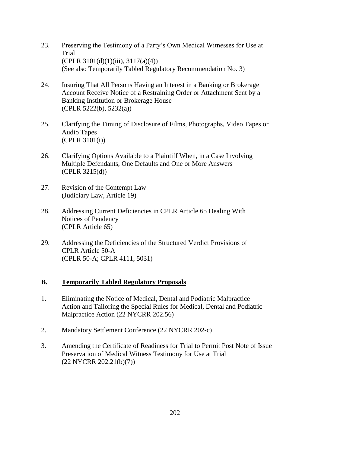- 23. Preserving the Testimony of a Party's Own Medical Witnesses for Use at Trial  $(CPLR 3101(d)(1)(iii), 3117(a)(4))$ (See also Temporarily Tabled Regulatory Recommendation No. 3)
- 24. Insuring That All Persons Having an Interest in a Banking or Brokerage Account Receive Notice of a Restraining Order or Attachment Sent by a Banking Institution or Brokerage House (CPLR 5222(b), 5232(a))
- 25. Clarifying the Timing of Disclosure of Films, Photographs, Video Tapes or Audio Tapes (CPLR 3101(i))
- 26. Clarifying Options Available to a Plaintiff When, in a Case Involving Multiple Defendants, One Defaults and One or More Answers (CPLR 3215(d))
- 27. Revision of the Contempt Law (Judiciary Law, Article 19)
- 28. Addressing Current Deficiencies in CPLR Article 65 Dealing With Notices of Pendency (CPLR Article 65)
- 29. Addressing the Deficiencies of the Structured Verdict Provisions of CPLR Article 50-A (CPLR 50-A; CPLR 4111, 5031)

# **B. Temporarily Tabled Regulatory Proposals**

- 1. Eliminating the Notice of Medical, Dental and Podiatric Malpractice Action and Tailoring the Special Rules for Medical, Dental and Podiatric Malpractice Action (22 NYCRR 202.56)
- 2. Mandatory Settlement Conference (22 NYCRR 202-c)
- 3. Amending the Certificate of Readiness for Trial to Permit Post Note of Issue Preservation of Medical Witness Testimony for Use at Trial (22 NYCRR 202.21(b)(7))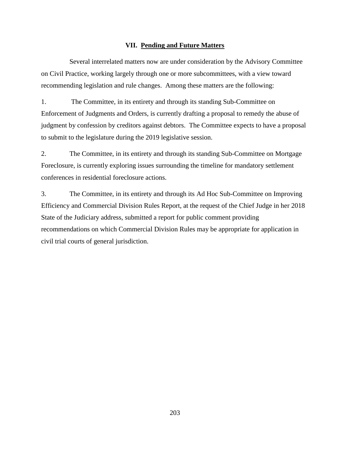## **VII. Pending and Future Matters**

Several interrelated matters now are under consideration by the Advisory Committee on Civil Practice, working largely through one or more subcommittees, with a view toward recommending legislation and rule changes. Among these matters are the following:

1. The Committee, in its entirety and through its standing Sub-Committee on Enforcement of Judgments and Orders, is currently drafting a proposal to remedy the abuse of judgment by confession by creditors against debtors. The Committee expects to have a proposal to submit to the legislature during the 2019 legislative session.

2. The Committee, in its entirety and through its standing Sub-Committee on Mortgage Foreclosure, is currently exploring issues surrounding the timeline for mandatory settlement conferences in residential foreclosure actions.

3. The Committee, in its entirety and through its Ad Hoc Sub-Committee on Improving Efficiency and Commercial Division Rules Report, at the request of the Chief Judge in her 2018 State of the Judiciary address, submitted a report for public comment providing recommendations on which Commercial Division Rules may be appropriate for application in civil trial courts of general jurisdiction.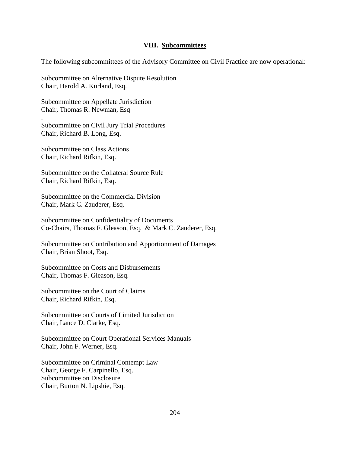### **VIII. Subcommittees**

The following subcommittees of the Advisory Committee on Civil Practice are now operational:

Subcommittee on Alternative Dispute Resolution Chair, Harold A. Kurland, Esq.

Subcommittee on Appellate Jurisdiction Chair, Thomas R. Newman, Esq

Subcommittee on Civil Jury Trial Procedures Chair, Richard B. Long, Esq.

Subcommittee on Class Actions Chair, Richard Rifkin, Esq.

.

Subcommittee on the Collateral Source Rule Chair, Richard Rifkin, Esq.

Subcommittee on the Commercial Division Chair, Mark C. Zauderer, Esq.

Subcommittee on Confidentiality of Documents Co-Chairs, Thomas F. Gleason, Esq. & Mark C. Zauderer, Esq.

Subcommittee on Contribution and Apportionment of Damages Chair, Brian Shoot, Esq.

Subcommittee on Costs and Disbursements Chair, Thomas F. Gleason, Esq.

Subcommittee on the Court of Claims Chair, Richard Rifkin, Esq.

Subcommittee on Courts of Limited Jurisdiction Chair, Lance D. Clarke, Esq.

Subcommittee on Court Operational Services Manuals Chair, John F. Werner, Esq.

Subcommittee on Criminal Contempt Law Chair, George F. Carpinello, Esq. Subcommittee on Disclosure Chair, Burton N. Lipshie, Esq.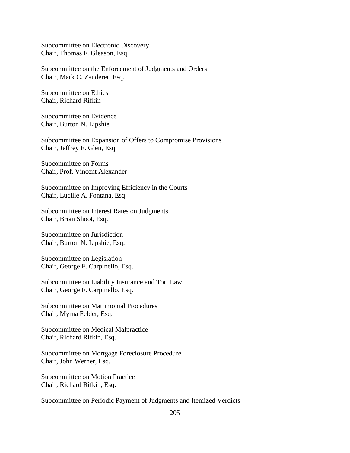Subcommittee on Electronic Discovery Chair, Thomas F. Gleason, Esq.

Subcommittee on the Enforcement of Judgments and Orders Chair, Mark C. Zauderer, Esq.

Subcommittee on Ethics Chair, Richard Rifkin

Subcommittee on Evidence Chair, Burton N. Lipshie

Subcommittee on Expansion of Offers to Compromise Provisions Chair, Jeffrey E. Glen, Esq.

Subcommittee on Forms Chair, Prof. Vincent Alexander

Subcommittee on Improving Efficiency in the Courts Chair, Lucille A. Fontana, Esq.

Subcommittee on Interest Rates on Judgments Chair, Brian Shoot, Esq.

Subcommittee on Jurisdiction Chair, Burton N. Lipshie, Esq.

Subcommittee on Legislation Chair, George F. Carpinello, Esq.

Subcommittee on Liability Insurance and Tort Law Chair, George F. Carpinello, Esq.

Subcommittee on Matrimonial Procedures Chair, Myrna Felder, Esq.

Subcommittee on Medical Malpractice Chair, Richard Rifkin, Esq.

Subcommittee on Mortgage Foreclosure Procedure Chair, John Werner, Esq.

Subcommittee on Motion Practice Chair, Richard Rifkin, Esq.

Subcommittee on Periodic Payment of Judgments and Itemized Verdicts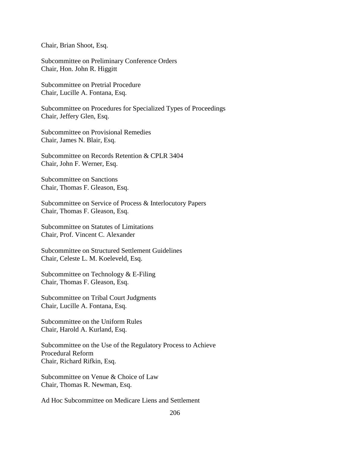Chair, Brian Shoot, Esq.

Subcommittee on Preliminary Conference Orders Chair, Hon. John R. Higgitt

Subcommittee on Pretrial Procedure Chair, Lucille A. Fontana, Esq.

Subcommittee on Procedures for Specialized Types of Proceedings Chair, Jeffery Glen, Esq.

Subcommittee on Provisional Remedies Chair, James N. Blair, Esq.

Subcommittee on Records Retention & CPLR 3404 Chair, John F. Werner, Esq.

Subcommittee on Sanctions Chair, Thomas F. Gleason, Esq.

Subcommittee on Service of Process & Interlocutory Papers Chair, Thomas F. Gleason, Esq.

Subcommittee on Statutes of Limitations Chair, Prof. Vincent C. Alexander

Subcommittee on Structured Settlement Guidelines Chair, Celeste L. M. Koeleveld, Esq.

Subcommittee on Technology & E-Filing Chair, Thomas F. Gleason, Esq.

Subcommittee on Tribal Court Judgments Chair, Lucille A. Fontana, Esq.

Subcommittee on the Uniform Rules Chair, Harold A. Kurland, Esq.

Subcommittee on the Use of the Regulatory Process to Achieve Procedural Reform Chair, Richard Rifkin, Esq.

Subcommittee on Venue & Choice of Law Chair, Thomas R. Newman, Esq.

Ad Hoc Subcommittee on Medicare Liens and Settlement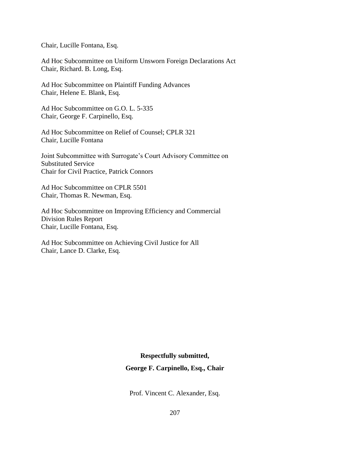Chair, Lucille Fontana, Esq.

Ad Hoc Subcommittee on Uniform Unsworn Foreign Declarations Act Chair, Richard. B. Long, Esq.

Ad Hoc Subcommittee on Plaintiff Funding Advances Chair, Helene E. Blank, Esq.

Ad Hoc Subcommittee on G.O. L. 5-335 Chair, George F. Carpinello, Esq.

Ad Hoc Subcommittee on Relief of Counsel; CPLR 321 Chair, Lucille Fontana

Joint Subcommittee with Surrogate's Court Advisory Committee on Substituted Service Chair for Civil Practice, Patrick Connors

Ad Hoc Subcommittee on CPLR 5501 Chair, Thomas R. Newman, Esq.

Ad Hoc Subcommittee on Improving Efficiency and Commercial Division Rules Report Chair, Lucille Fontana, Esq.

Ad Hoc Subcommittee on Achieving Civil Justice for All Chair, Lance D. Clarke, Esq.

## **Respectfully submitted,**

**George F. Carpinello, Esq., Chair**

Prof. Vincent C. Alexander, Esq.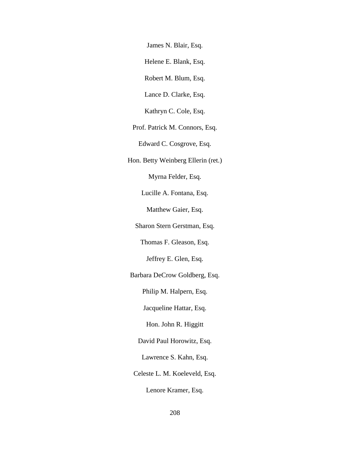James N. Blair, Esq.

Helene E. Blank, Esq.

Robert M. Blum, Esq.

Lance D. Clarke, Esq.

Kathryn C. Cole, Esq.

Prof. Patrick M. Connors, Esq.

Edward C. Cosgrove, Esq.

Hon. Betty Weinberg Ellerin (ret.)

Myrna Felder, Esq.

Lucille A. Fontana, Esq.

Matthew Gaier, Esq.

Sharon Stern Gerstman, Esq.

Thomas F. Gleason, Esq.

Jeffrey E. Glen, Esq.

Barbara DeCrow Goldberg, Esq.

Philip M. Halpern, Esq.

Jacqueline Hattar, Esq.

Hon. John R. Higgitt

David Paul Horowitz, Esq.

Lawrence S. Kahn, Esq.

Celeste L. M. Koeleveld, Esq.

Lenore Kramer, Esq.